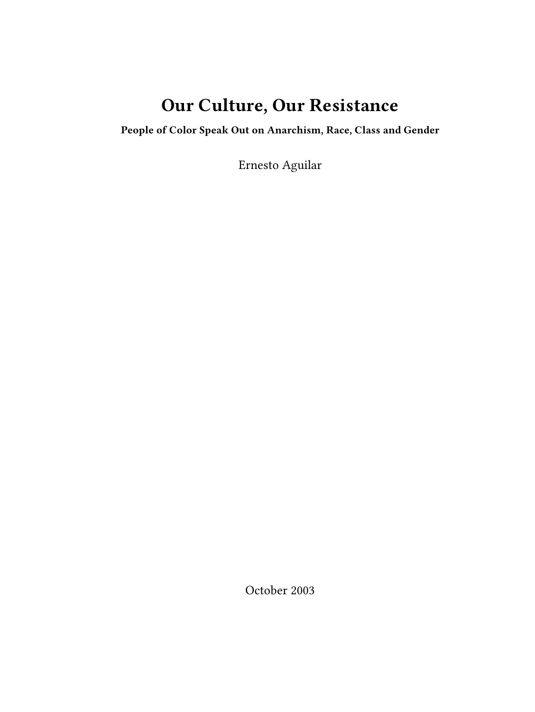### **Our Culture, Our Resistance**

**People of Color Speak Out on Anarchism, Race, Class and Gender**

Ernesto Aguilar

October 2003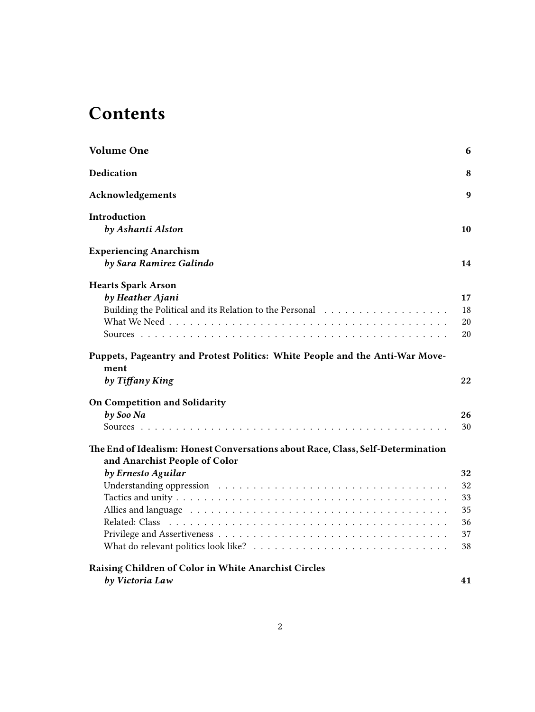### **Contents**

| <b>Volume One</b>                                                                                                | 6  |
|------------------------------------------------------------------------------------------------------------------|----|
| Dedication                                                                                                       | 8  |
| Acknowledgements                                                                                                 | 9  |
| Introduction                                                                                                     |    |
| by Ashanti Alston                                                                                                | 10 |
| <b>Experiencing Anarchism</b>                                                                                    |    |
| by Sara Ramirez Galindo                                                                                          | 14 |
| <b>Hearts Spark Arson</b>                                                                                        |    |
| by Heather Ajani                                                                                                 | 17 |
|                                                                                                                  | 18 |
|                                                                                                                  | 20 |
|                                                                                                                  | 20 |
| Puppets, Pageantry and Protest Politics: White People and the Anti-War Move-<br>ment                             |    |
| by Tiffany King                                                                                                  | 22 |
| On Competition and Solidarity                                                                                    |    |
| by Soo Na                                                                                                        | 26 |
|                                                                                                                  | 30 |
| The End of Idealism: Honest Conversations about Race, Class, Self-Determination<br>and Anarchist People of Color |    |
| by Ernesto Aguilar                                                                                               | 32 |
|                                                                                                                  | 32 |
|                                                                                                                  | 33 |
|                                                                                                                  | 35 |
|                                                                                                                  | 36 |
|                                                                                                                  | 37 |
|                                                                                                                  | 38 |
| Raising Children of Color in White Anarchist Circles                                                             |    |
| by Victoria Law                                                                                                  | 41 |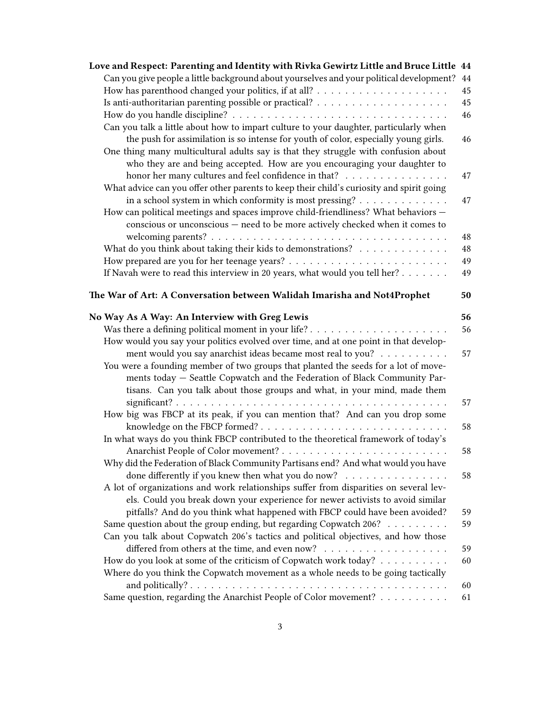| Love and Respect: Parenting and Identity with Rivka Gewirtz Little and Bruce Little 44                                                      |    |
|---------------------------------------------------------------------------------------------------------------------------------------------|----|
| Can you give people a little background about yourselves and your political development?                                                    | 44 |
|                                                                                                                                             | 45 |
|                                                                                                                                             | 45 |
|                                                                                                                                             | 46 |
| Can you talk a little about how to impart culture to your daughter, particularly when                                                       |    |
| the push for assimilation is so intense for youth of color, especially young girls.                                                         | 46 |
| One thing many multicultural adults say is that they struggle with confusion about                                                          |    |
| who they are and being accepted. How are you encouraging your daughter to                                                                   |    |
| honor her many cultures and feel confidence in that?                                                                                        | 47 |
| What advice can you offer other parents to keep their child's curiosity and spirit going                                                    |    |
| in a school system in which conformity is most pressing? $\dots$                                                                            | 47 |
| How can political meetings and spaces improve child-friendliness? What behaviors -                                                          |    |
| conscious or unconscious - need to be more actively checked when it comes to                                                                |    |
|                                                                                                                                             | 48 |
| What do you think about taking their kids to demonstrations?                                                                                | 48 |
|                                                                                                                                             | 49 |
| If Navah were to read this interview in 20 years, what would you tell her?                                                                  | 49 |
| The War of Art: A Conversation between Walidah Imarisha and Not4Prophet                                                                     | 50 |
| No Way As A Way: An Interview with Greg Lewis                                                                                               | 56 |
|                                                                                                                                             | 56 |
| How would you say your politics evolved over time, and at one point in that develop-                                                        |    |
| ment would you say anarchist ideas became most real to you?                                                                                 | 57 |
| You were a founding member of two groups that planted the seeds for a lot of move-                                                          |    |
| ments today - Seattle Copwatch and the Federation of Black Community Par-                                                                   |    |
| tisans. Can you talk about those groups and what, in your mind, made them                                                                   |    |
|                                                                                                                                             | 57 |
| How big was FBCP at its peak, if you can mention that? And can you drop some                                                                |    |
|                                                                                                                                             | 58 |
| In what ways do you think FBCP contributed to the theoretical framework of today's                                                          |    |
|                                                                                                                                             | 58 |
| Why did the Federation of Black Community Partisans end? And what would you have                                                            |    |
| done differently if you knew then what you do now?<br>A lot of organizations and work relationships suffer from disparities on several lev- | 58 |
| els. Could you break down your experience for newer activists to avoid similar                                                              |    |
| pitfalls? And do you think what happened with FBCP could have been avoided?                                                                 | 59 |
| Same question about the group ending, but regarding Copwatch 206?                                                                           | 59 |
| Can you talk about Copwatch 206's tactics and political objectives, and how those                                                           |    |
|                                                                                                                                             | 59 |
| How do you look at some of the criticism of Copwatch work today?                                                                            | 60 |
| Where do you think the Copwatch movement as a whole needs to be going tactically                                                            |    |
|                                                                                                                                             | 60 |
| Same question, regarding the Anarchist People of Color movement?                                                                            | 61 |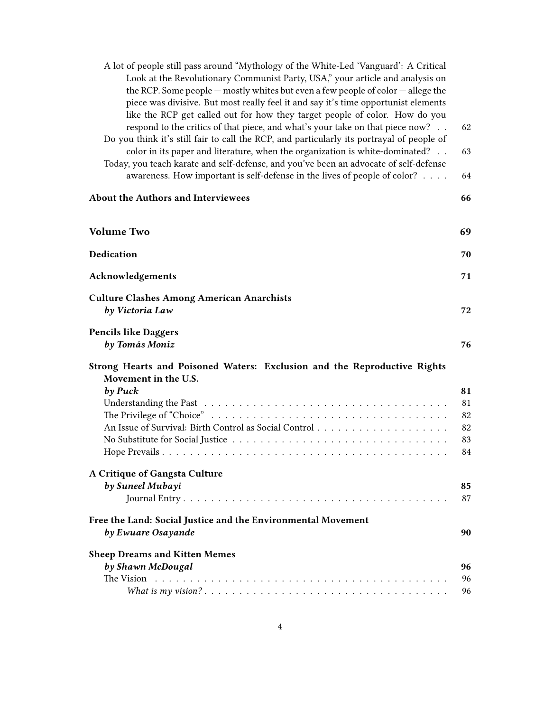| A lot of people still pass around "Mythology of the White-Led 'Vanguard': A Critical<br>Look at the Revolutionary Communist Party, USA," your article and analysis on<br>the RCP. Some people $-$ mostly whites but even a few people of color $-$ allege the<br>piece was divisive. But most really feel it and say it's time opportunist elements<br>like the RCP get called out for how they target people of color. How do you |                |
|------------------------------------------------------------------------------------------------------------------------------------------------------------------------------------------------------------------------------------------------------------------------------------------------------------------------------------------------------------------------------------------------------------------------------------|----------------|
| respond to the critics of that piece, and what's your take on that piece now?<br>Do you think it's still fair to call the RCP, and particularly its portrayal of people of<br>color in its paper and literature, when the organization is white-dominated?<br>Today, you teach karate and self-defense, and you've been an advocate of self-defense<br>awareness. How important is self-defense in the lives of people of color?   | 62<br>63<br>64 |
| About the Authors and Interviewees                                                                                                                                                                                                                                                                                                                                                                                                 | 66             |
| <b>Volume Two</b>                                                                                                                                                                                                                                                                                                                                                                                                                  | 69             |
| Dedication                                                                                                                                                                                                                                                                                                                                                                                                                         | 70             |
| Acknowledgements                                                                                                                                                                                                                                                                                                                                                                                                                   | 71             |
| <b>Culture Clashes Among American Anarchists</b><br>by Victoria Law                                                                                                                                                                                                                                                                                                                                                                | 72             |
| <b>Pencils like Daggers</b><br>by Tomás Moniz                                                                                                                                                                                                                                                                                                                                                                                      | 76             |
| Strong Hearts and Poisoned Waters: Exclusion and the Reproductive Rights<br>Movement in the U.S.                                                                                                                                                                                                                                                                                                                                   |                |
| by Puck                                                                                                                                                                                                                                                                                                                                                                                                                            | 81             |
|                                                                                                                                                                                                                                                                                                                                                                                                                                    | 81<br>82       |
|                                                                                                                                                                                                                                                                                                                                                                                                                                    | 82             |
|                                                                                                                                                                                                                                                                                                                                                                                                                                    | 83             |
|                                                                                                                                                                                                                                                                                                                                                                                                                                    | 84             |
| A Critique of Gangsta Culture                                                                                                                                                                                                                                                                                                                                                                                                      |                |
| by Suneel Mubayi                                                                                                                                                                                                                                                                                                                                                                                                                   | 85<br>87       |
|                                                                                                                                                                                                                                                                                                                                                                                                                                    |                |
| Free the Land: Social Justice and the Environmental Movement<br>by Ewuare Osayande                                                                                                                                                                                                                                                                                                                                                 | 90             |
| <b>Sheep Dreams and Kitten Memes</b>                                                                                                                                                                                                                                                                                                                                                                                               |                |
| by Shawn McDougal                                                                                                                                                                                                                                                                                                                                                                                                                  | 96             |
|                                                                                                                                                                                                                                                                                                                                                                                                                                    | 96<br>96       |
|                                                                                                                                                                                                                                                                                                                                                                                                                                    |                |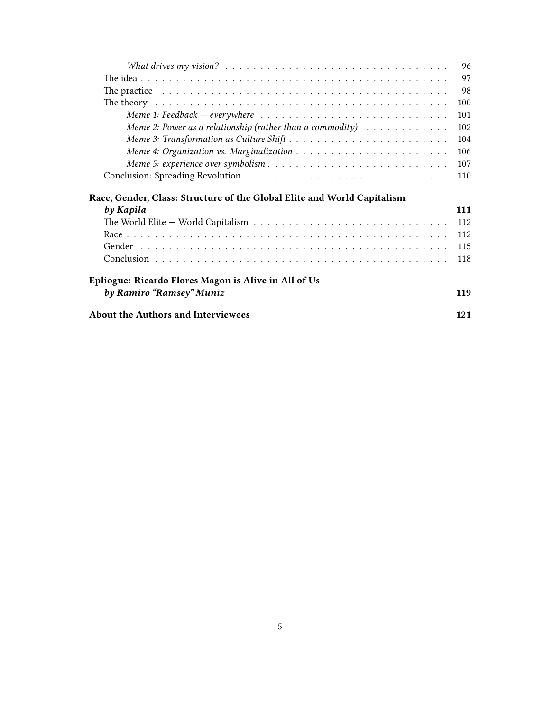| What drives my vision? $\ldots \ldots \ldots \ldots \ldots \ldots \ldots \ldots \ldots \ldots \ldots \ldots$                                                                                                                  | 96  |
|-------------------------------------------------------------------------------------------------------------------------------------------------------------------------------------------------------------------------------|-----|
|                                                                                                                                                                                                                               | 97  |
| The practice education of the practice of the practice of the practice of the practice of the problem of the problem of the problem of the problem of the problem of the problem of the problem of the problem of the problem | 98  |
|                                                                                                                                                                                                                               | 100 |
| Meme 1: Feedback — everywhere $\ldots \ldots \ldots \ldots \ldots \ldots \ldots \ldots \ldots \ldots \ldots$                                                                                                                  | 101 |
| Meme 2: Power as a relationship (rather than a commodity) $\dots \dots \dots \dots$                                                                                                                                           | 102 |
|                                                                                                                                                                                                                               | 104 |
|                                                                                                                                                                                                                               | 106 |
|                                                                                                                                                                                                                               | 107 |
|                                                                                                                                                                                                                               | 110 |
|                                                                                                                                                                                                                               |     |
| Race, Gender, Class: Structure of the Global Elite and World Capitalism                                                                                                                                                       |     |
| by Kapila                                                                                                                                                                                                                     | 111 |
| The World Elite $-$ World Capitalism $\ldots \ldots \ldots \ldots \ldots \ldots \ldots \ldots \ldots \ldots$                                                                                                                  | 112 |
|                                                                                                                                                                                                                               | 112 |
|                                                                                                                                                                                                                               | 115 |
|                                                                                                                                                                                                                               | 118 |
|                                                                                                                                                                                                                               |     |
| Epliogue: Ricardo Flores Magon is Alive in All of Us<br>by Ramiro "Ramsey" Muniz                                                                                                                                              | 119 |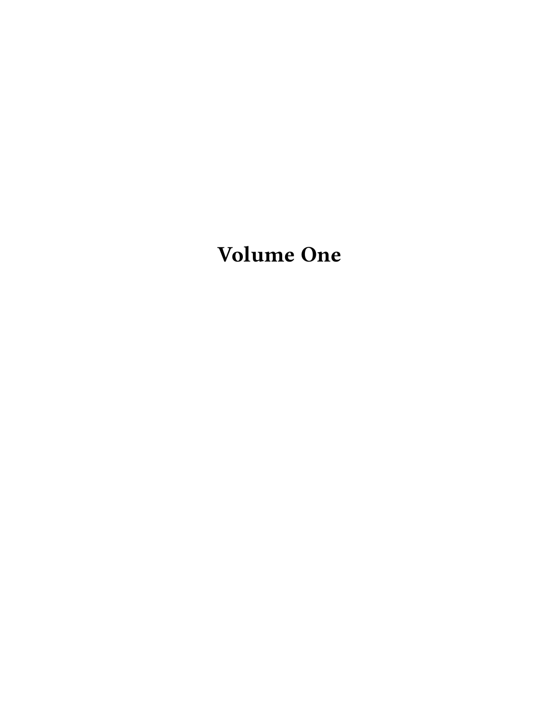# <span id="page-5-0"></span>**Volume One**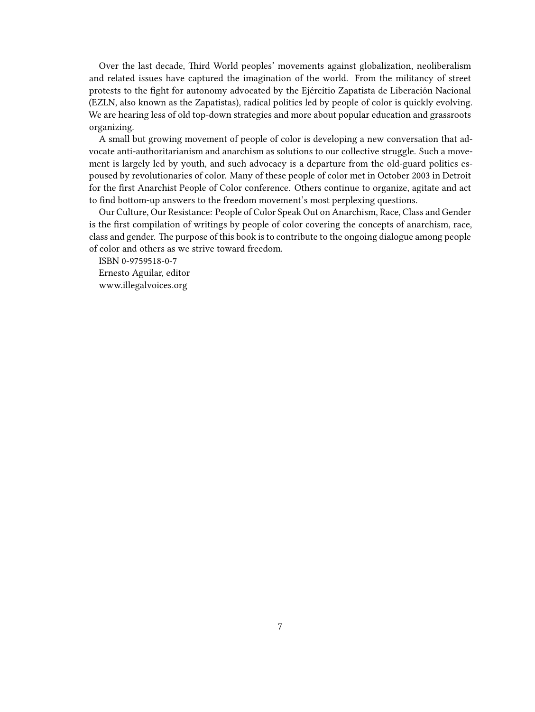Over the last decade, Third World peoples' movements against globalization, neoliberalism and related issues have captured the imagination of the world. From the militancy of street protests to the fight for autonomy advocated by the Ejércitio Zapatista de Liberación Nacional (EZLN, also known as the Zapatistas), radical politics led by people of color is quickly evolving. We are hearing less of old top-down strategies and more about popular education and grassroots organizing.

A small but growing movement of people of color is developing a new conversation that advocate anti-authoritarianism and anarchism as solutions to our collective struggle. Such a movement is largely led by youth, and such advocacy is a departure from the old-guard politics espoused by revolutionaries of color. Many of these people of color met in October 2003 in Detroit for the first Anarchist People of Color conference. Others continue to organize, agitate and act to find bottom-up answers to the freedom movement's most perplexing questions.

Our Culture, Our Resistance: People of Color Speak Out on Anarchism, Race, Class and Gender is the first compilation of writings by people of color covering the concepts of anarchism, race, class and gender. The purpose of this book is to contribute to the ongoing dialogue among people of color and others as we strive toward freedom.

ISBN 0-9759518-0-7 Ernesto Aguilar, editor [www.illegalvoices.org](http://www.illegalvoices.org/)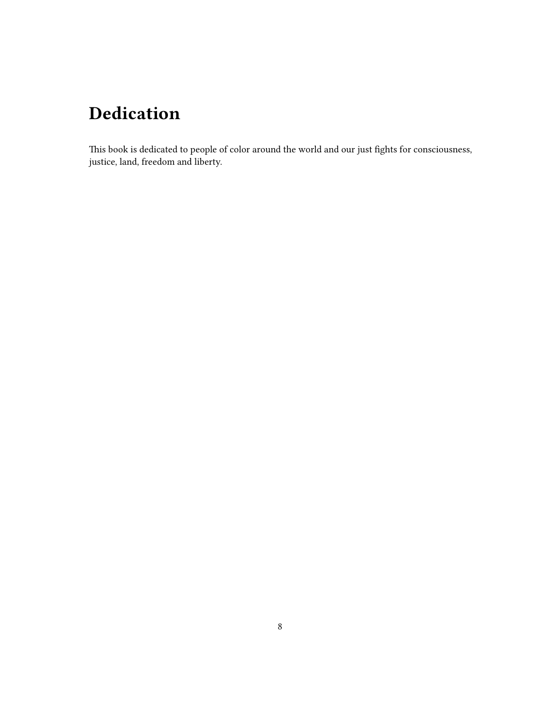### <span id="page-7-0"></span>**Dedication**

This book is dedicated to people of color around the world and our just fights for consciousness, justice, land, freedom and liberty.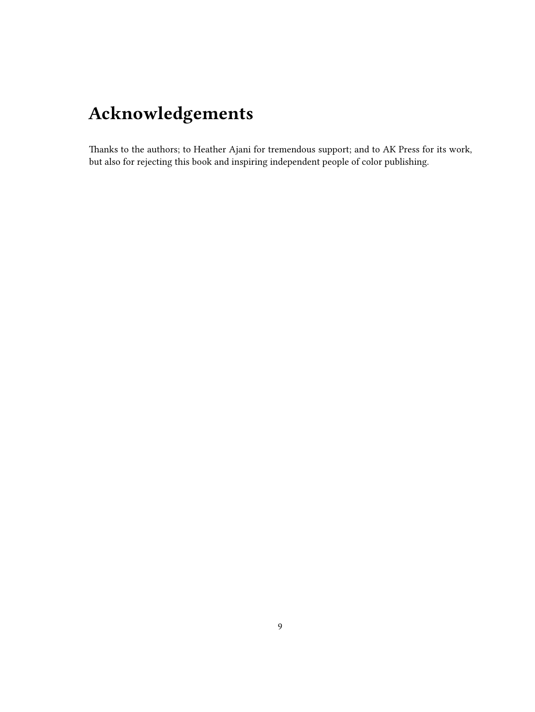## <span id="page-8-0"></span>**Acknowledgements**

Thanks to the authors; to Heather Ajani for tremendous support; and to AK Press for its work, but also for rejecting this book and inspiring independent people of color publishing.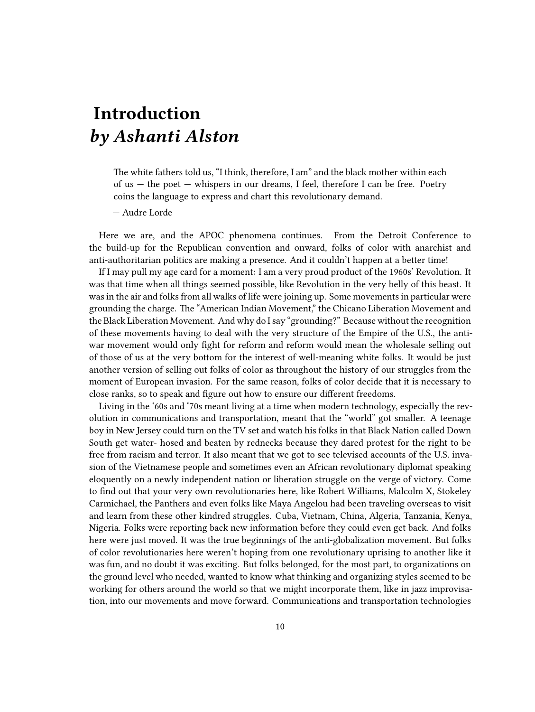### <span id="page-9-0"></span>**Introduction** *by Ashanti Alston*

The white fathers told us, "I think, therefore, I am" and the black mother within each of us — the poet — whispers in our dreams, I feel, therefore I can be free. Poetry coins the language to express and chart this revolutionary demand.

#### — Audre Lorde

Here we are, and the APOC phenomena continues. From the Detroit Conference to the build-up for the Republican convention and onward, folks of color with anarchist and anti-authoritarian politics are making a presence. And it couldn't happen at a better time!

If I may pull my age card for a moment: I am a very proud product of the 1960s' Revolution. It was that time when all things seemed possible, like Revolution in the very belly of this beast. It was in the air and folks from all walks of life were joining up. Some movements in particular were grounding the charge. The "American Indian Movement," the Chicano Liberation Movement and the Black Liberation Movement. And why do I say "grounding?" Because without the recognition of these movements having to deal with the very structure of the Empire of the U.S., the antiwar movement would only fight for reform and reform would mean the wholesale selling out of those of us at the very bottom for the interest of well-meaning white folks. It would be just another version of selling out folks of color as throughout the history of our struggles from the moment of European invasion. For the same reason, folks of color decide that it is necessary to close ranks, so to speak and figure out how to ensure our different freedoms.

Living in the '60s and '70s meant living at a time when modern technology, especially the revolution in communications and transportation, meant that the "world" got smaller. A teenage boy in New Jersey could turn on the TV set and watch his folks in that Black Nation called Down South get water- hosed and beaten by rednecks because they dared protest for the right to be free from racism and terror. It also meant that we got to see televised accounts of the U.S. invasion of the Vietnamese people and sometimes even an African revolutionary diplomat speaking eloquently on a newly independent nation or liberation struggle on the verge of victory. Come to find out that your very own revolutionaries here, like Robert Williams, Malcolm X, Stokeley Carmichael, the Panthers and even folks like Maya Angelou had been traveling overseas to visit and learn from these other kindred struggles. Cuba, Vietnam, China, Algeria, Tanzania, Kenya, Nigeria. Folks were reporting back new information before they could even get back. And folks here were just moved. It was the true beginnings of the anti-globalization movement. But folks of color revolutionaries here weren't hoping from one revolutionary uprising to another like it was fun, and no doubt it was exciting. But folks belonged, for the most part, to organizations on the ground level who needed, wanted to know what thinking and organizing styles seemed to be working for others around the world so that we might incorporate them, like in jazz improvisation, into our movements and move forward. Communications and transportation technologies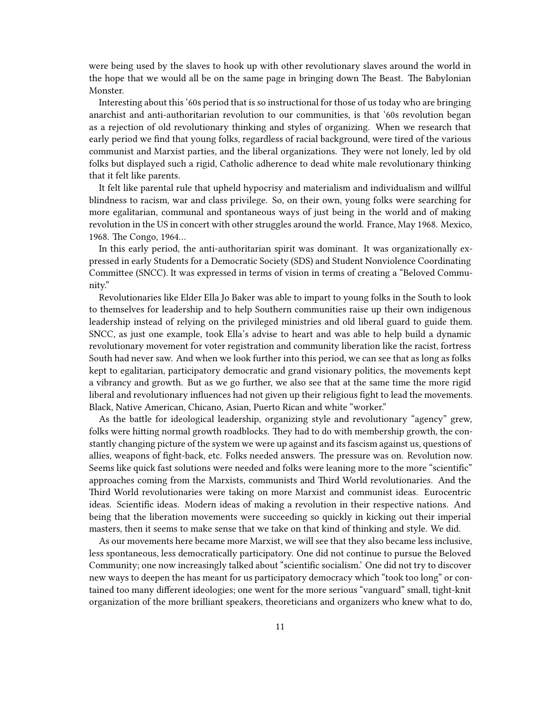were being used by the slaves to hook up with other revolutionary slaves around the world in the hope that we would all be on the same page in bringing down The Beast. The Babylonian Monster.

Interesting about this '60s period that is so instructional for those of us today who are bringing anarchist and anti-authoritarian revolution to our communities, is that '60s revolution began as a rejection of old revolutionary thinking and styles of organizing. When we research that early period we find that young folks, regardless of racial background, were tired of the various communist and Marxist parties, and the liberal organizations. They were not lonely, led by old folks but displayed such a rigid, Catholic adherence to dead white male revolutionary thinking that it felt like parents.

It felt like parental rule that upheld hypocrisy and materialism and individualism and willful blindness to racism, war and class privilege. So, on their own, young folks were searching for more egalitarian, communal and spontaneous ways of just being in the world and of making revolution in the US in concert with other struggles around the world. France, May 1968. Mexico, 1968. The Congo, 1964…

In this early period, the anti-authoritarian spirit was dominant. It was organizationally expressed in early Students for a Democratic Society (SDS) and Student Nonviolence Coordinating Committee (SNCC). It was expressed in terms of vision in terms of creating a "Beloved Community."

Revolutionaries like Elder Ella Jo Baker was able to impart to young folks in the South to look to themselves for leadership and to help Southern communities raise up their own indigenous leadership instead of relying on the privileged ministries and old liberal guard to guide them. SNCC, as just one example, took Ella's advise to heart and was able to help build a dynamic revolutionary movement for voter registration and community liberation like the racist, fortress South had never saw. And when we look further into this period, we can see that as long as folks kept to egalitarian, participatory democratic and grand visionary politics, the movements kept a vibrancy and growth. But as we go further, we also see that at the same time the more rigid liberal and revolutionary influences had not given up their religious fight to lead the movements. Black, Native American, Chicano, Asian, Puerto Rican and white "worker."

As the battle for ideological leadership, organizing style and revolutionary "agency" grew, folks were hitting normal growth roadblocks. They had to do with membership growth, the constantly changing picture of the system we were up against and its fascism against us, questions of allies, weapons of fight-back, etc. Folks needed answers. The pressure was on. Revolution now. Seems like quick fast solutions were needed and folks were leaning more to the more "scientific" approaches coming from the Marxists, communists and Third World revolutionaries. And the Third World revolutionaries were taking on more Marxist and communist ideas. Eurocentric ideas. Scientific ideas. Modern ideas of making a revolution in their respective nations. And being that the liberation movements were succeeding so quickly in kicking out their imperial masters, then it seems to make sense that we take on that kind of thinking and style. We did.

As our movements here became more Marxist, we will see that they also became less inclusive, less spontaneous, less democratically participatory. One did not continue to pursue the Beloved Community; one now increasingly talked about "scientific socialism.' One did not try to discover new ways to deepen the has meant for us participatory democracy which "took too long" or contained too many different ideologies; one went for the more serious "vanguard" small, tight-knit organization of the more brilliant speakers, theoreticians and organizers who knew what to do,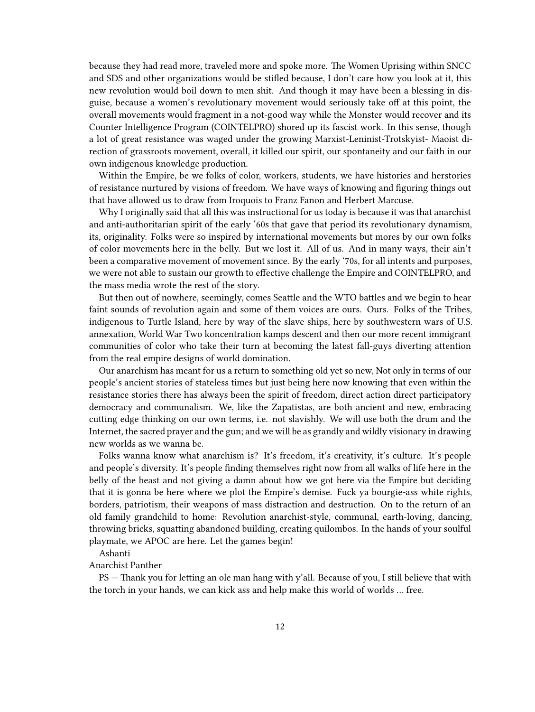because they had read more, traveled more and spoke more. The Women Uprising within SNCC and SDS and other organizations would be stifled because, I don't care how you look at it, this new revolution would boil down to men shit. And though it may have been a blessing in disguise, because a women's revolutionary movement would seriously take off at this point, the overall movements would fragment in a not-good way while the Monster would recover and its Counter Intelligence Program (COINTELPRO) shored up its fascist work. In this sense, though a lot of great resistance was waged under the growing Marxist-Leninist-Trotskyist- Maoist direction of grassroots movement, overall, it killed our spirit, our spontaneity and our faith in our own indigenous knowledge production.

Within the Empire, be we folks of color, workers, students, we have histories and herstories of resistance nurtured by visions of freedom. We have ways of knowing and figuring things out that have allowed us to draw from Iroquois to Franz Fanon and Herbert Marcuse.

Why I originally said that all this was instructional for us today is because it was that anarchist and anti-authoritarian spirit of the early '60s that gave that period its revolutionary dynamism, its, originality. Folks were so inspired by international movements but mores by our own folks of color movements here in the belly. But we lost it. All of us. And in many ways, their ain't been a comparative movement of movement since. By the early '70s, for all intents and purposes, we were not able to sustain our growth to effective challenge the Empire and COINTELPRO, and the mass media wrote the rest of the story.

But then out of nowhere, seemingly, comes Seattle and the WTO battles and we begin to hear faint sounds of revolution again and some of them voices are ours. Ours. Folks of the Tribes, indigenous to Turtle Island, here by way of the slave ships, here by southwestern wars of U.S. annexation, World War Two koncentration kamps descent and then our more recent immigrant communities of color who take their turn at becoming the latest fall-guys diverting attention from the real empire designs of world domination.

Our anarchism has meant for us a return to something old yet so new, Not only in terms of our people's ancient stories of stateless times but just being here now knowing that even within the resistance stories there has always been the spirit of freedom, direct action direct participatory democracy and communalism. We, like the Zapatistas, are both ancient and new, embracing cutting edge thinking on our own terms, i.e. not slavishly. We will use both the drum and the Internet, the sacred prayer and the gun; and we will be as grandly and wildly visionary in drawing new worlds as we wanna be.

Folks wanna know what anarchism is? It's freedom, it's creativity, it's culture. It's people and people's diversity. It's people finding themselves right now from all walks of life here in the belly of the beast and not giving a damn about how we got here via the Empire but deciding that it is gonna be here where we plot the Empire's demise. Fuck ya bourgie-ass white rights, borders, patriotism, their weapons of mass distraction and destruction. On to the return of an old family grandchild to home: Revolution anarchist-style, communal, earth-loving, dancing, throwing bricks, squatting abandoned building, creating quilombos. In the hands of your soulful playmate, we APOC are here. Let the games begin!

Ashanti

#### Anarchist Panther

PS — Thank you for letting an ole man hang with y'all. Because of you, I still believe that with the torch in your hands, we can kick ass and help make this world of worlds … free.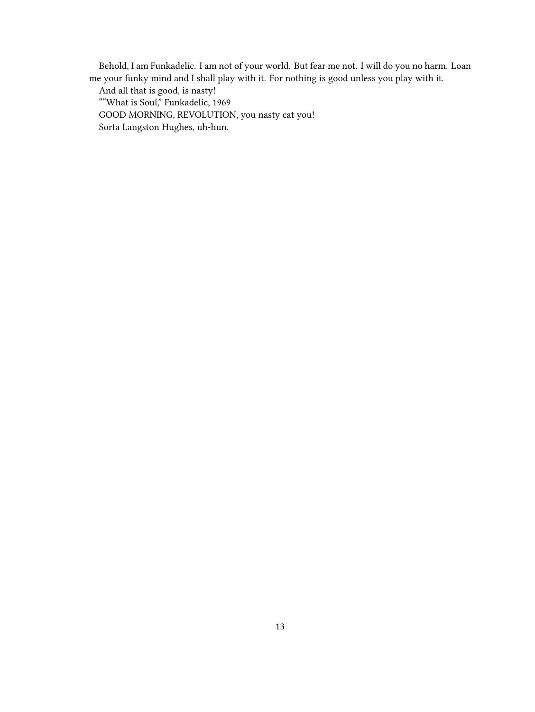Behold, I am Funkadelic. I am not of your world. But fear me not. I will do you no harm. Loan me your funky mind and I shall play with it. For nothing is good unless you play with it. And all that is good, is nasty! ""What is Soul," Funkadelic, 1969 GOOD MORNING, REVOLUTION, you nasty cat you! Sorta Langston Hughes, uh-hun.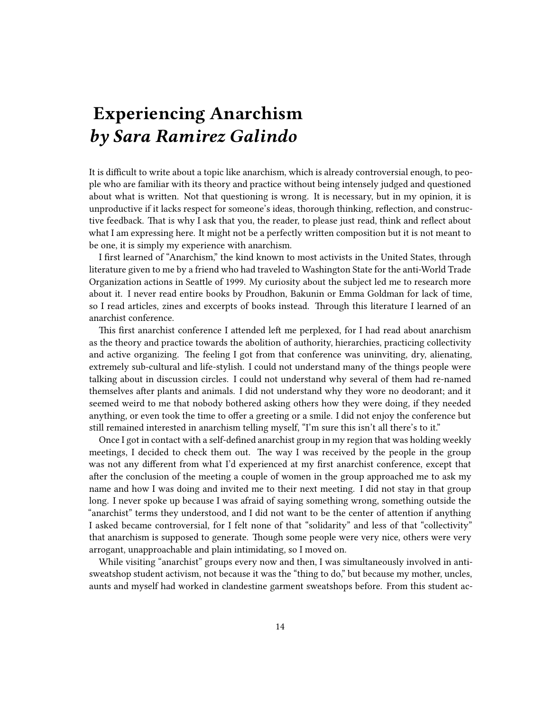### <span id="page-13-0"></span>**Experiencing Anarchism** *by Sara Ramirez Galindo*

It is difficult to write about a topic like anarchism, which is already controversial enough, to people who are familiar with its theory and practice without being intensely judged and questioned about what is written. Not that questioning is wrong. It is necessary, but in my opinion, it is unproductive if it lacks respect for someone's ideas, thorough thinking, reflection, and constructive feedback. That is why I ask that you, the reader, to please just read, think and reflect about what I am expressing here. It might not be a perfectly written composition but it is not meant to be one, it is simply my experience with anarchism.

I first learned of "Anarchism," the kind known to most activists in the United States, through literature given to me by a friend who had traveled to Washington State for the anti-World Trade Organization actions in Seattle of 1999. My curiosity about the subject led me to research more about it. I never read entire books by Proudhon, Bakunin or Emma Goldman for lack of time, so I read articles, zines and excerpts of books instead. Through this literature I learned of an anarchist conference.

This first anarchist conference I attended left me perplexed, for I had read about anarchism as the theory and practice towards the abolition of authority, hierarchies, practicing collectivity and active organizing. The feeling I got from that conference was uninviting, dry, alienating, extremely sub-cultural and life-stylish. I could not understand many of the things people were talking about in discussion circles. I could not understand why several of them had re-named themselves after plants and animals. I did not understand why they wore no deodorant; and it seemed weird to me that nobody bothered asking others how they were doing, if they needed anything, or even took the time to offer a greeting or a smile. I did not enjoy the conference but still remained interested in anarchism telling myself, "I'm sure this isn't all there's to it."

Once I got in contact with a self-defined anarchist group in my region that was holding weekly meetings, I decided to check them out. The way I was received by the people in the group was not any different from what I'd experienced at my first anarchist conference, except that after the conclusion of the meeting a couple of women in the group approached me to ask my name and how I was doing and invited me to their next meeting. I did not stay in that group long. I never spoke up because I was afraid of saying something wrong, something outside the "anarchist" terms they understood, and I did not want to be the center of attention if anything I asked became controversial, for I felt none of that "solidarity" and less of that "collectivity" that anarchism is supposed to generate. Though some people were very nice, others were very arrogant, unapproachable and plain intimidating, so I moved on.

While visiting "anarchist" groups every now and then, I was simultaneously involved in antisweatshop student activism, not because it was the "thing to do," but because my mother, uncles, aunts and myself had worked in clandestine garment sweatshops before. From this student ac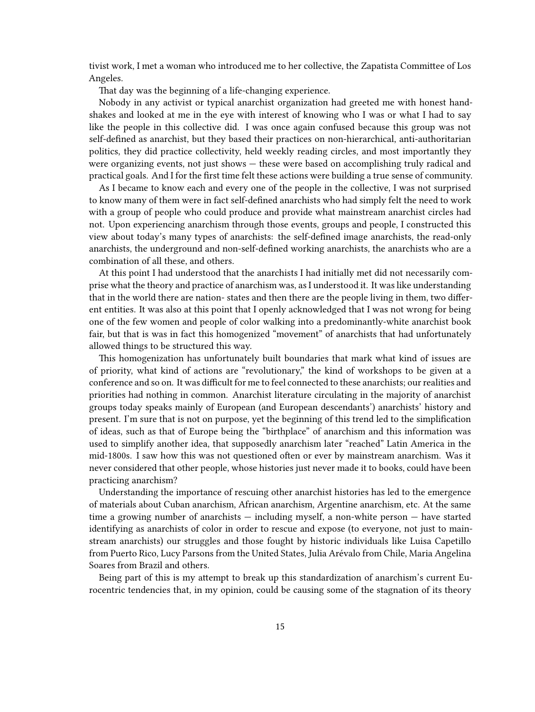tivist work, I met a woman who introduced me to her collective, the Zapatista Committee of Los Angeles.

That day was the beginning of a life-changing experience.

Nobody in any activist or typical anarchist organization had greeted me with honest handshakes and looked at me in the eye with interest of knowing who I was or what I had to say like the people in this collective did. I was once again confused because this group was not self-defined as anarchist, but they based their practices on non-hierarchical, anti-authoritarian politics, they did practice collectivity, held weekly reading circles, and most importantly they were organizing events, not just shows — these were based on accomplishing truly radical and practical goals. And I for the first time felt these actions were building a true sense of community.

As I became to know each and every one of the people in the collective, I was not surprised to know many of them were in fact self-defined anarchists who had simply felt the need to work with a group of people who could produce and provide what mainstream anarchist circles had not. Upon experiencing anarchism through those events, groups and people, I constructed this view about today's many types of anarchists: the self-defined image anarchists, the read-only anarchists, the underground and non-self-defined working anarchists, the anarchists who are a combination of all these, and others.

At this point I had understood that the anarchists I had initially met did not necessarily comprise what the theory and practice of anarchism was, as I understood it. It was like understanding that in the world there are nation- states and then there are the people living in them, two different entities. It was also at this point that I openly acknowledged that I was not wrong for being one of the few women and people of color walking into a predominantly-white anarchist book fair, but that is was in fact this homogenized "movement" of anarchists that had unfortunately allowed things to be structured this way.

This homogenization has unfortunately built boundaries that mark what kind of issues are of priority, what kind of actions are "revolutionary," the kind of workshops to be given at a conference and so on. It was difficult for me to feel connected to these anarchists; our realities and priorities had nothing in common. Anarchist literature circulating in the majority of anarchist groups today speaks mainly of European (and European descendants') anarchists' history and present. I'm sure that is not on purpose, yet the beginning of this trend led to the simplification of ideas, such as that of Europe being the "birthplace" of anarchism and this information was used to simplify another idea, that supposedly anarchism later "reached" Latin America in the mid-1800s. I saw how this was not questioned often or ever by mainstream anarchism. Was it never considered that other people, whose histories just never made it to books, could have been practicing anarchism?

Understanding the importance of rescuing other anarchist histories has led to the emergence of materials about Cuban anarchism, African anarchism, Argentine anarchism, etc. At the same time a growing number of anarchists — including myself, a non-white person — have started identifying as anarchists of color in order to rescue and expose (to everyone, not just to mainstream anarchists) our struggles and those fought by historic individuals like Luisa Capetillo from Puerto Rico, Lucy Parsons from the United States, Julia Arévalo from Chile, Maria Angelina Soares from Brazil and others.

Being part of this is my attempt to break up this standardization of anarchism's current Eurocentric tendencies that, in my opinion, could be causing some of the stagnation of its theory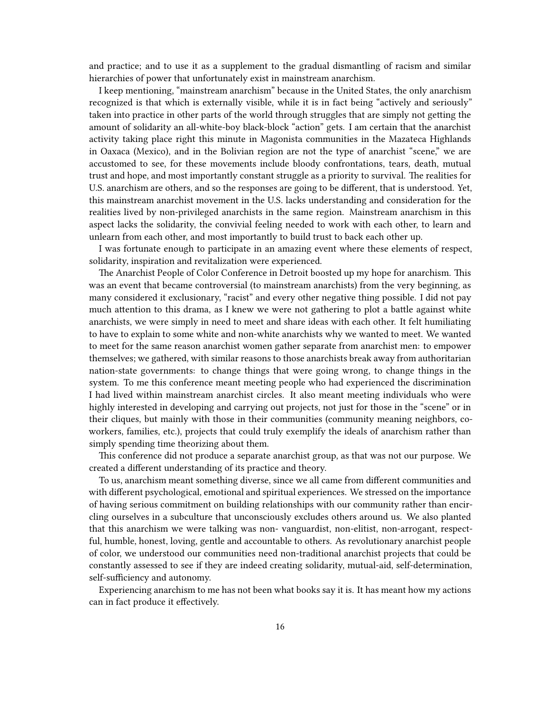and practice; and to use it as a supplement to the gradual dismantling of racism and similar hierarchies of power that unfortunately exist in mainstream anarchism.

I keep mentioning, "mainstream anarchism" because in the United States, the only anarchism recognized is that which is externally visible, while it is in fact being "actively and seriously" taken into practice in other parts of the world through struggles that are simply not getting the amount of solidarity an all-white-boy black-block "action" gets. I am certain that the anarchist activity taking place right this minute in Magonista communities in the Mazateca Highlands in Oaxaca (Mexico), and in the Bolivian region are not the type of anarchist "scene," we are accustomed to see, for these movements include bloody confrontations, tears, death, mutual trust and hope, and most importantly constant struggle as a priority to survival. The realities for U.S. anarchism are others, and so the responses are going to be different, that is understood. Yet, this mainstream anarchist movement in the U.S. lacks understanding and consideration for the realities lived by non-privileged anarchists in the same region. Mainstream anarchism in this aspect lacks the solidarity, the convivial feeling needed to work with each other, to learn and unlearn from each other, and most importantly to build trust to back each other up.

I was fortunate enough to participate in an amazing event where these elements of respect, solidarity, inspiration and revitalization were experienced.

The Anarchist People of Color Conference in Detroit boosted up my hope for anarchism. This was an event that became controversial (to mainstream anarchists) from the very beginning, as many considered it exclusionary, "racist" and every other negative thing possible. I did not pay much attention to this drama, as I knew we were not gathering to plot a battle against white anarchists, we were simply in need to meet and share ideas with each other. It felt humiliating to have to explain to some white and non-white anarchists why we wanted to meet. We wanted to meet for the same reason anarchist women gather separate from anarchist men: to empower themselves; we gathered, with similar reasons to those anarchists break away from authoritarian nation-state governments: to change things that were going wrong, to change things in the system. To me this conference meant meeting people who had experienced the discrimination I had lived within mainstream anarchist circles. It also meant meeting individuals who were highly interested in developing and carrying out projects, not just for those in the "scene" or in their cliques, but mainly with those in their communities (community meaning neighbors, coworkers, families, etc.), projects that could truly exemplify the ideals of anarchism rather than simply spending time theorizing about them.

This conference did not produce a separate anarchist group, as that was not our purpose. We created a different understanding of its practice and theory.

To us, anarchism meant something diverse, since we all came from different communities and with different psychological, emotional and spiritual experiences. We stressed on the importance of having serious commitment on building relationships with our community rather than encircling ourselves in a subculture that unconsciously excludes others around us. We also planted that this anarchism we were talking was non- vanguardist, non-elitist, non-arrogant, respectful, humble, honest, loving, gentle and accountable to others. As revolutionary anarchist people of color, we understood our communities need non-traditional anarchist projects that could be constantly assessed to see if they are indeed creating solidarity, mutual-aid, self-determination, self-sufficiency and autonomy.

Experiencing anarchism to me has not been what books say it is. It has meant how my actions can in fact produce it effectively.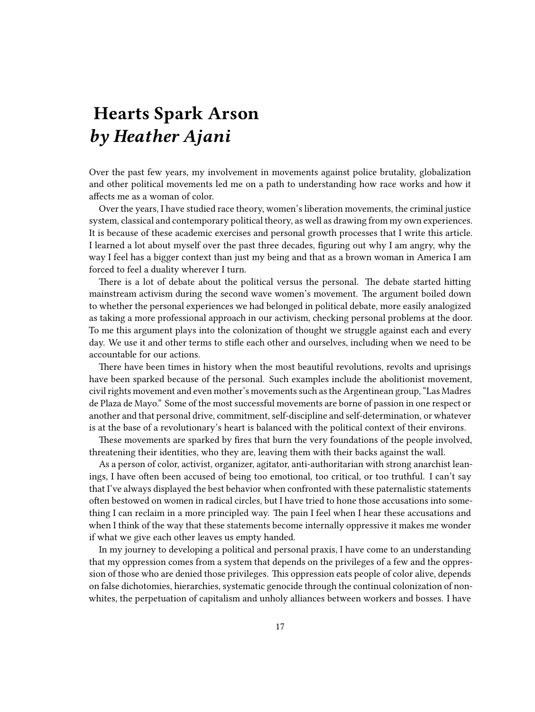### <span id="page-16-0"></span>**Hearts Spark Arson** *by Heather Ajani*

Over the past few years, my involvement in movements against police brutality, globalization and other political movements led me on a path to understanding how race works and how it affects me as a woman of color.

Over the years, I have studied race theory, women's liberation movements, the criminal justice system, classical and contemporary political theory, as well as drawing from my own experiences. It is because of these academic exercises and personal growth processes that I write this article. I learned a lot about myself over the past three decades, figuring out why I am angry, why the way I feel has a bigger context than just my being and that as a brown woman in America I am forced to feel a duality wherever I turn.

There is a lot of debate about the political versus the personal. The debate started hitting mainstream activism during the second wave women's movement. The argument boiled down to whether the personal experiences we had belonged in political debate, more easily analogized as taking a more professional approach in our activism, checking personal problems at the door. To me this argument plays into the colonization of thought we struggle against each and every day. We use it and other terms to stifle each other and ourselves, including when we need to be accountable for our actions.

There have been times in history when the most beautiful revolutions, revolts and uprisings have been sparked because of the personal. Such examples include the abolitionist movement, civil rights movement and even mother's movements such as the Argentinean group, "Las Madres de Plaza de Mayo." Some of the most successful movements are borne of passion in one respect or another and that personal drive, commitment, self-discipline and self-determination, or whatever is at the base of a revolutionary's heart is balanced with the political context of their environs.

These movements are sparked by fires that burn the very foundations of the people involved, threatening their identities, who they are, leaving them with their backs against the wall.

As a person of color, activist, organizer, agitator, anti-authoritarian with strong anarchist leanings, I have often been accused of being too emotional, too critical, or too truthful. I can't say that I've always displayed the best behavior when confronted with these paternalistic statements often bestowed on women in radical circles, but I have tried to hone those accusations into something I can reclaim in a more principled way. The pain I feel when I hear these accusations and when I think of the way that these statements become internally oppressive it makes me wonder if what we give each other leaves us empty handed.

In my journey to developing a political and personal praxis, I have come to an understanding that my oppression comes from a system that depends on the privileges of a few and the oppression of those who are denied those privileges. This oppression eats people of color alive, depends on false dichotomies, hierarchies, systematic genocide through the continual colonization of nonwhites, the perpetuation of capitalism and unholy alliances between workers and bosses. I have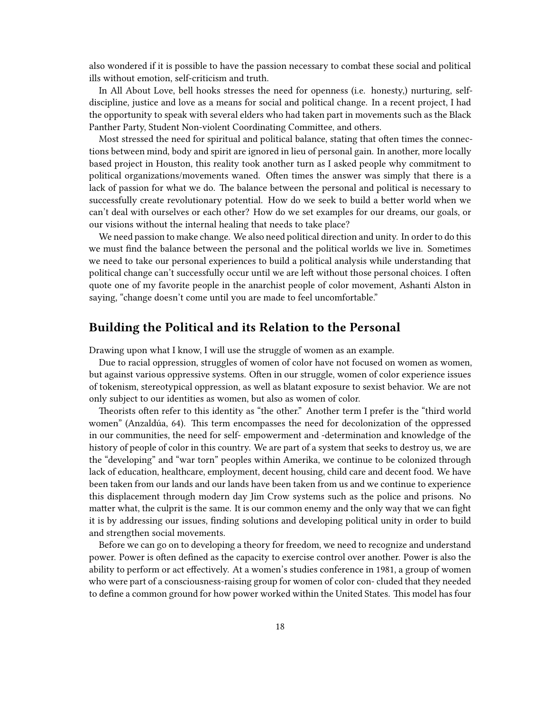also wondered if it is possible to have the passion necessary to combat these social and political ills without emotion, self-criticism and truth.

In All About Love, bell hooks stresses the need for openness (i.e. honesty,) nurturing, selfdiscipline, justice and love as a means for social and political change. In a recent project, I had the opportunity to speak with several elders who had taken part in movements such as the Black Panther Party, Student Non-violent Coordinating Committee, and others.

Most stressed the need for spiritual and political balance, stating that often times the connections between mind, body and spirit are ignored in lieu of personal gain. In another, more locally based project in Houston, this reality took another turn as I asked people why commitment to political organizations/movements waned. Often times the answer was simply that there is a lack of passion for what we do. The balance between the personal and political is necessary to successfully create revolutionary potential. How do we seek to build a better world when we can't deal with ourselves or each other? How do we set examples for our dreams, our goals, or our visions without the internal healing that needs to take place?

We need passion to make change. We also need political direction and unity. In order to do this we must find the balance between the personal and the political worlds we live in. Sometimes we need to take our personal experiences to build a political analysis while understanding that political change can't successfully occur until we are left without those personal choices. I often quote one of my favorite people in the anarchist people of color movement, Ashanti Alston in saying, "change doesn't come until you are made to feel uncomfortable."

#### <span id="page-17-0"></span>**Building the Political and its Relation to the Personal**

Drawing upon what I know, I will use the struggle of women as an example.

Due to racial oppression, struggles of women of color have not focused on women as women, but against various oppressive systems. Often in our struggle, women of color experience issues of tokenism, stereotypical oppression, as well as blatant exposure to sexist behavior. We are not only subject to our identities as women, but also as women of color.

Theorists often refer to this identity as "the other." Another term I prefer is the "third world women" (Anzaldúa, 64). This term encompasses the need for decolonization of the oppressed in our communities, the need for self- empowerment and -determination and knowledge of the history of people of color in this country. We are part of a system that seeks to destroy us, we are the "developing" and "war torn" peoples within Amerika, we continue to be colonized through lack of education, healthcare, employment, decent housing, child care and decent food. We have been taken from our lands and our lands have been taken from us and we continue to experience this displacement through modern day Jim Crow systems such as the police and prisons. No matter what, the culprit is the same. It is our common enemy and the only way that we can fight it is by addressing our issues, finding solutions and developing political unity in order to build and strengthen social movements.

Before we can go on to developing a theory for freedom, we need to recognize and understand power. Power is often defined as the capacity to exercise control over another. Power is also the ability to perform or act effectively. At a women's studies conference in 1981, a group of women who were part of a consciousness-raising group for women of color con- cluded that they needed to define a common ground for how power worked within the United States. This model has four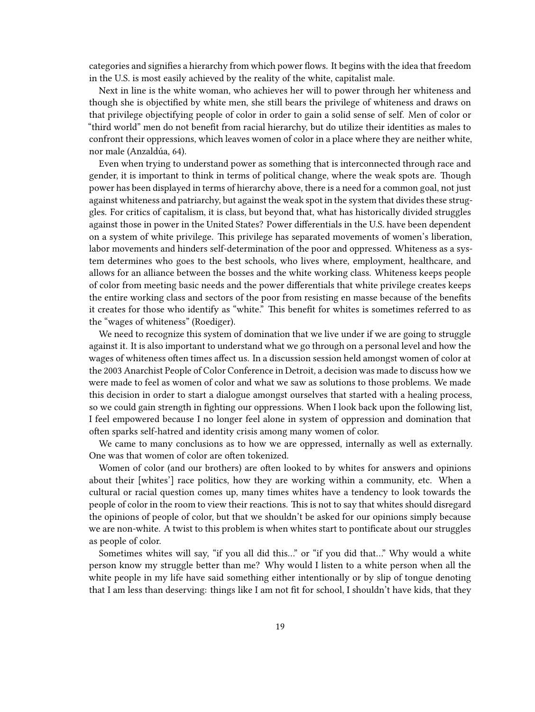categories and signifies a hierarchy from which power flows. It begins with the idea that freedom in the U.S. is most easily achieved by the reality of the white, capitalist male.

Next in line is the white woman, who achieves her will to power through her whiteness and though she is objectified by white men, she still bears the privilege of whiteness and draws on that privilege objectifying people of color in order to gain a solid sense of self. Men of color or "third world" men do not benefit from racial hierarchy, but do utilize their identities as males to confront their oppressions, which leaves women of color in a place where they are neither white, nor male (Anzaldúa, 64).

Even when trying to understand power as something that is interconnected through race and gender, it is important to think in terms of political change, where the weak spots are. Though power has been displayed in terms of hierarchy above, there is a need for a common goal, not just against whiteness and patriarchy, but against the weak spot in the system that divides these struggles. For critics of capitalism, it is class, but beyond that, what has historically divided struggles against those in power in the United States? Power differentials in the U.S. have been dependent on a system of white privilege. This privilege has separated movements of women's liberation, labor movements and hinders self-determination of the poor and oppressed. Whiteness as a system determines who goes to the best schools, who lives where, employment, healthcare, and allows for an alliance between the bosses and the white working class. Whiteness keeps people of color from meeting basic needs and the power differentials that white privilege creates keeps the entire working class and sectors of the poor from resisting en masse because of the benefits it creates for those who identify as "white." This benefit for whites is sometimes referred to as the "wages of whiteness" (Roediger).

We need to recognize this system of domination that we live under if we are going to struggle against it. It is also important to understand what we go through on a personal level and how the wages of whiteness often times affect us. In a discussion session held amongst women of color at the 2003 Anarchist People of Color Conference in Detroit, a decision was made to discuss how we were made to feel as women of color and what we saw as solutions to those problems. We made this decision in order to start a dialogue amongst ourselves that started with a healing process, so we could gain strength in fighting our oppressions. When I look back upon the following list, I feel empowered because I no longer feel alone in system of oppression and domination that often sparks self-hatred and identity crisis among many women of color.

We came to many conclusions as to how we are oppressed, internally as well as externally. One was that women of color are often tokenized.

Women of color (and our brothers) are often looked to by whites for answers and opinions about their [whites'] race politics, how they are working within a community, etc. When a cultural or racial question comes up, many times whites have a tendency to look towards the people of color in the room to view their reactions. This is not to say that whites should disregard the opinions of people of color, but that we shouldn't be asked for our opinions simply because we are non-white. A twist to this problem is when whites start to pontificate about our struggles as people of color.

Sometimes whites will say, "if you all did this…" or "if you did that…" Why would a white person know my struggle better than me? Why would I listen to a white person when all the white people in my life have said something either intentionally or by slip of tongue denoting that I am less than deserving: things like I am not fit for school, I shouldn't have kids, that they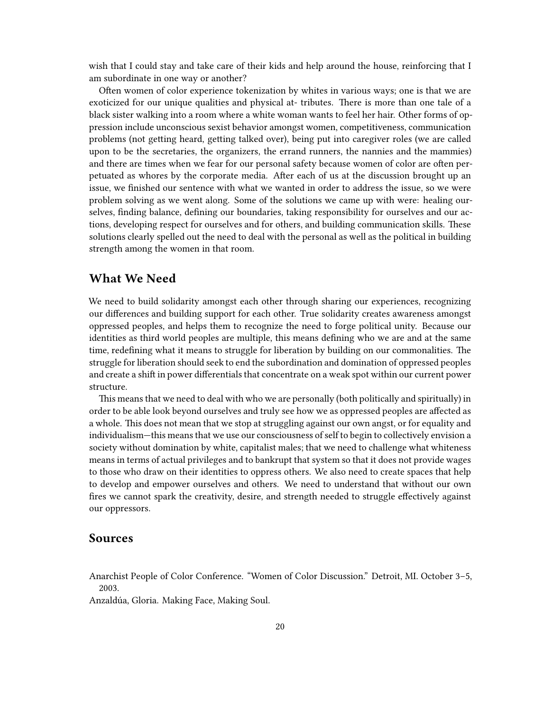wish that I could stay and take care of their kids and help around the house, reinforcing that I am subordinate in one way or another?

Often women of color experience tokenization by whites in various ways; one is that we are exoticized for our unique qualities and physical at- tributes. There is more than one tale of a black sister walking into a room where a white woman wants to feel her hair. Other forms of oppression include unconscious sexist behavior amongst women, competitiveness, communication problems (not getting heard, getting talked over), being put into caregiver roles (we are called upon to be the secretaries, the organizers, the errand runners, the nannies and the mammies) and there are times when we fear for our personal safety because women of color are often perpetuated as whores by the corporate media. After each of us at the discussion brought up an issue, we finished our sentence with what we wanted in order to address the issue, so we were problem solving as we went along. Some of the solutions we came up with were: healing ourselves, finding balance, defining our boundaries, taking responsibility for ourselves and our actions, developing respect for ourselves and for others, and building communication skills. These solutions clearly spelled out the need to deal with the personal as well as the political in building strength among the women in that room.

#### <span id="page-19-0"></span>**What We Need**

We need to build solidarity amongst each other through sharing our experiences, recognizing our differences and building support for each other. True solidarity creates awareness amongst oppressed peoples, and helps them to recognize the need to forge political unity. Because our identities as third world peoples are multiple, this means defining who we are and at the same time, redefining what it means to struggle for liberation by building on our commonalities. The struggle for liberation should seek to end the subordination and domination of oppressed peoples and create a shift in power differentials that concentrate on a weak spot within our current power structure.

This means that we need to deal with who we are personally (both politically and spiritually) in order to be able look beyond ourselves and truly see how we as oppressed peoples are affected as a whole. This does not mean that we stop at struggling against our own angst, or for equality and individualism—this means that we use our consciousness of self to begin to collectively envision a society without domination by white, capitalist males; that we need to challenge what whiteness means in terms of actual privileges and to bankrupt that system so that it does not provide wages to those who draw on their identities to oppress others. We also need to create spaces that help to develop and empower ourselves and others. We need to understand that without our own fires we cannot spark the creativity, desire, and strength needed to struggle effectively against our oppressors.

#### <span id="page-19-1"></span>**Sources**

Anarchist People of Color Conference. "Women of Color Discussion." Detroit, MI. October 3–5, 2003.

Anzaldúa, Gloria. Making Face, Making Soul.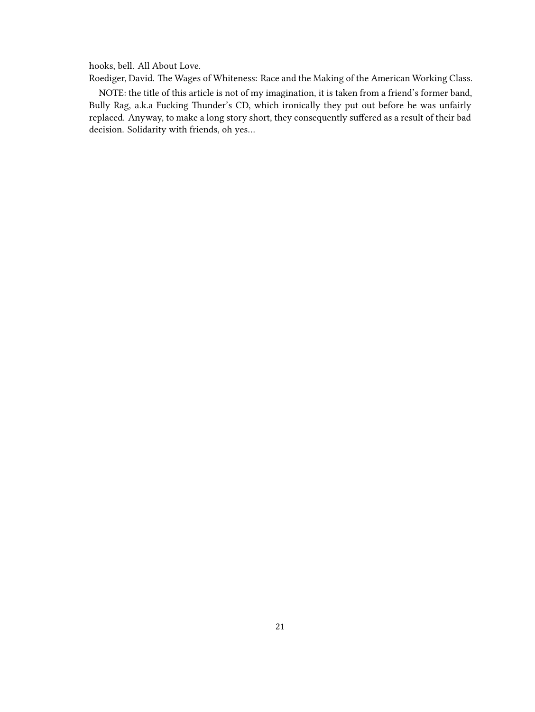hooks, bell. All About Love.

Roediger, David. The Wages of Whiteness: Race and the Making of the American Working Class.

NOTE: the title of this article is not of my imagination, it is taken from a friend's former band, Bully Rag, a.k.a Fucking Thunder's CD, which ironically they put out before he was unfairly replaced. Anyway, to make a long story short, they consequently suffered as a result of their bad decision. Solidarity with friends, oh yes…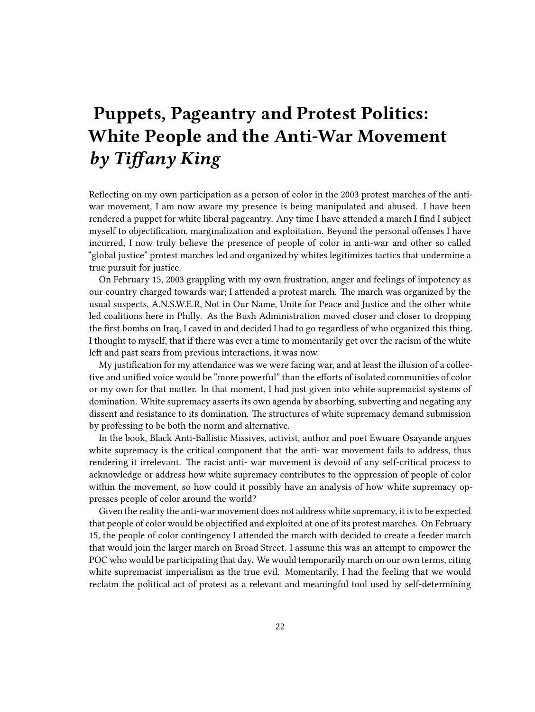### <span id="page-21-0"></span>**Puppets, Pageantry and Protest Politics: White People and the Anti-War Movement** *by Tiffany King*

Reflecting on my own participation as a person of color in the 2003 protest marches of the antiwar movement, I am now aware my presence is being manipulated and abused. I have been rendered a puppet for white liberal pageantry. Any time I have attended a march I find I subject myself to objectification, marginalization and exploitation. Beyond the personal offenses I have incurred, I now truly believe the presence of people of color in anti-war and other so called "global justice" protest marches led and organized by whites legitimizes tactics that undermine a true pursuit for justice.

On February 15, 2003 grappling with my own frustration, anger and feelings of impotency as our country charged towards war; I attended a protest march. The march was organized by the usual suspects, A.N.S.W.E.R, Not in Our Name, Unite for Peace and Justice and the other white led coalitions here in Philly. As the Bush Administration moved closer and closer to dropping the first bombs on Iraq, I caved in and decided I had to go regardless of who organized this thing. I thought to myself, that if there was ever a time to momentarily get over the racism of the white left and past scars from previous interactions, it was now.

My justification for my attendance was we were facing war, and at least the illusion of a collective and unified voice would be "more powerful" than the efforts of isolated communities of color or my own for that matter. In that moment, I had just given into white supremacist systems of domination. White supremacy asserts its own agenda by absorbing, subverting and negating any dissent and resistance to its domination. The structures of white supremacy demand submission by professing to be both the norm and alternative.

In the book, Black Anti-Ballistic Missives, activist, author and poet Ewuare Osayande argues white supremacy is the critical component that the anti- war movement fails to address, thus rendering it irrelevant. The racist anti- war movement is devoid of any self-critical process to acknowledge or address how white supremacy contributes to the oppression of people of color within the movement, so how could it possibly have an analysis of how white supremacy oppresses people of color around the world?

Given the reality the anti-war movement does not address white supremacy, it is to be expected that people of color would be objectified and exploited at one of its protest marches. On February 15, the people of color contingency I attended the march with decided to create a feeder march that would join the larger march on Broad Street. I assume this was an attempt to empower the POC who would be participating that day. We would temporarily march on our own terms, citing white supremacist imperialism as the true evil. Momentarily, I had the feeling that we would reclaim the political act of protest as a relevant and meaningful tool used by self-determining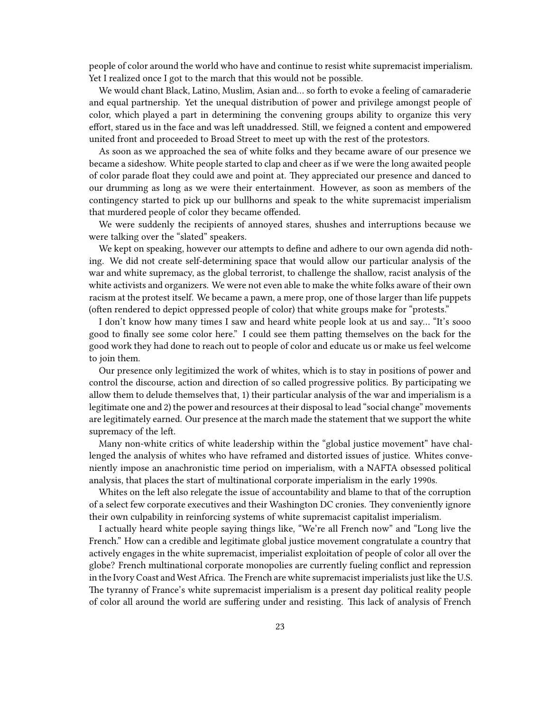people of color around the world who have and continue to resist white supremacist imperialism. Yet I realized once I got to the march that this would not be possible.

We would chant Black, Latino, Muslim, Asian and… so forth to evoke a feeling of camaraderie and equal partnership. Yet the unequal distribution of power and privilege amongst people of color, which played a part in determining the convening groups ability to organize this very effort, stared us in the face and was left unaddressed. Still, we feigned a content and empowered united front and proceeded to Broad Street to meet up with the rest of the protestors.

As soon as we approached the sea of white folks and they became aware of our presence we became a sideshow. White people started to clap and cheer as if we were the long awaited people of color parade float they could awe and point at. They appreciated our presence and danced to our drumming as long as we were their entertainment. However, as soon as members of the contingency started to pick up our bullhorns and speak to the white supremacist imperialism that murdered people of color they became offended.

We were suddenly the recipients of annoyed stares, shushes and interruptions because we were talking over the "slated" speakers.

We kept on speaking, however our attempts to define and adhere to our own agenda did nothing. We did not create self-determining space that would allow our particular analysis of the war and white supremacy, as the global terrorist, to challenge the shallow, racist analysis of the white activists and organizers. We were not even able to make the white folks aware of their own racism at the protest itself. We became a pawn, a mere prop, one of those larger than life puppets (often rendered to depict oppressed people of color) that white groups make for "protests."

I don't know how many times I saw and heard white people look at us and say… "It's sooo good to finally see some color here." I could see them patting themselves on the back for the good work they had done to reach out to people of color and educate us or make us feel welcome to join them.

Our presence only legitimized the work of whites, which is to stay in positions of power and control the discourse, action and direction of so called progressive politics. By participating we allow them to delude themselves that, 1) their particular analysis of the war and imperialism is a legitimate one and 2) the power and resources at their disposal to lead "social change" movements are legitimately earned. Our presence at the march made the statement that we support the white supremacy of the left.

Many non-white critics of white leadership within the "global justice movement" have challenged the analysis of whites who have reframed and distorted issues of justice. Whites conveniently impose an anachronistic time period on imperialism, with a NAFTA obsessed political analysis, that places the start of multinational corporate imperialism in the early 1990s.

Whites on the left also relegate the issue of accountability and blame to that of the corruption of a select few corporate executives and their Washington DC cronies. They conveniently ignore their own culpability in reinforcing systems of white supremacist capitalist imperialism.

I actually heard white people saying things like, "We're all French now" and "Long live the French." How can a credible and legitimate global justice movement congratulate a country that actively engages in the white supremacist, imperialist exploitation of people of color all over the globe? French multinational corporate monopolies are currently fueling conflict and repression in the Ivory Coast and West Africa. The French are white supremacist imperialists just like the U.S. The tyranny of France's white supremacist imperialism is a present day political reality people of color all around the world are suffering under and resisting. This lack of analysis of French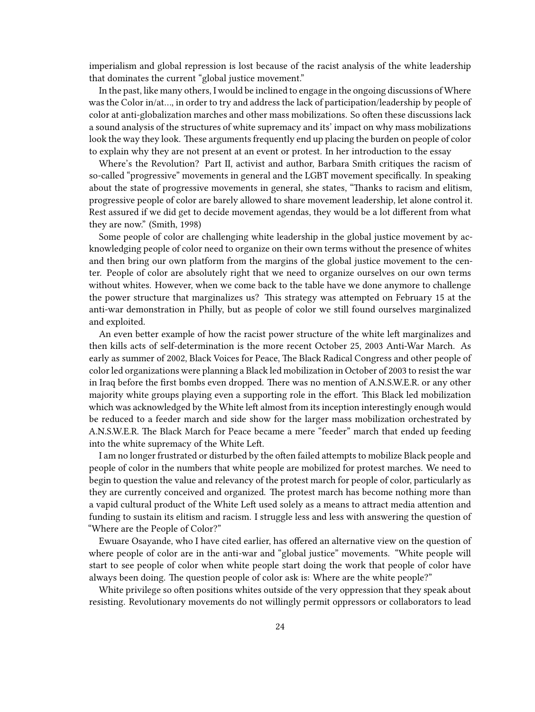imperialism and global repression is lost because of the racist analysis of the white leadership that dominates the current "global justice movement."

In the past, like many others, I would be inclined to engage in the ongoing discussions of Where was the Color in/at…, in order to try and address the lack of participation/leadership by people of color at anti-globalization marches and other mass mobilizations. So often these discussions lack a sound analysis of the structures of white supremacy and its' impact on why mass mobilizations look the way they look. These arguments frequently end up placing the burden on people of color to explain why they are not present at an event or protest. In her introduction to the essay

Where's the Revolution? Part II, activist and author, Barbara Smith critiques the racism of so-called "progressive" movements in general and the LGBT movement specifically. In speaking about the state of progressive movements in general, she states, "Thanks to racism and elitism, progressive people of color are barely allowed to share movement leadership, let alone control it. Rest assured if we did get to decide movement agendas, they would be a lot different from what they are now." (Smith, 1998)

Some people of color are challenging white leadership in the global justice movement by acknowledging people of color need to organize on their own terms without the presence of whites and then bring our own platform from the margins of the global justice movement to the center. People of color are absolutely right that we need to organize ourselves on our own terms without whites. However, when we come back to the table have we done anymore to challenge the power structure that marginalizes us? This strategy was attempted on February 15 at the anti-war demonstration in Philly, but as people of color we still found ourselves marginalized and exploited.

An even better example of how the racist power structure of the white left marginalizes and then kills acts of self-determination is the more recent October 25, 2003 Anti-War March. As early as summer of 2002, Black Voices for Peace, The Black Radical Congress and other people of color led organizations were planning a Black led mobilization in October of 2003 to resist the war in Iraq before the first bombs even dropped. There was no mention of A.N.S.W.E.R. or any other majority white groups playing even a supporting role in the effort. This Black led mobilization which was acknowledged by the White left almost from its inception interestingly enough would be reduced to a feeder march and side show for the larger mass mobilization orchestrated by A.N.S.W.E.R. The Black March for Peace became a mere "feeder" march that ended up feeding into the white supremacy of the White Left.

I am no longer frustrated or disturbed by the often failed attempts to mobilize Black people and people of color in the numbers that white people are mobilized for protest marches. We need to begin to question the value and relevancy of the protest march for people of color, particularly as they are currently conceived and organized. The protest march has become nothing more than a vapid cultural product of the White Left used solely as a means to attract media attention and funding to sustain its elitism and racism. I struggle less and less with answering the question of "Where are the People of Color?"

Ewuare Osayande, who I have cited earlier, has offered an alternative view on the question of where people of color are in the anti-war and "global justice" movements. "White people will start to see people of color when white people start doing the work that people of color have always been doing. The question people of color ask is: Where are the white people?"

White privilege so often positions whites outside of the very oppression that they speak about resisting. Revolutionary movements do not willingly permit oppressors or collaborators to lead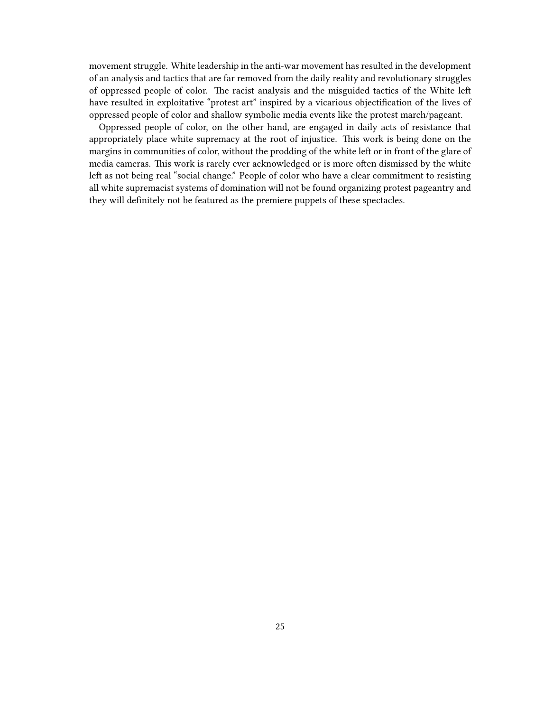movement struggle. White leadership in the anti-war movement has resulted in the development of an analysis and tactics that are far removed from the daily reality and revolutionary struggles of oppressed people of color. The racist analysis and the misguided tactics of the White left have resulted in exploitative "protest art" inspired by a vicarious objectification of the lives of oppressed people of color and shallow symbolic media events like the protest march/pageant.

Oppressed people of color, on the other hand, are engaged in daily acts of resistance that appropriately place white supremacy at the root of injustice. This work is being done on the margins in communities of color, without the prodding of the white left or in front of the glare of media cameras. This work is rarely ever acknowledged or is more often dismissed by the white left as not being real "social change." People of color who have a clear commitment to resisting all white supremacist systems of domination will not be found organizing protest pageantry and they will definitely not be featured as the premiere puppets of these spectacles.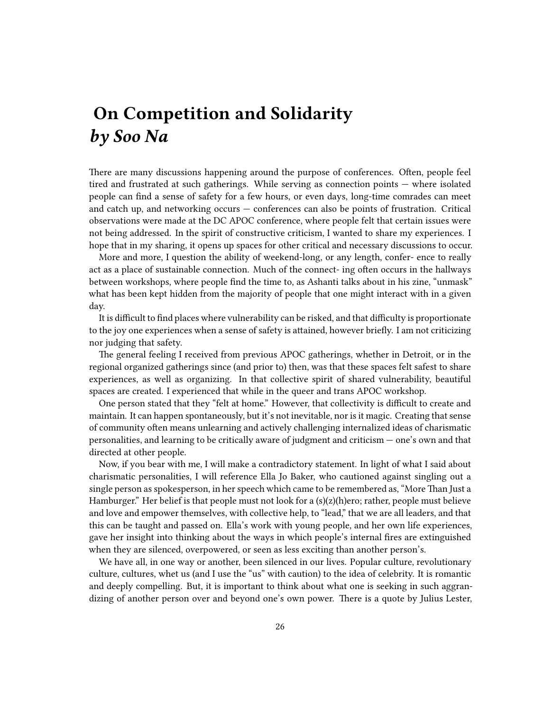### <span id="page-25-0"></span>**On Competition and Solidarity** *by Soo Na*

There are many discussions happening around the purpose of conferences. Often, people feel tired and frustrated at such gatherings. While serving as connection points — where isolated people can find a sense of safety for a few hours, or even days, long-time comrades can meet and catch up, and networking occurs — conferences can also be points of frustration. Critical observations were made at the DC APOC conference, where people felt that certain issues were not being addressed. In the spirit of constructive criticism, I wanted to share my experiences. I hope that in my sharing, it opens up spaces for other critical and necessary discussions to occur.

More and more, I question the ability of weekend-long, or any length, confer- ence to really act as a place of sustainable connection. Much of the connect- ing often occurs in the hallways between workshops, where people find the time to, as Ashanti talks about in his zine, "unmask" what has been kept hidden from the majority of people that one might interact with in a given day.

It is difficult to find places where vulnerability can be risked, and that difficulty is proportionate to the joy one experiences when a sense of safety is attained, however briefly. I am not criticizing nor judging that safety.

The general feeling I received from previous APOC gatherings, whether in Detroit, or in the regional organized gatherings since (and prior to) then, was that these spaces felt safest to share experiences, as well as organizing. In that collective spirit of shared vulnerability, beautiful spaces are created. I experienced that while in the queer and trans APOC workshop.

One person stated that they "felt at home." However, that collectivity is difficult to create and maintain. It can happen spontaneously, but it's not inevitable, nor is it magic. Creating that sense of community often means unlearning and actively challenging internalized ideas of charismatic personalities, and learning to be critically aware of judgment and criticism — one's own and that directed at other people.

Now, if you bear with me, I will make a contradictory statement. In light of what I said about charismatic personalities, I will reference Ella Jo Baker, who cautioned against singling out a single person as spokesperson, in her speech which came to be remembered as, "More Than Just a Hamburger." Her belief is that people must not look for a (s)(z)(h)ero; rather, people must believe and love and empower themselves, with collective help, to "lead," that we are all leaders, and that this can be taught and passed on. Ella's work with young people, and her own life experiences, gave her insight into thinking about the ways in which people's internal fires are extinguished when they are silenced, overpowered, or seen as less exciting than another person's.

We have all, in one way or another, been silenced in our lives. Popular culture, revolutionary culture, cultures, whet us (and I use the "us" with caution) to the idea of celebrity. It is romantic and deeply compelling. But, it is important to think about what one is seeking in such aggrandizing of another person over and beyond one's own power. There is a quote by Julius Lester,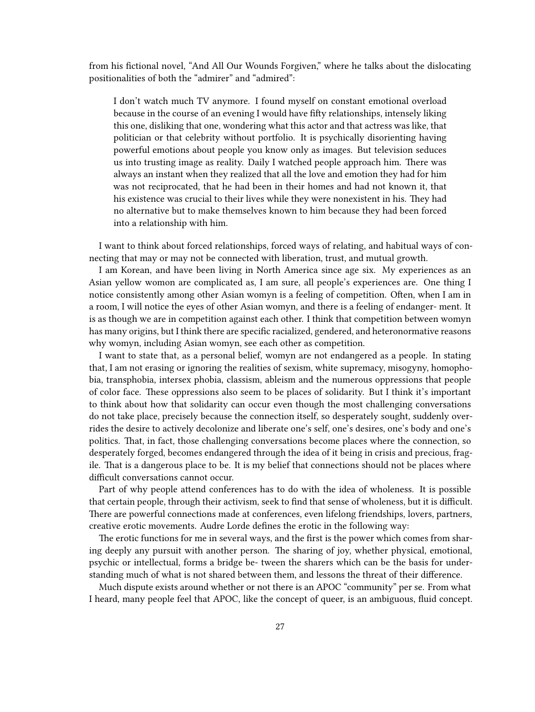from his fictional novel, "And All Our Wounds Forgiven," where he talks about the dislocating positionalities of both the "admirer" and "admired":

I don't watch much TV anymore. I found myself on constant emotional overload because in the course of an evening I would have fifty relationships, intensely liking this one, disliking that one, wondering what this actor and that actress was like, that politician or that celebrity without portfolio. It is psychically disorienting having powerful emotions about people you know only as images. But television seduces us into trusting image as reality. Daily I watched people approach him. There was always an instant when they realized that all the love and emotion they had for him was not reciprocated, that he had been in their homes and had not known it, that his existence was crucial to their lives while they were nonexistent in his. They had no alternative but to make themselves known to him because they had been forced into a relationship with him.

I want to think about forced relationships, forced ways of relating, and habitual ways of connecting that may or may not be connected with liberation, trust, and mutual growth.

I am Korean, and have been living in North America since age six. My experiences as an Asian yellow womon are complicated as, I am sure, all people's experiences are. One thing I notice consistently among other Asian womyn is a feeling of competition. Often, when I am in a room, I will notice the eyes of other Asian womyn, and there is a feeling of endanger- ment. It is as though we are in competition against each other. I think that competition between womyn has many origins, but I think there are specific racialized, gendered, and heteronormative reasons why womyn, including Asian womyn, see each other as competition.

I want to state that, as a personal belief, womyn are not endangered as a people. In stating that, I am not erasing or ignoring the realities of sexism, white supremacy, misogyny, homophobia, transphobia, intersex phobia, classism, ableism and the numerous oppressions that people of color face. These oppressions also seem to be places of solidarity. But I think it's important to think about how that solidarity can occur even though the most challenging conversations do not take place, precisely because the connection itself, so desperately sought, suddenly overrides the desire to actively decolonize and liberate one's self, one's desires, one's body and one's politics. That, in fact, those challenging conversations become places where the connection, so desperately forged, becomes endangered through the idea of it being in crisis and precious, fragile. That is a dangerous place to be. It is my belief that connections should not be places where difficult conversations cannot occur.

Part of why people attend conferences has to do with the idea of wholeness. It is possible that certain people, through their activism, seek to find that sense of wholeness, but it is difficult. There are powerful connections made at conferences, even lifelong friendships, lovers, partners, creative erotic movements. Audre Lorde defines the erotic in the following way:

The erotic functions for me in several ways, and the first is the power which comes from sharing deeply any pursuit with another person. The sharing of joy, whether physical, emotional, psychic or intellectual, forms a bridge be- tween the sharers which can be the basis for understanding much of what is not shared between them, and lessons the threat of their difference.

Much dispute exists around whether or not there is an APOC "community" per se. From what I heard, many people feel that APOC, like the concept of queer, is an ambiguous, fluid concept.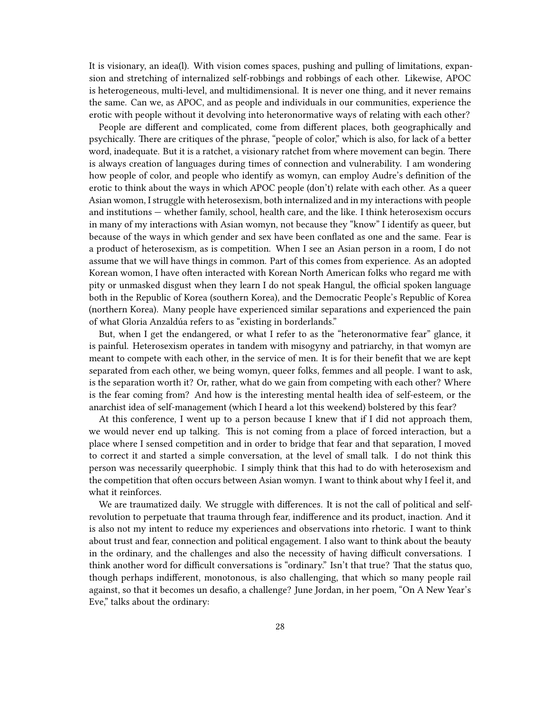It is visionary, an idea(l). With vision comes spaces, pushing and pulling of limitations, expansion and stretching of internalized self-robbings and robbings of each other. Likewise, APOC is heterogeneous, multi-level, and multidimensional. It is never one thing, and it never remains the same. Can we, as APOC, and as people and individuals in our communities, experience the erotic with people without it devolving into heteronormative ways of relating with each other?

People are different and complicated, come from different places, both geographically and psychically. There are critiques of the phrase, "people of color," which is also, for lack of a better word, inadequate. But it is a ratchet, a visionary ratchet from where movement can begin. There is always creation of languages during times of connection and vulnerability. I am wondering how people of color, and people who identify as womyn, can employ Audre's definition of the erotic to think about the ways in which APOC people (don't) relate with each other. As a queer Asian womon, I struggle with heterosexism, both internalized and in my interactions with people and institutions — whether family, school, health care, and the like. I think heterosexism occurs in many of my interactions with Asian womyn, not because they "know" I identify as queer, but because of the ways in which gender and sex have been conflated as one and the same. Fear is a product of heterosexism, as is competition. When I see an Asian person in a room, I do not assume that we will have things in common. Part of this comes from experience. As an adopted Korean womon, I have often interacted with Korean North American folks who regard me with pity or unmasked disgust when they learn I do not speak Hangul, the official spoken language both in the Republic of Korea (southern Korea), and the Democratic People's Republic of Korea (northern Korea). Many people have experienced similar separations and experienced the pain of what Gloria Anzaldúa refers to as "existing in borderlands."

But, when I get the endangered, or what I refer to as the "heteronormative fear" glance, it is painful. Heterosexism operates in tandem with misogyny and patriarchy, in that womyn are meant to compete with each other, in the service of men. It is for their benefit that we are kept separated from each other, we being womyn, queer folks, femmes and all people. I want to ask, is the separation worth it? Or, rather, what do we gain from competing with each other? Where is the fear coming from? And how is the interesting mental health idea of self-esteem, or the anarchist idea of self-management (which I heard a lot this weekend) bolstered by this fear?

At this conference, I went up to a person because I knew that if I did not approach them, we would never end up talking. This is not coming from a place of forced interaction, but a place where I sensed competition and in order to bridge that fear and that separation, I moved to correct it and started a simple conversation, at the level of small talk. I do not think this person was necessarily queerphobic. I simply think that this had to do with heterosexism and the competition that often occurs between Asian womyn. I want to think about why I feel it, and what it reinforces.

We are traumatized daily. We struggle with differences. It is not the call of political and selfrevolution to perpetuate that trauma through fear, indifference and its product, inaction. And it is also not my intent to reduce my experiences and observations into rhetoric. I want to think about trust and fear, connection and political engagement. I also want to think about the beauty in the ordinary, and the challenges and also the necessity of having difficult conversations. I think another word for difficult conversations is "ordinary." Isn't that true? That the status quo, though perhaps indifferent, monotonous, is also challenging, that which so many people rail against, so that it becomes un desafio, a challenge? June Jordan, in her poem, "On A New Year's Eve," talks about the ordinary: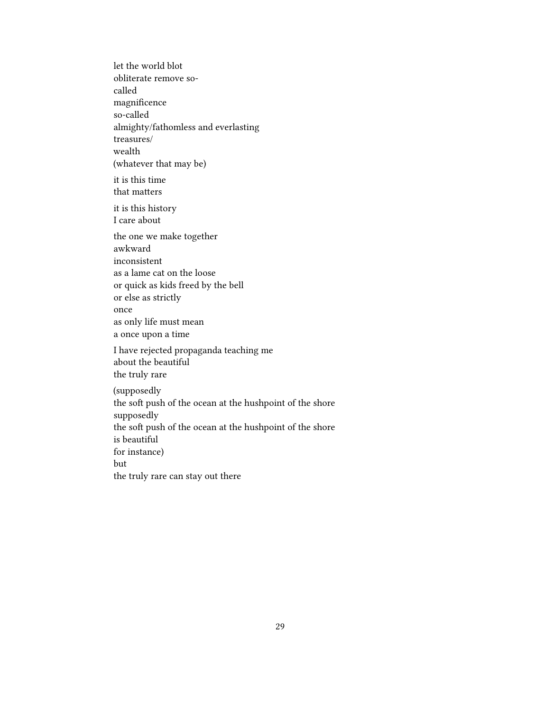let the world blot obliterate remove socalled magnificence so-called almighty/fathomless and everlasting treasures/ wealth (whatever that may be) it is this time that matters it is this history I care about the one we make together awkward inconsistent as a lame cat on the loose or quick as kids freed by the bell or else as strictly once as only life must mean a once upon a time I have rejected propaganda teaching me about the beautiful the truly rare (supposedly the soft push of the ocean at the hushpoint of the shore supposedly the soft push of the ocean at the hushpoint of the shore is beautiful for instance) but the truly rare can stay out there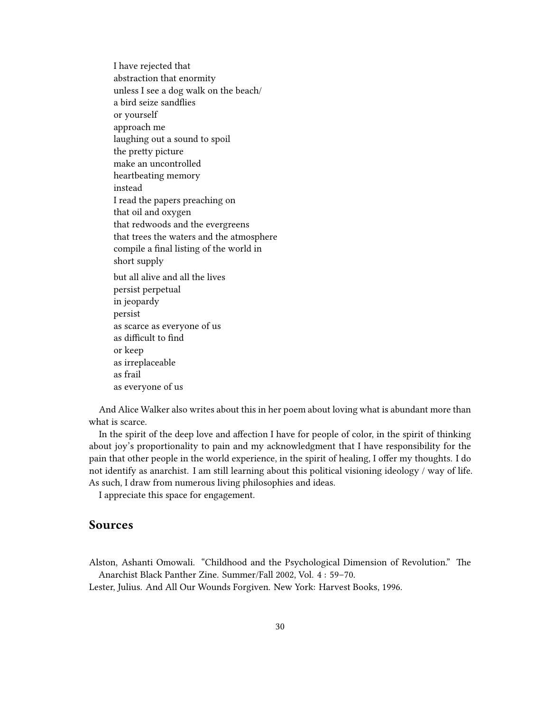I have rejected that abstraction that enormity unless I see a dog walk on the beach/ a bird seize sandflies or yourself approach me laughing out a sound to spoil the pretty picture make an uncontrolled heartbeating memory instead I read the papers preaching on that oil and oxygen that redwoods and the evergreens that trees the waters and the atmosphere compile a final listing of the world in short supply but all alive and all the lives persist perpetual in jeopardy persist as scarce as everyone of us as difficult to find or keep as irreplaceable as frail as everyone of us

And Alice Walker also writes about this in her poem about loving what is abundant more than what is scarce.

In the spirit of the deep love and affection I have for people of color, in the spirit of thinking about joy's proportionality to pain and my acknowledgment that I have responsibility for the pain that other people in the world experience, in the spirit of healing, I offer my thoughts. I do not identify as anarchist. I am still learning about this political visioning ideology / way of life. As such, I draw from numerous living philosophies and ideas.

I appreciate this space for engagement.

#### <span id="page-29-0"></span>**Sources**

Alston, Ashanti Omowali. "Childhood and the Psychological Dimension of Revolution." The Anarchist Black Panther Zine. Summer/Fall 2002, Vol. 4 : 59–70.

Lester, Julius. And All Our Wounds Forgiven. New York: Harvest Books, 1996.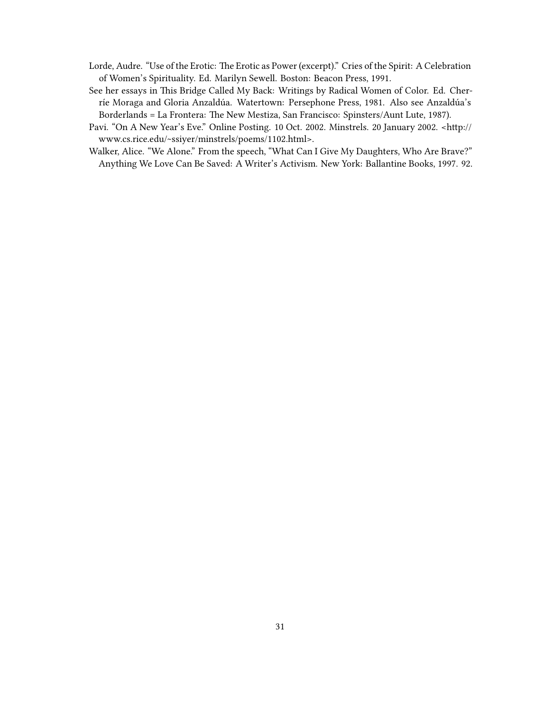- Lorde, Audre. "Use of the Erotic: The Erotic as Power (excerpt)." Cries of the Spirit: A Celebration of Women's Spirituality. Ed. Marilyn Sewell. Boston: Beacon Press, 1991.
- See her essays in This Bridge Called My Back: Writings by Radical Women of Color. Ed. Cherríe Moraga and Gloria Anzaldúa. Watertown: Persephone Press, 1981. Also see Anzaldúa's Borderlands = La Frontera: The New Mestiza, San Francisco: Spinsters/Aunt Lute, 1987).
- Pavi. "On A New Year's Eve." Online Posting. 10 Oct. 2002. Minstrels. 20 January 2002. [<http://](http://www.cs.rice.edu/%7Essiyer/minstrels/poems/1102.html) [www.cs.rice.edu/~ssiyer/minstrels/poems/1102.html](http://www.cs.rice.edu/%7Essiyer/minstrels/poems/1102.html)>.
- Walker, Alice. "We Alone." From the speech, "What Can I Give My Daughters, Who Are Brave?" Anything We Love Can Be Saved: A Writer's Activism. New York: Ballantine Books, 1997. 92.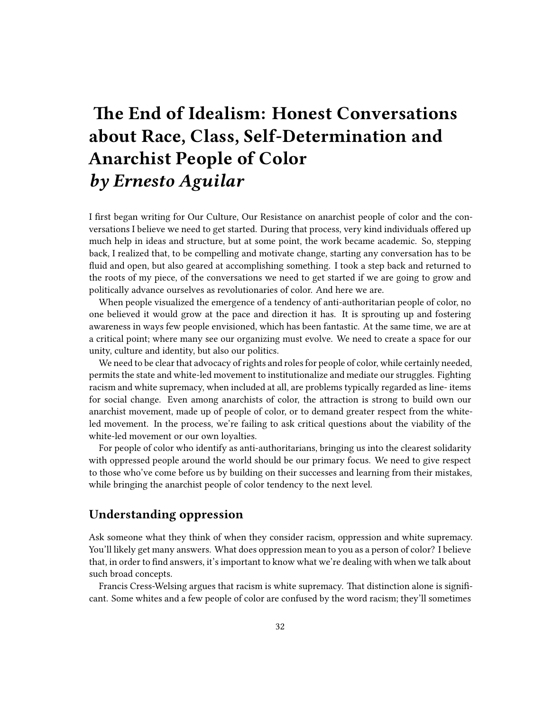### <span id="page-31-0"></span>**The End of Idealism: Honest Conversations about Race, Class, Self-Determination and Anarchist People of Color** *by Ernesto Aguilar*

I first began writing for Our Culture, Our Resistance on anarchist people of color and the conversations I believe we need to get started. During that process, very kind individuals offered up much help in ideas and structure, but at some point, the work became academic. So, stepping back, I realized that, to be compelling and motivate change, starting any conversation has to be fluid and open, but also geared at accomplishing something. I took a step back and returned to the roots of my piece, of the conversations we need to get started if we are going to grow and politically advance ourselves as revolutionaries of color. And here we are.

When people visualized the emergence of a tendency of anti-authoritarian people of color, no one believed it would grow at the pace and direction it has. It is sprouting up and fostering awareness in ways few people envisioned, which has been fantastic. At the same time, we are at a critical point; where many see our organizing must evolve. We need to create a space for our unity, culture and identity, but also our politics.

We need to be clear that advocacy of rights and roles for people of color, while certainly needed, permits the state and white-led movement to institutionalize and mediate our struggles. Fighting racism and white supremacy, when included at all, are problems typically regarded as line- items for social change. Even among anarchists of color, the attraction is strong to build own our anarchist movement, made up of people of color, or to demand greater respect from the whiteled movement. In the process, we're failing to ask critical questions about the viability of the white-led movement or our own loyalties.

For people of color who identify as anti-authoritarians, bringing us into the clearest solidarity with oppressed people around the world should be our primary focus. We need to give respect to those who've come before us by building on their successes and learning from their mistakes, while bringing the anarchist people of color tendency to the next level.

#### <span id="page-31-1"></span>**Understanding oppression**

Ask someone what they think of when they consider racism, oppression and white supremacy. You'll likely get many answers. What does oppression mean to you as a person of color? I believe that, in order to find answers, it's important to know what we're dealing with when we talk about such broad concepts.

Francis Cress-Welsing argues that racism is white supremacy. That distinction alone is significant. Some whites and a few people of color are confused by the word racism; they'll sometimes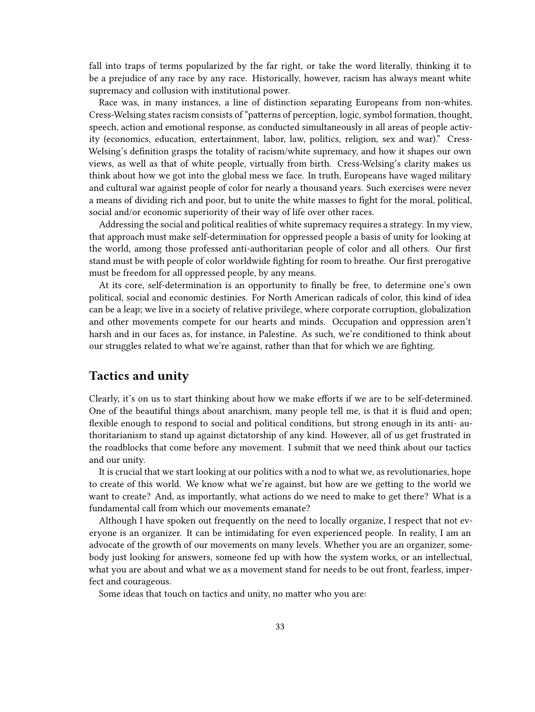fall into traps of terms popularized by the far right, or take the word literally, thinking it to be a prejudice of any race by any race. Historically, however, racism has always meant white supremacy and collusion with institutional power.

Race was, in many instances, a line of distinction separating Europeans from non-whites. Cress-Welsing states racism consists of "patterns of perception, logic, symbol formation, thought, speech, action and emotional response, as conducted simultaneously in all areas of people activity (economics, education, entertainment, labor, law, politics, religion, sex and war)." Cress-Welsing's definition grasps the totality of racism/white supremacy, and how it shapes our own views, as well as that of white people, virtually from birth. Cress-Welsing's clarity makes us think about how we got into the global mess we face. In truth, Europeans have waged military and cultural war against people of color for nearly a thousand years. Such exercises were never a means of dividing rich and poor, but to unite the white masses to fight for the moral, political, social and/or economic superiority of their way of life over other races.

Addressing the social and political realities of white supremacy requires a strategy. In my view, that approach must make self-determination for oppressed people a basis of unity for looking at the world, among those professed anti-authoritarian people of color and all others. Our first stand must be with people of color worldwide fighting for room to breathe. Our first prerogative must be freedom for all oppressed people, by any means.

At its core, self-determination is an opportunity to finally be free, to determine one's own political, social and economic destinies. For North American radicals of color, this kind of idea can be a leap; we live in a society of relative privilege, where corporate corruption, globalization and other movements compete for our hearts and minds. Occupation and oppression aren't harsh and in our faces as, for instance, in Palestine. As such, we're conditioned to think about our struggles related to what we're against, rather than that for which we are fighting.

#### <span id="page-32-0"></span>**Tactics and unity**

Clearly, it's on us to start thinking about how we make efforts if we are to be self-determined. One of the beautiful things about anarchism, many people tell me, is that it is fluid and open; flexible enough to respond to social and political conditions, but strong enough in its anti- authoritarianism to stand up against dictatorship of any kind. However, all of us get frustrated in the roadblocks that come before any movement. I submit that we need think about our tactics and our unity.

It is crucial that we start looking at our politics with a nod to what we, as revolutionaries, hope to create of this world. We know what we're against, but how are we getting to the world we want to create? And, as importantly, what actions do we need to make to get there? What is a fundamental call from which our movements emanate?

Although I have spoken out frequently on the need to locally organize, I respect that not everyone is an organizer. It can be intimidating for even experienced people. In reality, I am an advocate of the growth of our movements on many levels. Whether you are an organizer, somebody just looking for answers, someone fed up with how the system works, or an intellectual, what you are about and what we as a movement stand for needs to be out front, fearless, imperfect and courageous.

Some ideas that touch on tactics and unity, no matter who you are: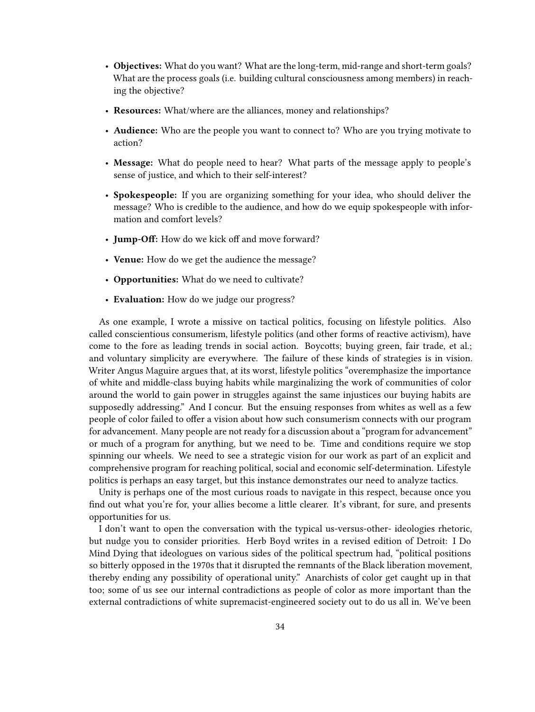- **Objectives:** What do you want? What are the long-term, mid-range and short-term goals? What are the process goals (i.e. building cultural consciousness among members) in reaching the objective?
- **Resources:** What/where are the alliances, money and relationships?
- **Audience:** Who are the people you want to connect to? Who are you trying motivate to action?
- **Message:** What do people need to hear? What parts of the message apply to people's sense of justice, and which to their self-interest?
- **Spokespeople:** If you are organizing something for your idea, who should deliver the message? Who is credible to the audience, and how do we equip spokespeople with information and comfort levels?
- **Jump-Off:** How do we kick off and move forward?
- **Venue:** How do we get the audience the message?
- **Opportunities:** What do we need to cultivate?
- **Evaluation:** How do we judge our progress?

As one example, I wrote a missive on tactical politics, focusing on lifestyle politics. Also called conscientious consumerism, lifestyle politics (and other forms of reactive activism), have come to the fore as leading trends in social action. Boycotts; buying green, fair trade, et al.; and voluntary simplicity are everywhere. The failure of these kinds of strategies is in vision. Writer Angus Maguire argues that, at its worst, lifestyle politics "overemphasize the importance of white and middle-class buying habits while marginalizing the work of communities of color around the world to gain power in struggles against the same injustices our buying habits are supposedly addressing." And I concur. But the ensuing responses from whites as well as a few people of color failed to offer a vision about how such consumerism connects with our program for advancement. Many people are not ready for a discussion about a "program for advancement" or much of a program for anything, but we need to be. Time and conditions require we stop spinning our wheels. We need to see a strategic vision for our work as part of an explicit and comprehensive program for reaching political, social and economic self-determination. Lifestyle politics is perhaps an easy target, but this instance demonstrates our need to analyze tactics.

Unity is perhaps one of the most curious roads to navigate in this respect, because once you find out what you're for, your allies become a little clearer. It's vibrant, for sure, and presents opportunities for us.

I don't want to open the conversation with the typical us-versus-other- ideologies rhetoric, but nudge you to consider priorities. Herb Boyd writes in a revised edition of Detroit: I Do Mind Dying that ideologues on various sides of the political spectrum had, "political positions so bitterly opposed in the 1970s that it disrupted the remnants of the Black liberation movement, thereby ending any possibility of operational unity." Anarchists of color get caught up in that too; some of us see our internal contradictions as people of color as more important than the external contradictions of white supremacist-engineered society out to do us all in. We've been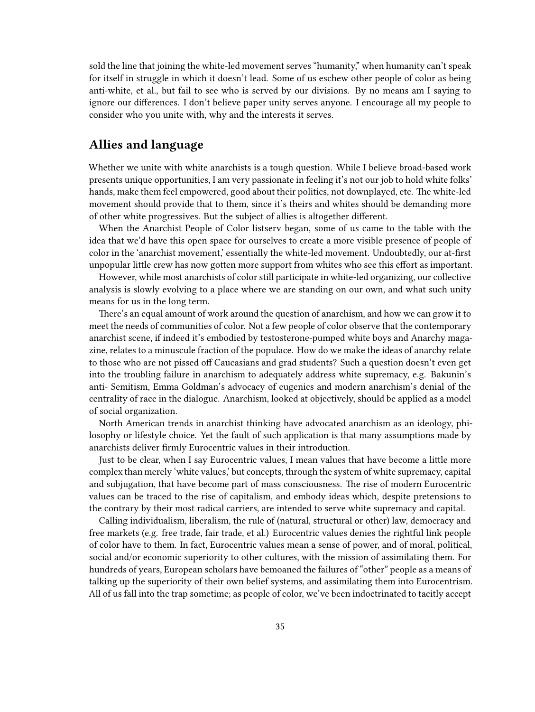sold the line that joining the white-led movement serves "humanity," when humanity can't speak for itself in struggle in which it doesn't lead. Some of us eschew other people of color as being anti-white, et al., but fail to see who is served by our divisions. By no means am I saying to ignore our differences. I don't believe paper unity serves anyone. I encourage all my people to consider who you unite with, why and the interests it serves.

### <span id="page-34-0"></span>**Allies and language**

Whether we unite with white anarchists is a tough question. While I believe broad-based work presents unique opportunities, I am very passionate in feeling it's not our job to hold white folks' hands, make them feel empowered, good about their politics, not downplayed, etc. The white-led movement should provide that to them, since it's theirs and whites should be demanding more of other white progressives. But the subject of allies is altogether different.

When the Anarchist People of Color listserv began, some of us came to the table with the idea that we'd have this open space for ourselves to create a more visible presence of people of color in the 'anarchist movement,' essentially the white-led movement. Undoubtedly, our at-first unpopular little crew has now gotten more support from whites who see this effort as important.

However, while most anarchists of color still participate in white-led organizing, our collective analysis is slowly evolving to a place where we are standing on our own, and what such unity means for us in the long term.

There's an equal amount of work around the question of anarchism, and how we can grow it to meet the needs of communities of color. Not a few people of color observe that the contemporary anarchist scene, if indeed it's embodied by testosterone-pumped white boys and Anarchy magazine, relates to a minuscule fraction of the populace. How do we make the ideas of anarchy relate to those who are not pissed off Caucasians and grad students? Such a question doesn't even get into the troubling failure in anarchism to adequately address white supremacy, e.g. Bakunin's anti- Semitism, Emma Goldman's advocacy of eugenics and modern anarchism's denial of the centrality of race in the dialogue. Anarchism, looked at objectively, should be applied as a model of social organization.

North American trends in anarchist thinking have advocated anarchism as an ideology, philosophy or lifestyle choice. Yet the fault of such application is that many assumptions made by anarchists deliver firmly Eurocentric values in their introduction.

Just to be clear, when I say Eurocentric values, I mean values that have become a little more complex than merely 'white values,' but concepts, through the system of white supremacy, capital and subjugation, that have become part of mass consciousness. The rise of modern Eurocentric values can be traced to the rise of capitalism, and embody ideas which, despite pretensions to the contrary by their most radical carriers, are intended to serve white supremacy and capital.

Calling individualism, liberalism, the rule of (natural, structural or other) law, democracy and free markets (e.g. free trade, fair trade, et al.) Eurocentric values denies the rightful link people of color have to them. In fact, Eurocentric values mean a sense of power, and of moral, political, social and/or economic superiority to other cultures, with the mission of assimilating them. For hundreds of years, European scholars have bemoaned the failures of "other" people as a means of talking up the superiority of their own belief systems, and assimilating them into Eurocentrism. All of us fall into the trap sometime; as people of color, we've been indoctrinated to tacitly accept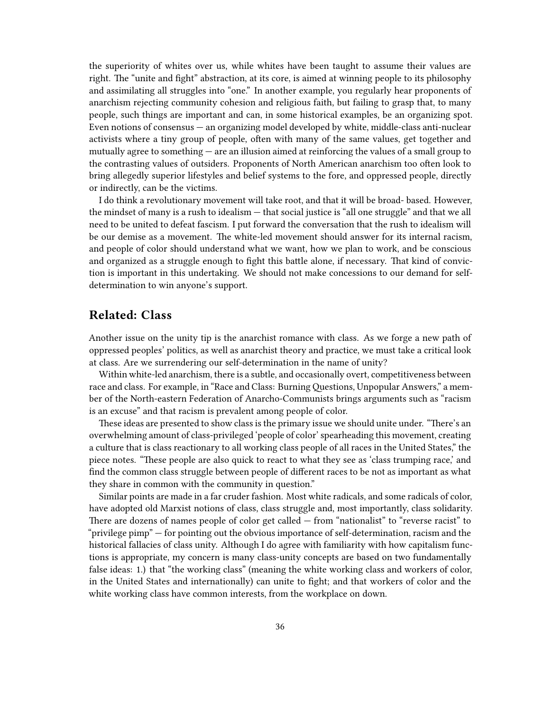the superiority of whites over us, while whites have been taught to assume their values are right. The "unite and fight" abstraction, at its core, is aimed at winning people to its philosophy and assimilating all struggles into "one." In another example, you regularly hear proponents of anarchism rejecting community cohesion and religious faith, but failing to grasp that, to many people, such things are important and can, in some historical examples, be an organizing spot. Even notions of consensus — an organizing model developed by white, middle-class anti-nuclear activists where a tiny group of people, often with many of the same values, get together and mutually agree to something — are an illusion aimed at reinforcing the values of a small group to the contrasting values of outsiders. Proponents of North American anarchism too often look to bring allegedly superior lifestyles and belief systems to the fore, and oppressed people, directly or indirectly, can be the victims.

I do think a revolutionary movement will take root, and that it will be broad- based. However, the mindset of many is a rush to idealism — that social justice is "all one struggle" and that we all need to be united to defeat fascism. I put forward the conversation that the rush to idealism will be our demise as a movement. The white-led movement should answer for its internal racism, and people of color should understand what we want, how we plan to work, and be conscious and organized as a struggle enough to fight this battle alone, if necessary. That kind of conviction is important in this undertaking. We should not make concessions to our demand for selfdetermination to win anyone's support.

#### <span id="page-35-0"></span>**Related: Class**

Another issue on the unity tip is the anarchist romance with class. As we forge a new path of oppressed peoples' politics, as well as anarchist theory and practice, we must take a critical look at class. Are we surrendering our self-determination in the name of unity?

Within white-led anarchism, there is a subtle, and occasionally overt, competitiveness between race and class. For example, in "Race and Class: Burning Questions, Unpopular Answers," a member of the North-eastern Federation of Anarcho-Communists brings arguments such as "racism is an excuse" and that racism is prevalent among people of color.

These ideas are presented to show class is the primary issue we should unite under. "There's an overwhelming amount of class-privileged 'people of color' spearheading this movement, creating a culture that is class reactionary to all working class people of all races in the United States," the piece notes. "These people are also quick to react to what they see as 'class trumping race,' and find the common class struggle between people of different races to be not as important as what they share in common with the community in question."

Similar points are made in a far cruder fashion. Most white radicals, and some radicals of color, have adopted old Marxist notions of class, class struggle and, most importantly, class solidarity. There are dozens of names people of color get called — from "nationalist" to "reverse racist" to "privilege pimp" — for pointing out the obvious importance of self-determination, racism and the historical fallacies of class unity. Although I do agree with familiarity with how capitalism functions is appropriate, my concern is many class-unity concepts are based on two fundamentally false ideas: 1.) that "the working class" (meaning the white working class and workers of color, in the United States and internationally) can unite to fight; and that workers of color and the white working class have common interests, from the workplace on down.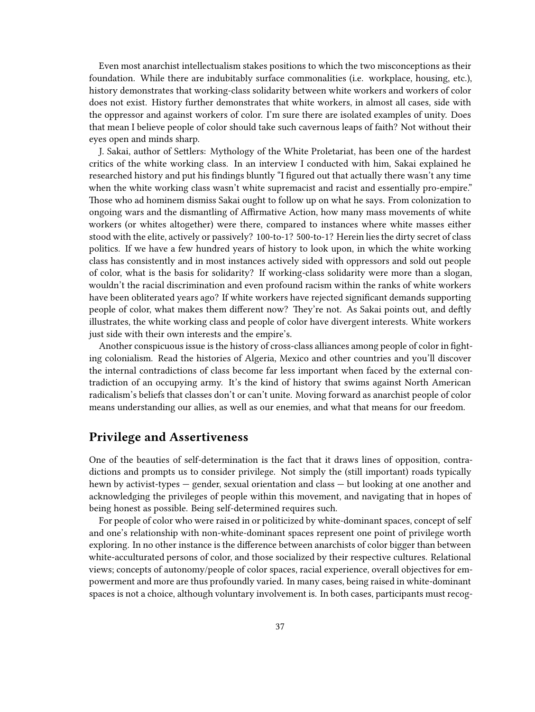Even most anarchist intellectualism stakes positions to which the two misconceptions as their foundation. While there are indubitably surface commonalities (i.e. workplace, housing, etc.), history demonstrates that working-class solidarity between white workers and workers of color does not exist. History further demonstrates that white workers, in almost all cases, side with the oppressor and against workers of color. I'm sure there are isolated examples of unity. Does that mean I believe people of color should take such cavernous leaps of faith? Not without their eyes open and minds sharp.

J. Sakai, author of Settlers: Mythology of the White Proletariat, has been one of the hardest critics of the white working class. In an interview I conducted with him, Sakai explained he researched history and put his findings bluntly "I figured out that actually there wasn't any time when the white working class wasn't white supremacist and racist and essentially pro-empire." Those who ad hominem dismiss Sakai ought to follow up on what he says. From colonization to ongoing wars and the dismantling of Affirmative Action, how many mass movements of white workers (or whites altogether) were there, compared to instances where white masses either stood with the elite, actively or passively? 100-to-1? 500-to-1? Herein lies the dirty secret of class politics. If we have a few hundred years of history to look upon, in which the white working class has consistently and in most instances actively sided with oppressors and sold out people of color, what is the basis for solidarity? If working-class solidarity were more than a slogan, wouldn't the racial discrimination and even profound racism within the ranks of white workers have been obliterated years ago? If white workers have rejected significant demands supporting people of color, what makes them different now? They're not. As Sakai points out, and deftly illustrates, the white working class and people of color have divergent interests. White workers just side with their own interests and the empire's.

Another conspicuous issue is the history of cross-class alliances among people of color in fighting colonialism. Read the histories of Algeria, Mexico and other countries and you'll discover the internal contradictions of class become far less important when faced by the external contradiction of an occupying army. It's the kind of history that swims against North American radicalism's beliefs that classes don't or can't unite. Moving forward as anarchist people of color means understanding our allies, as well as our enemies, and what that means for our freedom.

#### **Privilege and Assertiveness**

One of the beauties of self-determination is the fact that it draws lines of opposition, contradictions and prompts us to consider privilege. Not simply the (still important) roads typically hewn by activist-types — gender, sexual orientation and class — but looking at one another and acknowledging the privileges of people within this movement, and navigating that in hopes of being honest as possible. Being self-determined requires such.

For people of color who were raised in or politicized by white-dominant spaces, concept of self and one's relationship with non-white-dominant spaces represent one point of privilege worth exploring. In no other instance is the difference between anarchists of color bigger than between white-acculturated persons of color, and those socialized by their respective cultures. Relational views; concepts of autonomy/people of color spaces, racial experience, overall objectives for empowerment and more are thus profoundly varied. In many cases, being raised in white-dominant spaces is not a choice, although voluntary involvement is. In both cases, participants must recog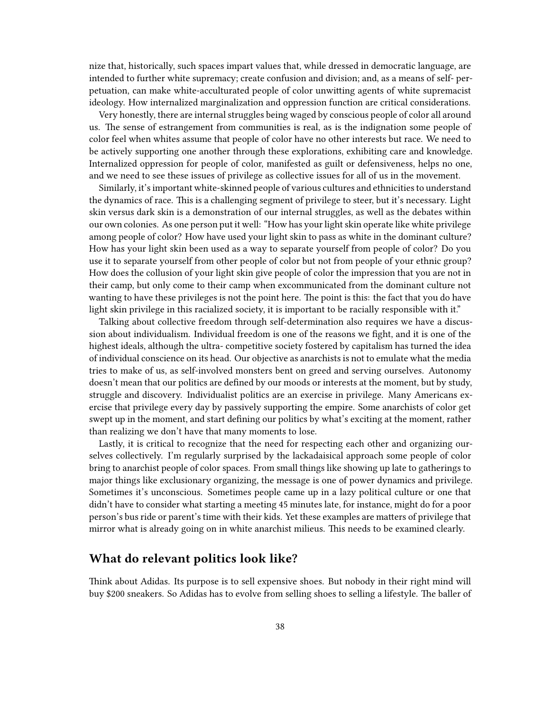nize that, historically, such spaces impart values that, while dressed in democratic language, are intended to further white supremacy; create confusion and division; and, as a means of self- perpetuation, can make white-acculturated people of color unwitting agents of white supremacist ideology. How internalized marginalization and oppression function are critical considerations.

Very honestly, there are internal struggles being waged by conscious people of color all around us. The sense of estrangement from communities is real, as is the indignation some people of color feel when whites assume that people of color have no other interests but race. We need to be actively supporting one another through these explorations, exhibiting care and knowledge. Internalized oppression for people of color, manifested as guilt or defensiveness, helps no one, and we need to see these issues of privilege as collective issues for all of us in the movement.

Similarly, it's important white-skinned people of various cultures and ethnicities to understand the dynamics of race. This is a challenging segment of privilege to steer, but it's necessary. Light skin versus dark skin is a demonstration of our internal struggles, as well as the debates within our own colonies. As one person put it well: "How has your light skin operate like white privilege among people of color? How have used your light skin to pass as white in the dominant culture? How has your light skin been used as a way to separate yourself from people of color? Do you use it to separate yourself from other people of color but not from people of your ethnic group? How does the collusion of your light skin give people of color the impression that you are not in their camp, but only come to their camp when excommunicated from the dominant culture not wanting to have these privileges is not the point here. The point is this: the fact that you do have light skin privilege in this racialized society, it is important to be racially responsible with it."

Talking about collective freedom through self-determination also requires we have a discussion about individualism. Individual freedom is one of the reasons we fight, and it is one of the highest ideals, although the ultra- competitive society fostered by capitalism has turned the idea of individual conscience on its head. Our objective as anarchists is not to emulate what the media tries to make of us, as self-involved monsters bent on greed and serving ourselves. Autonomy doesn't mean that our politics are defined by our moods or interests at the moment, but by study, struggle and discovery. Individualist politics are an exercise in privilege. Many Americans exercise that privilege every day by passively supporting the empire. Some anarchists of color get swept up in the moment, and start defining our politics by what's exciting at the moment, rather than realizing we don't have that many moments to lose.

Lastly, it is critical to recognize that the need for respecting each other and organizing ourselves collectively. I'm regularly surprised by the lackadaisical approach some people of color bring to anarchist people of color spaces. From small things like showing up late to gatherings to major things like exclusionary organizing, the message is one of power dynamics and privilege. Sometimes it's unconscious. Sometimes people came up in a lazy political culture or one that didn't have to consider what starting a meeting 45 minutes late, for instance, might do for a poor person's bus ride or parent's time with their kids. Yet these examples are matters of privilege that mirror what is already going on in white anarchist milieus. This needs to be examined clearly.

#### **What do relevant politics look like?**

Think about Adidas. Its purpose is to sell expensive shoes. But nobody in their right mind will buy \$200 sneakers. So Adidas has to evolve from selling shoes to selling a lifestyle. The baller of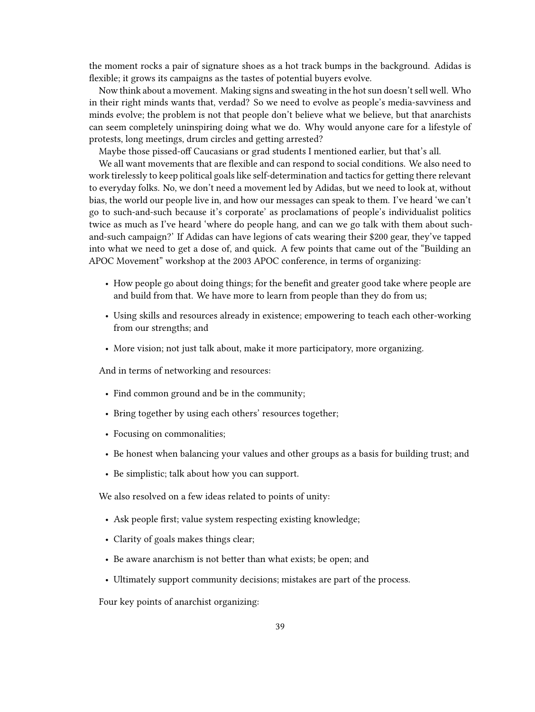the moment rocks a pair of signature shoes as a hot track bumps in the background. Adidas is flexible; it grows its campaigns as the tastes of potential buyers evolve.

Now think about a movement. Making signs and sweating in the hot sun doesn't sell well. Who in their right minds wants that, verdad? So we need to evolve as people's media-savviness and minds evolve; the problem is not that people don't believe what we believe, but that anarchists can seem completely uninspiring doing what we do. Why would anyone care for a lifestyle of protests, long meetings, drum circles and getting arrested?

Maybe those pissed-off Caucasians or grad students I mentioned earlier, but that's all.

We all want movements that are flexible and can respond to social conditions. We also need to work tirelessly to keep political goals like self-determination and tactics for getting there relevant to everyday folks. No, we don't need a movement led by Adidas, but we need to look at, without bias, the world our people live in, and how our messages can speak to them. I've heard 'we can't go to such-and-such because it's corporate' as proclamations of people's individualist politics twice as much as I've heard 'where do people hang, and can we go talk with them about suchand-such campaign?' If Adidas can have legions of cats wearing their \$200 gear, they've tapped into what we need to get a dose of, and quick. A few points that came out of the "Building an APOC Movement" workshop at the 2003 APOC conference, in terms of organizing:

- How people go about doing things; for the benefit and greater good take where people are and build from that. We have more to learn from people than they do from us;
- Using skills and resources already in existence; empowering to teach each other-working from our strengths; and
- More vision; not just talk about, make it more participatory, more organizing.

And in terms of networking and resources:

- Find common ground and be in the community;
- Bring together by using each others' resources together;
- Focusing on commonalities;
- Be honest when balancing your values and other groups as a basis for building trust; and
- Be simplistic; talk about how you can support.

We also resolved on a few ideas related to points of unity:

- Ask people first; value system respecting existing knowledge;
- Clarity of goals makes things clear;
- Be aware anarchism is not better than what exists; be open; and
- Ultimately support community decisions; mistakes are part of the process.

Four key points of anarchist organizing: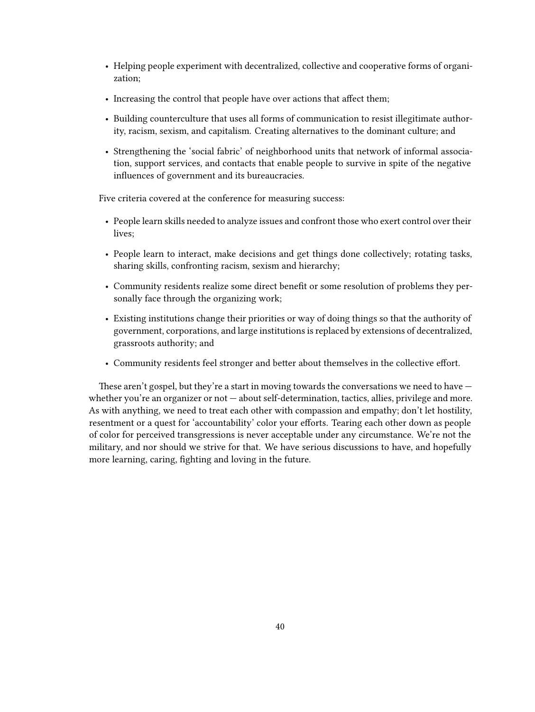- Helping people experiment with decentralized, collective and cooperative forms of organization;
- Increasing the control that people have over actions that affect them;
- Building counterculture that uses all forms of communication to resist illegitimate authority, racism, sexism, and capitalism. Creating alternatives to the dominant culture; and
- Strengthening the 'social fabric' of neighborhood units that network of informal association, support services, and contacts that enable people to survive in spite of the negative influences of government and its bureaucracies.

Five criteria covered at the conference for measuring success:

- People learn skills needed to analyze issues and confront those who exert control over their lives;
- People learn to interact, make decisions and get things done collectively; rotating tasks, sharing skills, confronting racism, sexism and hierarchy;
- Community residents realize some direct benefit or some resolution of problems they personally face through the organizing work;
- Existing institutions change their priorities or way of doing things so that the authority of government, corporations, and large institutions is replaced by extensions of decentralized, grassroots authority; and
- Community residents feel stronger and better about themselves in the collective effort.

These aren't gospel, but they're a start in moving towards the conversations we need to have whether you're an organizer or not - about self-determination, tactics, allies, privilege and more. As with anything, we need to treat each other with compassion and empathy; don't let hostility, resentment or a quest for 'accountability' color your efforts. Tearing each other down as people of color for perceived transgressions is never acceptable under any circumstance. We're not the military, and nor should we strive for that. We have serious discussions to have, and hopefully more learning, caring, fighting and loving in the future.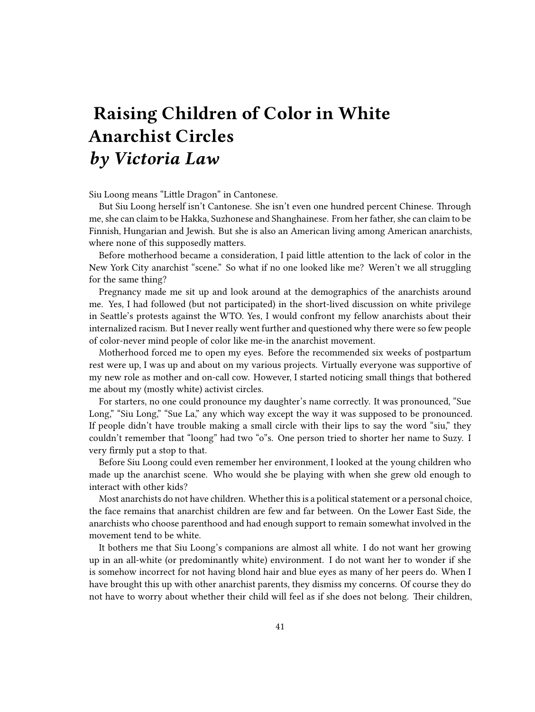## **Raising Children of Color in White Anarchist Circles** *by Victoria Law*

Siu Loong means "Little Dragon" in Cantonese.

But Siu Loong herself isn't Cantonese. She isn't even one hundred percent Chinese. Through me, she can claim to be Hakka, Suzhonese and Shanghainese. From her father, she can claim to be Finnish, Hungarian and Jewish. But she is also an American living among American anarchists, where none of this supposedly matters.

Before motherhood became a consideration, I paid little attention to the lack of color in the New York City anarchist "scene." So what if no one looked like me? Weren't we all struggling for the same thing?

Pregnancy made me sit up and look around at the demographics of the anarchists around me. Yes, I had followed (but not participated) in the short-lived discussion on white privilege in Seattle's protests against the WTO. Yes, I would confront my fellow anarchists about their internalized racism. But I never really went further and questioned why there were so few people of color-never mind people of color like me-in the anarchist movement.

Motherhood forced me to open my eyes. Before the recommended six weeks of postpartum rest were up, I was up and about on my various projects. Virtually everyone was supportive of my new role as mother and on-call cow. However, I started noticing small things that bothered me about my (mostly white) activist circles.

For starters, no one could pronounce my daughter's name correctly. It was pronounced, "Sue Long," "Siu Long," "Sue La," any which way except the way it was supposed to be pronounced. If people didn't have trouble making a small circle with their lips to say the word "siu," they couldn't remember that "loong" had two "o"s. One person tried to shorter her name to Suzy. I very firmly put a stop to that.

Before Siu Loong could even remember her environment, I looked at the young children who made up the anarchist scene. Who would she be playing with when she grew old enough to interact with other kids?

Most anarchists do not have children. Whether this is a political statement or a personal choice, the face remains that anarchist children are few and far between. On the Lower East Side, the anarchists who choose parenthood and had enough support to remain somewhat involved in the movement tend to be white.

It bothers me that Siu Loong's companions are almost all white. I do not want her growing up in an all-white (or predominantly white) environment. I do not want her to wonder if she is somehow incorrect for not having blond hair and blue eyes as many of her peers do. When I have brought this up with other anarchist parents, they dismiss my concerns. Of course they do not have to worry about whether their child will feel as if she does not belong. Their children,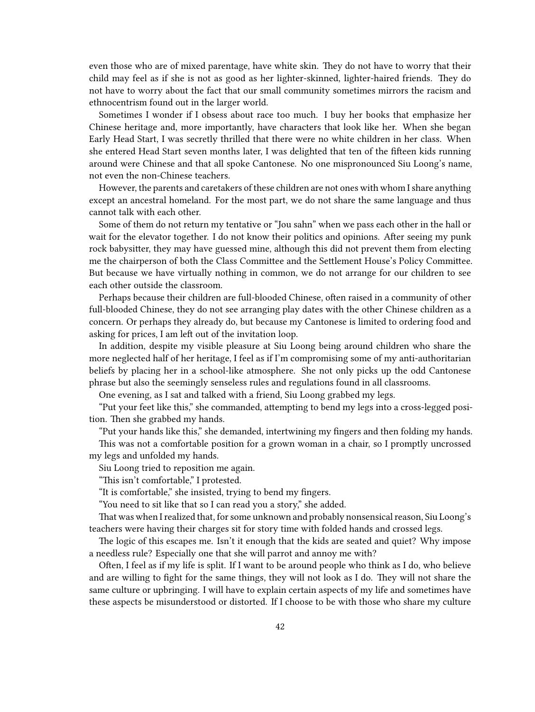even those who are of mixed parentage, have white skin. They do not have to worry that their child may feel as if she is not as good as her lighter-skinned, lighter-haired friends. They do not have to worry about the fact that our small community sometimes mirrors the racism and ethnocentrism found out in the larger world.

Sometimes I wonder if I obsess about race too much. I buy her books that emphasize her Chinese heritage and, more importantly, have characters that look like her. When she began Early Head Start, I was secretly thrilled that there were no white children in her class. When she entered Head Start seven months later, I was delighted that ten of the fifteen kids running around were Chinese and that all spoke Cantonese. No one mispronounced Siu Loong's name, not even the non-Chinese teachers.

However, the parents and caretakers of these children are not ones with whom I share anything except an ancestral homeland. For the most part, we do not share the same language and thus cannot talk with each other.

Some of them do not return my tentative or "Jou sahn" when we pass each other in the hall or wait for the elevator together. I do not know their politics and opinions. After seeing my punk rock babysitter, they may have guessed mine, although this did not prevent them from electing me the chairperson of both the Class Committee and the Settlement House's Policy Committee. But because we have virtually nothing in common, we do not arrange for our children to see each other outside the classroom.

Perhaps because their children are full-blooded Chinese, often raised in a community of other full-blooded Chinese, they do not see arranging play dates with the other Chinese children as a concern. Or perhaps they already do, but because my Cantonese is limited to ordering food and asking for prices, I am left out of the invitation loop.

In addition, despite my visible pleasure at Siu Loong being around children who share the more neglected half of her heritage, I feel as if I'm compromising some of my anti-authoritarian beliefs by placing her in a school-like atmosphere. She not only picks up the odd Cantonese phrase but also the seemingly senseless rules and regulations found in all classrooms.

One evening, as I sat and talked with a friend, Siu Loong grabbed my legs.

"Put your feet like this," she commanded, attempting to bend my legs into a cross-legged position. Then she grabbed my hands.

"Put your hands like this," she demanded, intertwining my fingers and then folding my hands.

This was not a comfortable position for a grown woman in a chair, so I promptly uncrossed my legs and unfolded my hands.

Siu Loong tried to reposition me again.

"This isn't comfortable," I protested.

"It is comfortable," she insisted, trying to bend my fingers.

"You need to sit like that so I can read you a story," she added.

That was when I realized that, for some unknown and probably nonsensical reason, Siu Loong's teachers were having their charges sit for story time with folded hands and crossed legs.

The logic of this escapes me. Isn't it enough that the kids are seated and quiet? Why impose a needless rule? Especially one that she will parrot and annoy me with?

Often, I feel as if my life is split. If I want to be around people who think as I do, who believe and are willing to fight for the same things, they will not look as I do. They will not share the same culture or upbringing. I will have to explain certain aspects of my life and sometimes have these aspects be misunderstood or distorted. If I choose to be with those who share my culture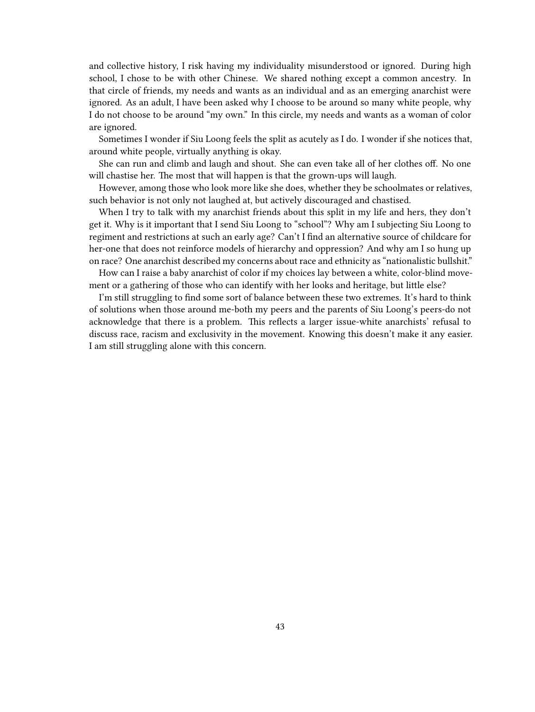and collective history, I risk having my individuality misunderstood or ignored. During high school, I chose to be with other Chinese. We shared nothing except a common ancestry. In that circle of friends, my needs and wants as an individual and as an emerging anarchist were ignored. As an adult, I have been asked why I choose to be around so many white people, why I do not choose to be around "my own." In this circle, my needs and wants as a woman of color are ignored.

Sometimes I wonder if Siu Loong feels the split as acutely as I do. I wonder if she notices that, around white people, virtually anything is okay.

She can run and climb and laugh and shout. She can even take all of her clothes off. No one will chastise her. The most that will happen is that the grown-ups will laugh.

However, among those who look more like she does, whether they be schoolmates or relatives, such behavior is not only not laughed at, but actively discouraged and chastised.

When I try to talk with my anarchist friends about this split in my life and hers, they don't get it. Why is it important that I send Siu Loong to "school"? Why am I subjecting Siu Loong to regiment and restrictions at such an early age? Can't I find an alternative source of childcare for her-one that does not reinforce models of hierarchy and oppression? And why am I so hung up on race? One anarchist described my concerns about race and ethnicity as "nationalistic bullshit."

How can I raise a baby anarchist of color if my choices lay between a white, color-blind movement or a gathering of those who can identify with her looks and heritage, but little else?

I'm still struggling to find some sort of balance between these two extremes. It's hard to think of solutions when those around me-both my peers and the parents of Siu Loong's peers-do not acknowledge that there is a problem. This reflects a larger issue-white anarchists' refusal to discuss race, racism and exclusivity in the movement. Knowing this doesn't make it any easier. I am still struggling alone with this concern.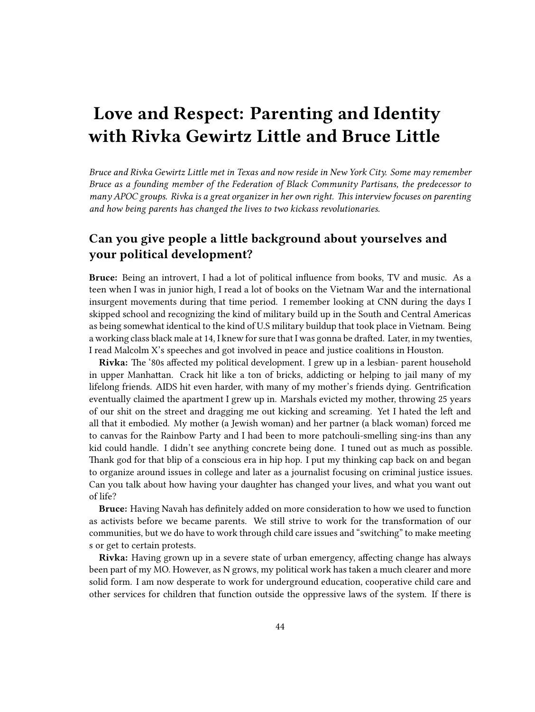## **Love and Respect: Parenting and Identity with Rivka Gewirtz Little and Bruce Little**

*Bruce and Rivka Gewirtz Little met in Texas and now reside in New York City. Some may remember Bruce as a founding member of the Federation of Black Community Partisans, the predecessor to many APOC groups. Rivka is a great organizer in her own right. This interview focuses on parenting and how being parents has changed the lives to two kickass revolutionaries.*

### **Can you give people a little background about yourselves and your political development?**

**Bruce:** Being an introvert, I had a lot of political influence from books, TV and music. As a teen when I was in junior high, I read a lot of books on the Vietnam War and the international insurgent movements during that time period. I remember looking at CNN during the days I skipped school and recognizing the kind of military build up in the South and Central Americas as being somewhat identical to the kind of U.S military buildup that took place in Vietnam. Being a working class black male at 14, I knew for sure that I was gonna be drafted. Later, in my twenties, I read Malcolm X's speeches and got involved in peace and justice coalitions in Houston.

**Rivka:** The '80s affected my political development. I grew up in a lesbian- parent household in upper Manhattan. Crack hit like a ton of bricks, addicting or helping to jail many of my lifelong friends. AIDS hit even harder, with many of my mother's friends dying. Gentrification eventually claimed the apartment I grew up in. Marshals evicted my mother, throwing 25 years of our shit on the street and dragging me out kicking and screaming. Yet I hated the left and all that it embodied. My mother (a Jewish woman) and her partner (a black woman) forced me to canvas for the Rainbow Party and I had been to more patchouli-smelling sing-ins than any kid could handle. I didn't see anything concrete being done. I tuned out as much as possible. Thank god for that blip of a conscious era in hip hop. I put my thinking cap back on and began to organize around issues in college and later as a journalist focusing on criminal justice issues. Can you talk about how having your daughter has changed your lives, and what you want out of life?

**Bruce:** Having Navah has definitely added on more consideration to how we used to function as activists before we became parents. We still strive to work for the transformation of our communities, but we do have to work through child care issues and "switching" to make meeting s or get to certain protests.

**Rivka:** Having grown up in a severe state of urban emergency, affecting change has always been part of my MO. However, as N grows, my political work has taken a much clearer and more solid form. I am now desperate to work for underground education, cooperative child care and other services for children that function outside the oppressive laws of the system. If there is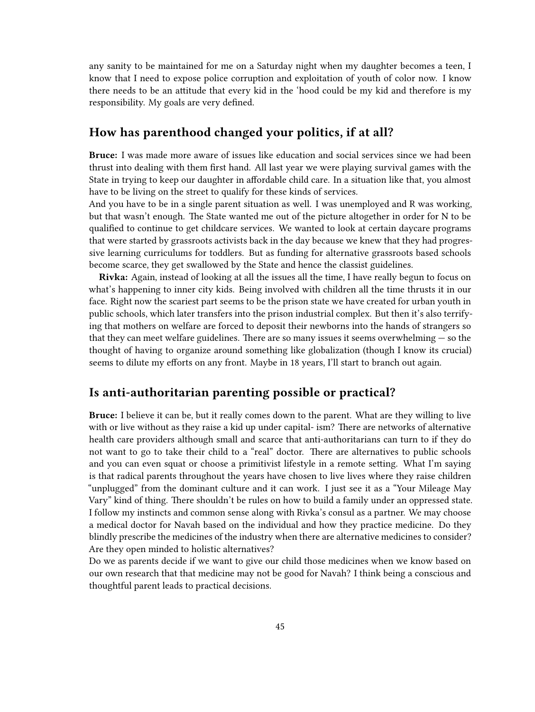any sanity to be maintained for me on a Saturday night when my daughter becomes a teen, I know that I need to expose police corruption and exploitation of youth of color now. I know there needs to be an attitude that every kid in the 'hood could be my kid and therefore is my responsibility. My goals are very defined.

#### **How has parenthood changed your politics, if at all?**

**Bruce:** I was made more aware of issues like education and social services since we had been thrust into dealing with them first hand. All last year we were playing survival games with the State in trying to keep our daughter in affordable child care. In a situation like that, you almost have to be living on the street to qualify for these kinds of services.

And you have to be in a single parent situation as well. I was unemployed and R was working, but that wasn't enough. The State wanted me out of the picture altogether in order for N to be qualified to continue to get childcare services. We wanted to look at certain daycare programs that were started by grassroots activists back in the day because we knew that they had progressive learning curriculums for toddlers. But as funding for alternative grassroots based schools become scarce, they get swallowed by the State and hence the classist guidelines.

**Rivka:** Again, instead of looking at all the issues all the time, I have really begun to focus on what's happening to inner city kids. Being involved with children all the time thrusts it in our face. Right now the scariest part seems to be the prison state we have created for urban youth in public schools, which later transfers into the prison industrial complex. But then it's also terrifying that mothers on welfare are forced to deposit their newborns into the hands of strangers so that they can meet welfare guidelines. There are so many issues it seems overwhelming  $-$  so the thought of having to organize around something like globalization (though I know its crucial) seems to dilute my efforts on any front. Maybe in 18 years, I'll start to branch out again.

#### **Is anti-authoritarian parenting possible or practical?**

**Bruce:** I believe it can be, but it really comes down to the parent. What are they willing to live with or live without as they raise a kid up under capital- ism? There are networks of alternative health care providers although small and scarce that anti-authoritarians can turn to if they do not want to go to take their child to a "real" doctor. There are alternatives to public schools and you can even squat or choose a primitivist lifestyle in a remote setting. What I'm saying is that radical parents throughout the years have chosen to live lives where they raise children "unplugged" from the dominant culture and it can work. I just see it as a "Your Mileage May Vary" kind of thing. There shouldn't be rules on how to build a family under an oppressed state. I follow my instincts and common sense along with Rivka's consul as a partner. We may choose a medical doctor for Navah based on the individual and how they practice medicine. Do they blindly prescribe the medicines of the industry when there are alternative medicines to consider? Are they open minded to holistic alternatives?

Do we as parents decide if we want to give our child those medicines when we know based on our own research that that medicine may not be good for Navah? I think being a conscious and thoughtful parent leads to practical decisions.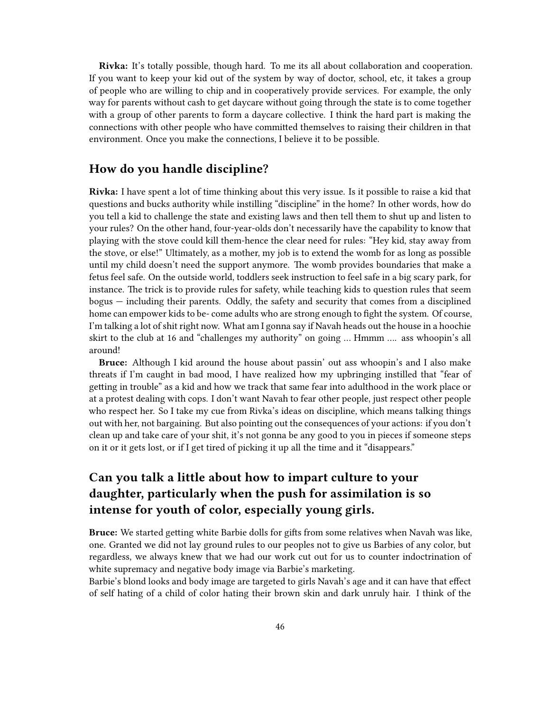**Rivka:** It's totally possible, though hard. To me its all about collaboration and cooperation. If you want to keep your kid out of the system by way of doctor, school, etc, it takes a group of people who are willing to chip and in cooperatively provide services. For example, the only way for parents without cash to get daycare without going through the state is to come together with a group of other parents to form a daycare collective. I think the hard part is making the connections with other people who have committed themselves to raising their children in that environment. Once you make the connections, I believe it to be possible.

#### **How do you handle discipline?**

**Rivka:** I have spent a lot of time thinking about this very issue. Is it possible to raise a kid that questions and bucks authority while instilling "discipline" in the home? In other words, how do you tell a kid to challenge the state and existing laws and then tell them to shut up and listen to your rules? On the other hand, four-year-olds don't necessarily have the capability to know that playing with the stove could kill them-hence the clear need for rules: "Hey kid, stay away from the stove, or else!" Ultimately, as a mother, my job is to extend the womb for as long as possible until my child doesn't need the support anymore. The womb provides boundaries that make a fetus feel safe. On the outside world, toddlers seek instruction to feel safe in a big scary park, for instance. The trick is to provide rules for safety, while teaching kids to question rules that seem bogus — including their parents. Oddly, the safety and security that comes from a disciplined home can empower kids to be- come adults who are strong enough to fight the system. Of course, I'm talking a lot of shit right now. What am I gonna say if Navah heads out the house in a hoochie skirt to the club at 16 and "challenges my authority" on going … Hmmm …. ass whoopin's all around!

**Bruce:** Although I kid around the house about passin' out ass whoopin's and I also make threats if I'm caught in bad mood, I have realized how my upbringing instilled that "fear of getting in trouble" as a kid and how we track that same fear into adulthood in the work place or at a protest dealing with cops. I don't want Navah to fear other people, just respect other people who respect her. So I take my cue from Rivka's ideas on discipline, which means talking things out with her, not bargaining. But also pointing out the consequences of your actions: if you don't clean up and take care of your shit, it's not gonna be any good to you in pieces if someone steps on it or it gets lost, or if I get tired of picking it up all the time and it "disappears."

### **Can you talk a little about how to impart culture to your daughter, particularly when the push for assimilation is so intense for youth of color, especially young girls.**

**Bruce:** We started getting white Barbie dolls for gifts from some relatives when Navah was like, one. Granted we did not lay ground rules to our peoples not to give us Barbies of any color, but regardless, we always knew that we had our work cut out for us to counter indoctrination of white supremacy and negative body image via Barbie's marketing.

Barbie's blond looks and body image are targeted to girls Navah's age and it can have that effect of self hating of a child of color hating their brown skin and dark unruly hair. I think of the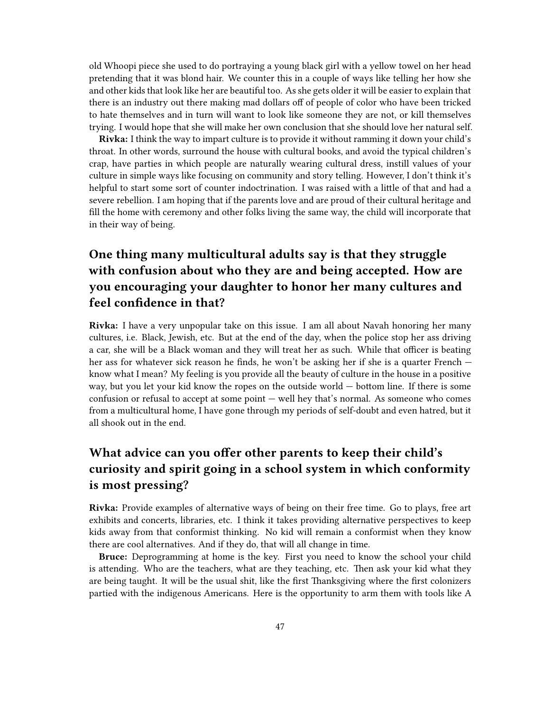old Whoopi piece she used to do portraying a young black girl with a yellow towel on her head pretending that it was blond hair. We counter this in a couple of ways like telling her how she and other kids that look like her are beautiful too. As she gets older it will be easier to explain that there is an industry out there making mad dollars off of people of color who have been tricked to hate themselves and in turn will want to look like someone they are not, or kill themselves trying. I would hope that she will make her own conclusion that she should love her natural self.

**Rivka:** I think the way to impart culture is to provide it without ramming it down your child's throat. In other words, surround the house with cultural books, and avoid the typical children's crap, have parties in which people are naturally wearing cultural dress, instill values of your culture in simple ways like focusing on community and story telling. However, I don't think it's helpful to start some sort of counter indoctrination. I was raised with a little of that and had a severe rebellion. I am hoping that if the parents love and are proud of their cultural heritage and fill the home with ceremony and other folks living the same way, the child will incorporate that in their way of being.

### **One thing many multicultural adults say is that they struggle with confusion about who they are and being accepted. How are you encouraging your daughter to honor her many cultures and feel confidence in that?**

**Rivka:** I have a very unpopular take on this issue. I am all about Navah honoring her many cultures, i.e. Black, Jewish, etc. But at the end of the day, when the police stop her ass driving a car, she will be a Black woman and they will treat her as such. While that officer is beating her ass for whatever sick reason he finds, he won't be asking her if she is a quarter French know what I mean? My feeling is you provide all the beauty of culture in the house in a positive way, but you let your kid know the ropes on the outside world — bottom line. If there is some confusion or refusal to accept at some point — well hey that's normal. As someone who comes from a multicultural home, I have gone through my periods of self-doubt and even hatred, but it all shook out in the end.

### **What advice can you offer other parents to keep their child's curiosity and spirit going in a school system in which conformity is most pressing?**

**Rivka:** Provide examples of alternative ways of being on their free time. Go to plays, free art exhibits and concerts, libraries, etc. I think it takes providing alternative perspectives to keep kids away from that conformist thinking. No kid will remain a conformist when they know there are cool alternatives. And if they do, that will all change in time.

**Bruce:** Deprogramming at home is the key. First you need to know the school your child is attending. Who are the teachers, what are they teaching, etc. Then ask your kid what they are being taught. It will be the usual shit, like the first Thanksgiving where the first colonizers partied with the indigenous Americans. Here is the opportunity to arm them with tools like A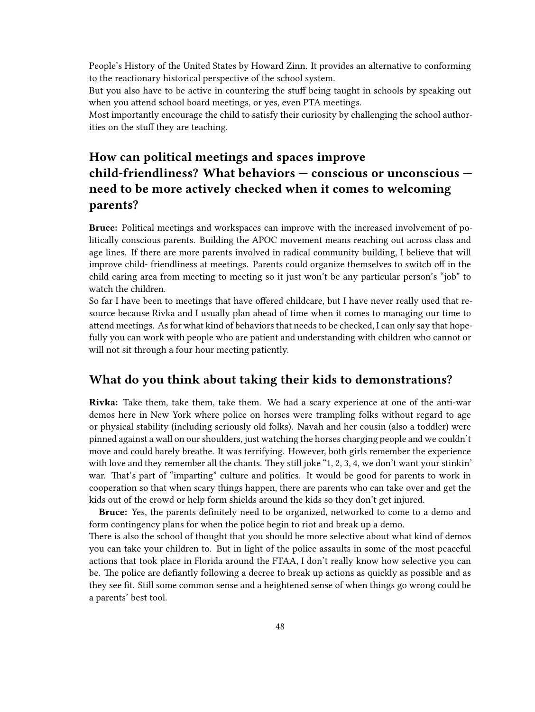People's History of the United States by Howard Zinn. It provides an alternative to conforming to the reactionary historical perspective of the school system.

But you also have to be active in countering the stuff being taught in schools by speaking out when you attend school board meetings, or yes, even PTA meetings.

Most importantly encourage the child to satisfy their curiosity by challenging the school authorities on the stuff they are teaching.

### **How can political meetings and spaces improve child-friendliness? What behaviors — conscious or unconscious need to be more actively checked when it comes to welcoming parents?**

**Bruce:** Political meetings and workspaces can improve with the increased involvement of politically conscious parents. Building the APOC movement means reaching out across class and age lines. If there are more parents involved in radical community building, I believe that will improve child- friendliness at meetings. Parents could organize themselves to switch off in the child caring area from meeting to meeting so it just won't be any particular person's "job" to watch the children.

So far I have been to meetings that have offered childcare, but I have never really used that resource because Rivka and I usually plan ahead of time when it comes to managing our time to attend meetings. As for what kind of behaviors that needs to be checked, I can only say that hopefully you can work with people who are patient and understanding with children who cannot or will not sit through a four hour meeting patiently.

#### **What do you think about taking their kids to demonstrations?**

**Rivka:** Take them, take them, take them. We had a scary experience at one of the anti-war demos here in New York where police on horses were trampling folks without regard to age or physical stability (including seriously old folks). Navah and her cousin (also a toddler) were pinned against a wall on our shoulders, just watching the horses charging people and we couldn't move and could barely breathe. It was terrifying. However, both girls remember the experience with love and they remember all the chants. They still joke "1, 2, 3, 4, we don't want your stinkin' war. That's part of "imparting" culture and politics. It would be good for parents to work in cooperation so that when scary things happen, there are parents who can take over and get the kids out of the crowd or help form shields around the kids so they don't get injured.

**Bruce:** Yes, the parents definitely need to be organized, networked to come to a demo and form contingency plans for when the police begin to riot and break up a demo.

There is also the school of thought that you should be more selective about what kind of demos you can take your children to. But in light of the police assaults in some of the most peaceful actions that took place in Florida around the FTAA, I don't really know how selective you can be. The police are defiantly following a decree to break up actions as quickly as possible and as they see fit. Still some common sense and a heightened sense of when things go wrong could be a parents' best tool.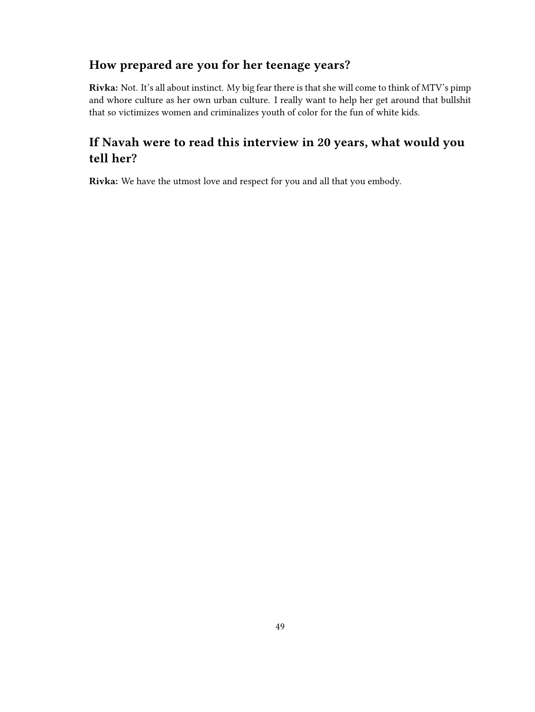#### **How prepared are you for her teenage years?**

**Rivka:** Not. It's all about instinct. My big fear there is that she will come to think of MTV's pimp and whore culture as her own urban culture. I really want to help her get around that bullshit that so victimizes women and criminalizes youth of color for the fun of white kids.

### **If Navah were to read this interview in 20 years, what would you tell her?**

**Rivka:** We have the utmost love and respect for you and all that you embody.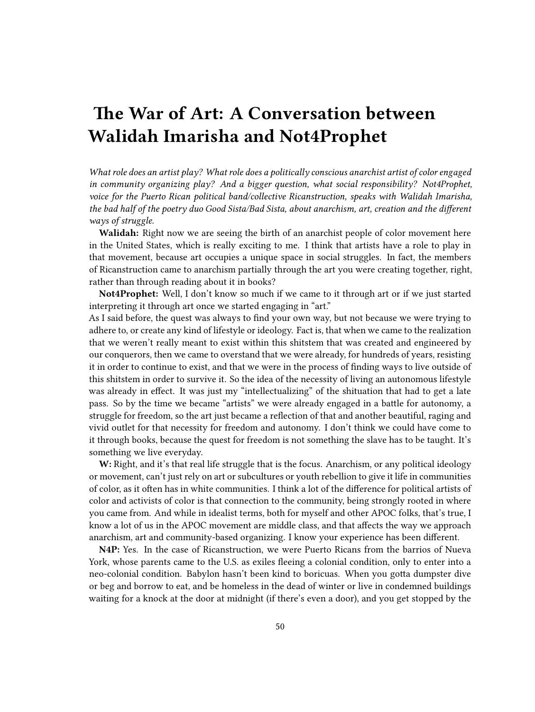## **The War of Art: A Conversation between Walidah Imarisha and Not4Prophet**

*What role does an artist play? What role does a politically conscious anarchist artist of color engaged in community organizing play? And a bigger question, what social responsibility? Not4Prophet, voice for the Puerto Rican political band/collective Ricanstruction, speaks with Walidah Imarisha, the bad half of the poetry duo Good Sista/Bad Sista, about anarchism, art, creation and the different ways of struggle.*

**Walidah:** Right now we are seeing the birth of an anarchist people of color movement here in the United States, which is really exciting to me. I think that artists have a role to play in that movement, because art occupies a unique space in social struggles. In fact, the members of Ricanstruction came to anarchism partially through the art you were creating together, right, rather than through reading about it in books?

**Not4Prophet:** Well, I don't know so much if we came to it through art or if we just started interpreting it through art once we started engaging in "art."

As I said before, the quest was always to find your own way, but not because we were trying to adhere to, or create any kind of lifestyle or ideology. Fact is, that when we came to the realization that we weren't really meant to exist within this shitstem that was created and engineered by our conquerors, then we came to overstand that we were already, for hundreds of years, resisting it in order to continue to exist, and that we were in the process of finding ways to live outside of this shitstem in order to survive it. So the idea of the necessity of living an autonomous lifestyle was already in effect. It was just my "intellectualizing" of the shituation that had to get a late pass. So by the time we became "artists" we were already engaged in a battle for autonomy, a struggle for freedom, so the art just became a reflection of that and another beautiful, raging and vivid outlet for that necessity for freedom and autonomy. I don't think we could have come to it through books, because the quest for freedom is not something the slave has to be taught. It's something we live everyday.

**W:** Right, and it's that real life struggle that is the focus. Anarchism, or any political ideology or movement, can't just rely on art or subcultures or youth rebellion to give it life in communities of color, as it often has in white communities. I think a lot of the difference for political artists of color and activists of color is that connection to the community, being strongly rooted in where you came from. And while in idealist terms, both for myself and other APOC folks, that's true, I know a lot of us in the APOC movement are middle class, and that affects the way we approach anarchism, art and community-based organizing. I know your experience has been different.

**N4P:** Yes. In the case of Ricanstruction, we were Puerto Ricans from the barrios of Nueva York, whose parents came to the U.S. as exiles fleeing a colonial condition, only to enter into a neo-colonial condition. Babylon hasn't been kind to boricuas. When you gotta dumpster dive or beg and borrow to eat, and be homeless in the dead of winter or live in condemned buildings waiting for a knock at the door at midnight (if there's even a door), and you get stopped by the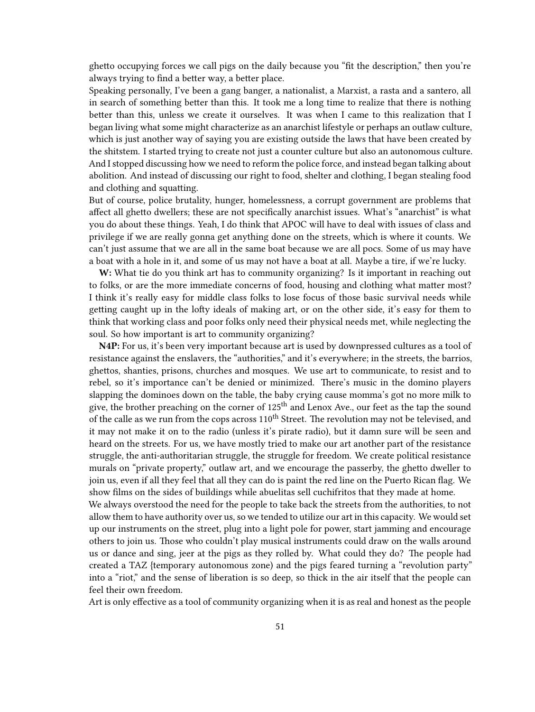ghetto occupying forces we call pigs on the daily because you "fit the description," then you're always trying to find a better way, a better place.

Speaking personally, I've been a gang banger, a nationalist, a Marxist, a rasta and a santero, all in search of something better than this. It took me a long time to realize that there is nothing better than this, unless we create it ourselves. It was when I came to this realization that I began living what some might characterize as an anarchist lifestyle or perhaps an outlaw culture, which is just another way of saying you are existing outside the laws that have been created by the shitstem. I started trying to create not just a counter culture but also an autonomous culture. And I stopped discussing how we need to reform the police force, and instead began talking about abolition. And instead of discussing our right to food, shelter and clothing, I began stealing food and clothing and squatting.

But of course, police brutality, hunger, homelessness, a corrupt government are problems that affect all ghetto dwellers; these are not specifically anarchist issues. What's "anarchist" is what you do about these things. Yeah, I do think that APOC will have to deal with issues of class and privilege if we are really gonna get anything done on the streets, which is where it counts. We can't just assume that we are all in the same boat because we are all pocs. Some of us may have a boat with a hole in it, and some of us may not have a boat at all. Maybe a tire, if we're lucky.

**W:** What tie do you think art has to community organizing? Is it important in reaching out to folks, or are the more immediate concerns of food, housing and clothing what matter most? I think it's really easy for middle class folks to lose focus of those basic survival needs while getting caught up in the lofty ideals of making art, or on the other side, it's easy for them to think that working class and poor folks only need their physical needs met, while neglecting the soul. So how important is art to community organizing?

**N4P:** For us, it's been very important because art is used by downpressed cultures as a tool of resistance against the enslavers, the "authorities," and it's everywhere; in the streets, the barrios, ghettos, shanties, prisons, churches and mosques. We use art to communicate, to resist and to rebel, so it's importance can't be denied or minimized. There's music in the domino players slapping the dominoes down on the table, the baby crying cause momma's got no more milk to give, the brother preaching on the corner of 125<sup>th</sup> and Lenox Ave., our feet as the tap the sound of the calle as we run from the cops across  $110^{th}$  Street. The revolution may not be televised, and it may not make it on to the radio (unless it's pirate radio), but it damn sure will be seen and heard on the streets. For us, we have mostly tried to make our art another part of the resistance struggle, the anti-authoritarian struggle, the struggle for freedom. We create political resistance murals on "private property," outlaw art, and we encourage the passerby, the ghetto dweller to join us, even if all they feel that all they can do is paint the red line on the Puerto Rican flag. We show films on the sides of buildings while abuelitas sell cuchifritos that they made at home.

We always overstood the need for the people to take back the streets from the authorities, to not allow them to have authority over us, so we tended to utilize our art in this capacity. We would set up our instruments on the street, plug into a light pole for power, start jamming and encourage others to join us. Those who couldn't play musical instruments could draw on the walls around us or dance and sing, jeer at the pigs as they rolled by. What could they do? The people had created a TAZ {temporary autonomous zone) and the pigs feared turning a "revolution party" into a "riot," and the sense of liberation is so deep, so thick in the air itself that the people can feel their own freedom.

Art is only effective as a tool of community organizing when it is as real and honest as the people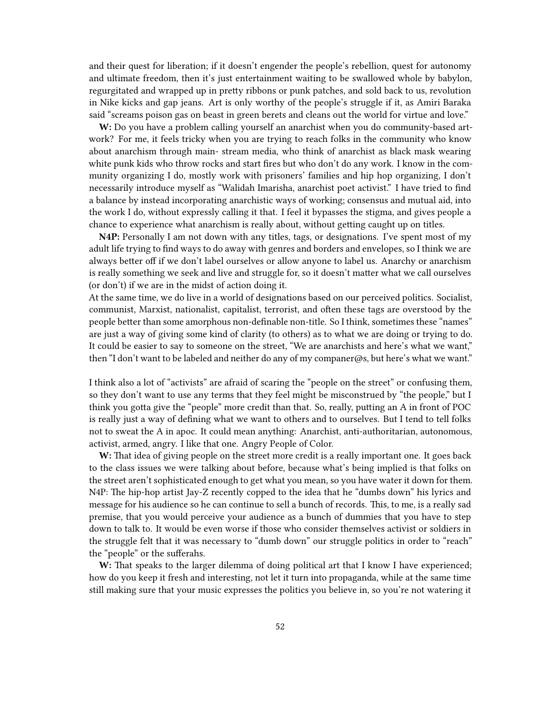and their quest for liberation; if it doesn't engender the people's rebellion, quest for autonomy and ultimate freedom, then it's just entertainment waiting to be swallowed whole by babylon, regurgitated and wrapped up in pretty ribbons or punk patches, and sold back to us, revolution in Nike kicks and gap jeans. Art is only worthy of the people's struggle if it, as Amiri Baraka said "screams poison gas on beast in green berets and cleans out the world for virtue and love."

**W:** Do you have a problem calling yourself an anarchist when you do community-based artwork? For me, it feels tricky when you are trying to reach folks in the community who know about anarchism through main- stream media, who think of anarchist as black mask wearing white punk kids who throw rocks and start fires but who don't do any work. I know in the community organizing I do, mostly work with prisoners' families and hip hop organizing, I don't necessarily introduce myself as "Walidah Imarisha, anarchist poet activist." I have tried to find a balance by instead incorporating anarchistic ways of working; consensus and mutual aid, into the work I do, without expressly calling it that. I feel it bypasses the stigma, and gives people a chance to experience what anarchism is really about, without getting caught up on titles.

**N4P:** Personally I am not down with any titles, tags, or designations. I've spent most of my adult life trying to find ways to do away with genres and borders and envelopes, so I think we are always better off if we don't label ourselves or allow anyone to label us. Anarchy or anarchism is really something we seek and live and struggle for, so it doesn't matter what we call ourselves (or don't) if we are in the midst of action doing it.

At the same time, we do live in a world of designations based on our perceived politics. Socialist, communist, Marxist, nationalist, capitalist, terrorist, and often these tags are overstood by the people better than some amorphous non-definable non-title. So I think, sometimes these "names" are just a way of giving some kind of clarity (to others) as to what we are doing or trying to do. It could be easier to say to someone on the street, "We are anarchists and here's what we want," then "I don't want to be labeled and neither do any of my companer@s, but here's what we want."

I think also a lot of "activists" are afraid of scaring the "people on the street" or confusing them, so they don't want to use any terms that they feel might be misconstrued by "the people," but I think you gotta give the "people" more credit than that. So, really, putting an A in front of POC is really just a way of defining what we want to others and to ourselves. But I tend to tell folks not to sweat the A in apoc. It could mean anything: Anarchist, anti-authoritarian, autonomous, activist, armed, angry. I like that one. Angry People of Color.

**W:** That idea of giving people on the street more credit is a really important one. It goes back to the class issues we were talking about before, because what's being implied is that folks on the street aren't sophisticated enough to get what you mean, so you have water it down for them. N4P: The hip-hop artist Jay-Z recently copped to the idea that he "dumbs down" his lyrics and message for his audience so he can continue to sell a bunch of records. This, to me, is a really sad premise, that you would perceive your audience as a bunch of dummies that you have to step down to talk to. It would be even worse if those who consider themselves activist or soldiers in the struggle felt that it was necessary to "dumb down" our struggle politics in order to "reach" the "people" or the sufferahs.

**W:** That speaks to the larger dilemma of doing political art that I know I have experienced; how do you keep it fresh and interesting, not let it turn into propaganda, while at the same time still making sure that your music expresses the politics you believe in, so you're not watering it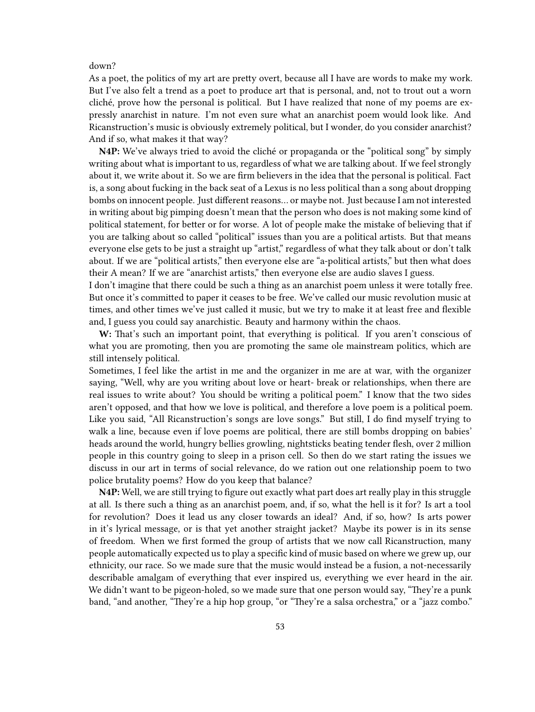#### down?

As a poet, the politics of my art are pretty overt, because all I have are words to make my work. But I've also felt a trend as a poet to produce art that is personal, and, not to trout out a worn cliché, prove how the personal is political. But I have realized that none of my poems are expressly anarchist in nature. I'm not even sure what an anarchist poem would look like. And Ricanstruction's music is obviously extremely political, but I wonder, do you consider anarchist? And if so, what makes it that way?

**N4P:** We've always tried to avoid the cliché or propaganda or the "political song" by simply writing about what is important to us, regardless of what we are talking about. If we feel strongly about it, we write about it. So we are firm believers in the idea that the personal is political. Fact is, a song about fucking in the back seat of a Lexus is no less political than a song about dropping bombs on innocent people. Just different reasons… or maybe not. Just because I am not interested in writing about big pimping doesn't mean that the person who does is not making some kind of political statement, for better or for worse. A lot of people make the mistake of believing that if you are talking about so called "political" issues than you are a political artists. But that means everyone else gets to be just a straight up "artist," regardless of what they talk about or don't talk about. If we are "political artists," then everyone else are "a-political artists," but then what does their A mean? If we are "anarchist artists," then everyone else are audio slaves I guess.

I don't imagine that there could be such a thing as an anarchist poem unless it were totally free. But once it's committed to paper it ceases to be free. We've called our music revolution music at times, and other times we've just called it music, but we try to make it at least free and flexible and, I guess you could say anarchistic. Beauty and harmony within the chaos.

**W:** That's such an important point, that everything is political. If you aren't conscious of what you are promoting, then you are promoting the same ole mainstream politics, which are still intensely political.

Sometimes, I feel like the artist in me and the organizer in me are at war, with the organizer saying, "Well, why are you writing about love or heart- break or relationships, when there are real issues to write about? You should be writing a political poem." I know that the two sides aren't opposed, and that how we love is political, and therefore a love poem is a political poem. Like you said, "All Ricanstruction's songs are love songs." But still, I do find myself trying to walk a line, because even if love poems are political, there are still bombs dropping on babies' heads around the world, hungry bellies growling, nightsticks beating tender flesh, over 2 million people in this country going to sleep in a prison cell. So then do we start rating the issues we discuss in our art in terms of social relevance, do we ration out one relationship poem to two police brutality poems? How do you keep that balance?

**N4P:** Well, we are still trying to figure out exactly what part does art really play in this struggle at all. Is there such a thing as an anarchist poem, and, if so, what the hell is it for? Is art a tool for revolution? Does it lead us any closer towards an ideal? And, if so, how? Is arts power in it's lyrical message, or is that yet another straight jacket? Maybe its power is in its sense of freedom. When we first formed the group of artists that we now call Ricanstruction, many people automatically expected us to play a specific kind of music based on where we grew up, our ethnicity, our race. So we made sure that the music would instead be a fusion, a not-necessarily describable amalgam of everything that ever inspired us, everything we ever heard in the air. We didn't want to be pigeon-holed, so we made sure that one person would say, "They're a punk band, "and another, "They're a hip hop group, "or "They're a salsa orchestra," or a "jazz combo."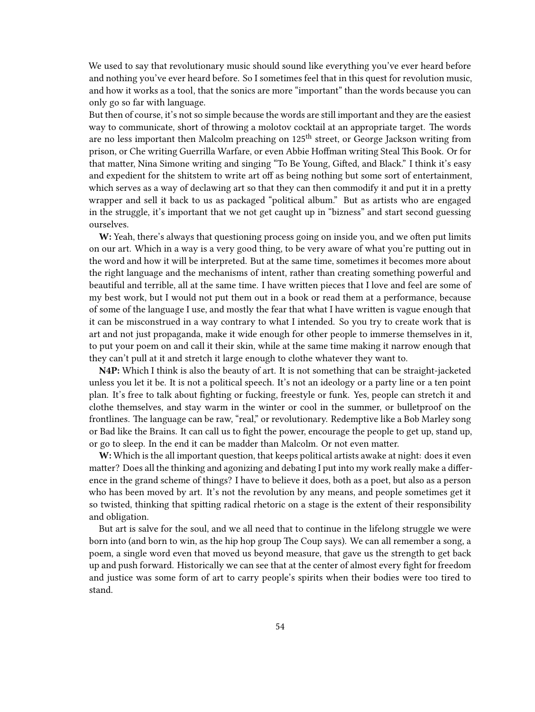We used to say that revolutionary music should sound like everything you've ever heard before and nothing you've ever heard before. So I sometimes feel that in this quest for revolution music, and how it works as a tool, that the sonics are more "important" than the words because you can only go so far with language.

But then of course, it's not so simple because the words are still important and they are the easiest way to communicate, short of throwing a molotov cocktail at an appropriate target. The words are no less important then Malcolm preaching on 125<sup>th</sup> street, or George Jackson writing from prison, or Che writing Guerrilla Warfare, or even Abbie Hoffman writing Steal This Book. Or for that matter, Nina Simone writing and singing "To Be Young, Gifted, and Black." I think it's easy and expedient for the shitstem to write art off as being nothing but some sort of entertainment, which serves as a way of declawing art so that they can then commodify it and put it in a pretty wrapper and sell it back to us as packaged "political album." But as artists who are engaged in the struggle, it's important that we not get caught up in "bizness" and start second guessing ourselves.

**W:** Yeah, there's always that questioning process going on inside you, and we often put limits on our art. Which in a way is a very good thing, to be very aware of what you're putting out in the word and how it will be interpreted. But at the same time, sometimes it becomes more about the right language and the mechanisms of intent, rather than creating something powerful and beautiful and terrible, all at the same time. I have written pieces that I love and feel are some of my best work, but I would not put them out in a book or read them at a performance, because of some of the language I use, and mostly the fear that what I have written is vague enough that it can be misconstrued in a way contrary to what I intended. So you try to create work that is art and not just propaganda, make it wide enough for other people to immerse themselves in it, to put your poem on and call it their skin, while at the same time making it narrow enough that they can't pull at it and stretch it large enough to clothe whatever they want to.

**N4P:** Which I think is also the beauty of art. It is not something that can be straight-jacketed unless you let it be. It is not a political speech. It's not an ideology or a party line or a ten point plan. It's free to talk about fighting or fucking, freestyle or funk. Yes, people can stretch it and clothe themselves, and stay warm in the winter or cool in the summer, or bulletproof on the frontlines. The language can be raw, "real," or revolutionary. Redemptive like a Bob Marley song or Bad like the Brains. It can call us to fight the power, encourage the people to get up, stand up, or go to sleep. In the end it can be madder than Malcolm. Or not even matter.

**W:** Which is the all important question, that keeps political artists awake at night: does it even matter? Does all the thinking and agonizing and debating I put into my work really make a difference in the grand scheme of things? I have to believe it does, both as a poet, but also as a person who has been moved by art. It's not the revolution by any means, and people sometimes get it so twisted, thinking that spitting radical rhetoric on a stage is the extent of their responsibility and obligation.

But art is salve for the soul, and we all need that to continue in the lifelong struggle we were born into (and born to win, as the hip hop group The Coup says). We can all remember a song, a poem, a single word even that moved us beyond measure, that gave us the strength to get back up and push forward. Historically we can see that at the center of almost every fight for freedom and justice was some form of art to carry people's spirits when their bodies were too tired to stand.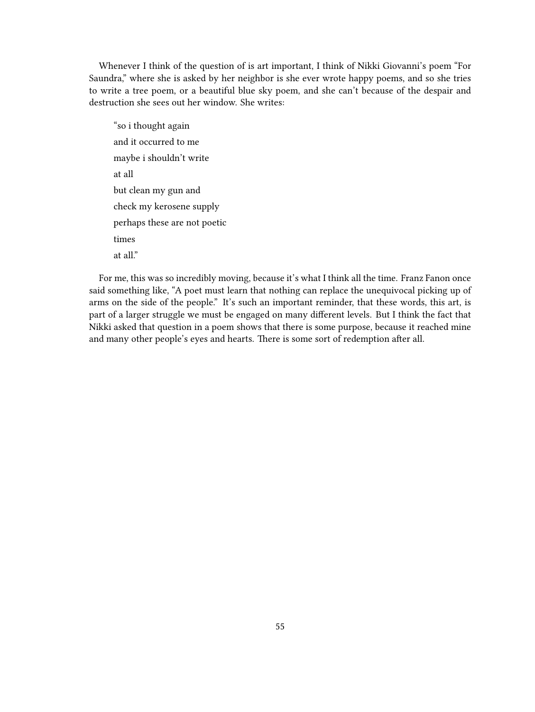Whenever I think of the question of is art important, I think of Nikki Giovanni's poem "For Saundra," where she is asked by her neighbor is she ever wrote happy poems, and so she tries to write a tree poem, or a beautiful blue sky poem, and she can't because of the despair and destruction she sees out her window. She writes:

"so i thought again and it occurred to me maybe i shouldn't write at all but clean my gun and check my kerosene supply perhaps these are not poetic times at all."

For me, this was so incredibly moving, because it's what I think all the time. Franz Fanon once said something like, "A poet must learn that nothing can replace the unequivocal picking up of arms on the side of the people." It's such an important reminder, that these words, this art, is part of a larger struggle we must be engaged on many different levels. But I think the fact that Nikki asked that question in a poem shows that there is some purpose, because it reached mine and many other people's eyes and hearts. There is some sort of redemption after all.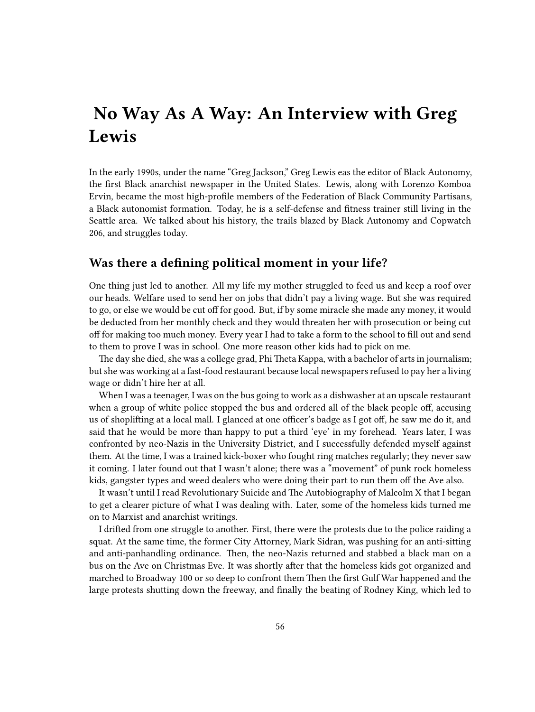## **No Way As A Way: An Interview with Greg Lewis**

In the early 1990s, under the name "Greg Jackson," Greg Lewis eas the editor of Black Autonomy, the first Black anarchist newspaper in the United States. Lewis, along with Lorenzo Komboa Ervin, became the most high-profile members of the Federation of Black Community Partisans, a Black autonomist formation. Today, he is a self-defense and fitness trainer still living in the Seattle area. We talked about his history, the trails blazed by Black Autonomy and Copwatch 206, and struggles today.

#### **Was there a defining political moment in your life?**

One thing just led to another. All my life my mother struggled to feed us and keep a roof over our heads. Welfare used to send her on jobs that didn't pay a living wage. But she was required to go, or else we would be cut off for good. But, if by some miracle she made any money, it would be deducted from her monthly check and they would threaten her with prosecution or being cut off for making too much money. Every year I had to take a form to the school to fill out and send to them to prove I was in school. One more reason other kids had to pick on me.

The day she died, she was a college grad, Phi Theta Kappa, with a bachelor of arts in journalism; but she was working at a fast-food restaurant because local newspapers refused to pay her a living wage or didn't hire her at all.

When I was a teenager, I was on the bus going to work as a dishwasher at an upscale restaurant when a group of white police stopped the bus and ordered all of the black people off, accusing us of shoplifting at a local mall. I glanced at one officer's badge as I got off, he saw me do it, and said that he would be more than happy to put a third 'eye' in my forehead. Years later, I was confronted by neo-Nazis in the University District, and I successfully defended myself against them. At the time, I was a trained kick-boxer who fought ring matches regularly; they never saw it coming. I later found out that I wasn't alone; there was a "movement" of punk rock homeless kids, gangster types and weed dealers who were doing their part to run them off the Ave also.

It wasn't until I read Revolutionary Suicide and The Autobiography of Malcolm X that I began to get a clearer picture of what I was dealing with. Later, some of the homeless kids turned me on to Marxist and anarchist writings.

I drifted from one struggle to another. First, there were the protests due to the police raiding a squat. At the same time, the former City Attorney, Mark Sidran, was pushing for an anti-sitting and anti-panhandling ordinance. Then, the neo-Nazis returned and stabbed a black man on a bus on the Ave on Christmas Eve. It was shortly after that the homeless kids got organized and marched to Broadway 100 or so deep to confront them Then the first Gulf War happened and the large protests shutting down the freeway, and finally the beating of Rodney King, which led to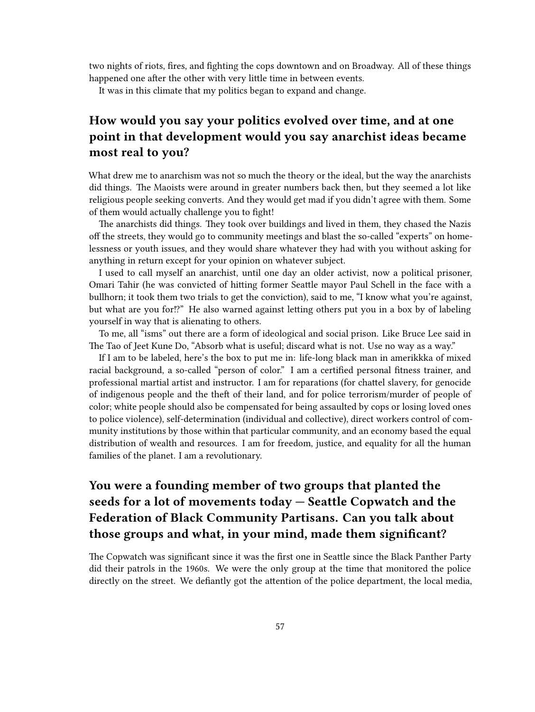two nights of riots, fires, and fighting the cops downtown and on Broadway. All of these things happened one after the other with very little time in between events.

It was in this climate that my politics began to expand and change.

### **How would you say your politics evolved over time, and at one point in that development would you say anarchist ideas became most real to you?**

What drew me to anarchism was not so much the theory or the ideal, but the way the anarchists did things. The Maoists were around in greater numbers back then, but they seemed a lot like religious people seeking converts. And they would get mad if you didn't agree with them. Some of them would actually challenge you to fight!

The anarchists did things. They took over buildings and lived in them, they chased the Nazis off the streets, they would go to community meetings and blast the so-called "experts" on homelessness or youth issues, and they would share whatever they had with you without asking for anything in return except for your opinion on whatever subject.

I used to call myself an anarchist, until one day an older activist, now a political prisoner, Omari Tahir (he was convicted of hitting former Seattle mayor Paul Schell in the face with a bullhorn; it took them two trials to get the conviction), said to me, "I know what you're against, but what are you for!?" He also warned against letting others put you in a box by of labeling yourself in way that is alienating to others.

To me, all "isms" out there are a form of ideological and social prison. Like Bruce Lee said in The Tao of Jeet Kune Do, "Absorb what is useful; discard what is not. Use no way as a way."

If I am to be labeled, here's the box to put me in: life-long black man in amerikkka of mixed racial background, a so-called "person of color." I am a certified personal fitness trainer, and professional martial artist and instructor. I am for reparations (for chattel slavery, for genocide of indigenous people and the theft of their land, and for police terrorism/murder of people of color; white people should also be compensated for being assaulted by cops or losing loved ones to police violence), self-determination (individual and collective), direct workers control of community institutions by those within that particular community, and an economy based the equal distribution of wealth and resources. I am for freedom, justice, and equality for all the human families of the planet. I am a revolutionary.

## **You were a founding member of two groups that planted the seeds for a lot of movements today — Seattle Copwatch and the Federation of Black Community Partisans. Can you talk about those groups and what, in your mind, made them significant?**

The Copwatch was significant since it was the first one in Seattle since the Black Panther Party did their patrols in the 1960s. We were the only group at the time that monitored the police directly on the street. We defiantly got the attention of the police department, the local media,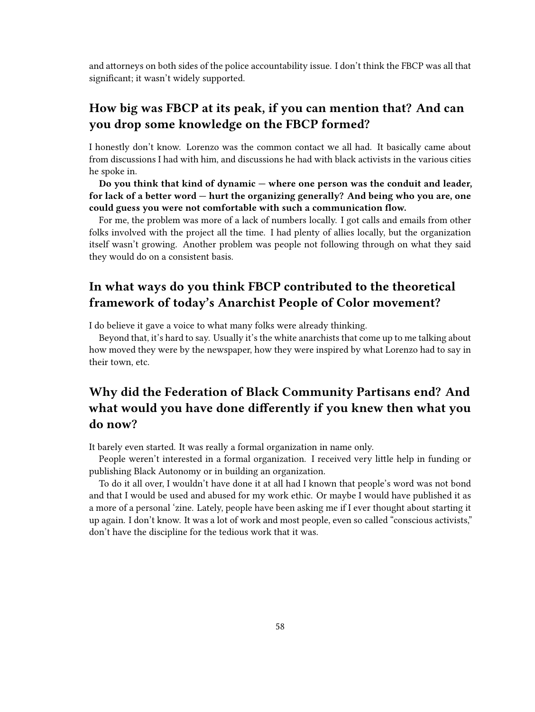and attorneys on both sides of the police accountability issue. I don't think the FBCP was all that significant; it wasn't widely supported.

#### **How big was FBCP at its peak, if you can mention that? And can you drop some knowledge on the FBCP formed?**

I honestly don't know. Lorenzo was the common contact we all had. It basically came about from discussions I had with him, and discussions he had with black activists in the various cities he spoke in.

**Do you think that kind of dynamic — where one person was the conduit and leader, for lack of a better word — hurt the organizing generally? And being who you are, one could guess you were not comfortable with such a communication flow.**

For me, the problem was more of a lack of numbers locally. I got calls and emails from other folks involved with the project all the time. I had plenty of allies locally, but the organization itself wasn't growing. Another problem was people not following through on what they said they would do on a consistent basis.

#### **In what ways do you think FBCP contributed to the theoretical framework of today's Anarchist People of Color movement?**

I do believe it gave a voice to what many folks were already thinking.

Beyond that, it's hard to say. Usually it's the white anarchists that come up to me talking about how moved they were by the newspaper, how they were inspired by what Lorenzo had to say in their town, etc.

### **Why did the Federation of Black Community Partisans end? And what would you have done differently if you knew then what you do now?**

It barely even started. It was really a formal organization in name only.

People weren't interested in a formal organization. I received very little help in funding or publishing Black Autonomy or in building an organization.

To do it all over, I wouldn't have done it at all had I known that people's word was not bond and that I would be used and abused for my work ethic. Or maybe I would have published it as a more of a personal 'zine. Lately, people have been asking me if I ever thought about starting it up again. I don't know. It was a lot of work and most people, even so called "conscious activists," don't have the discipline for the tedious work that it was.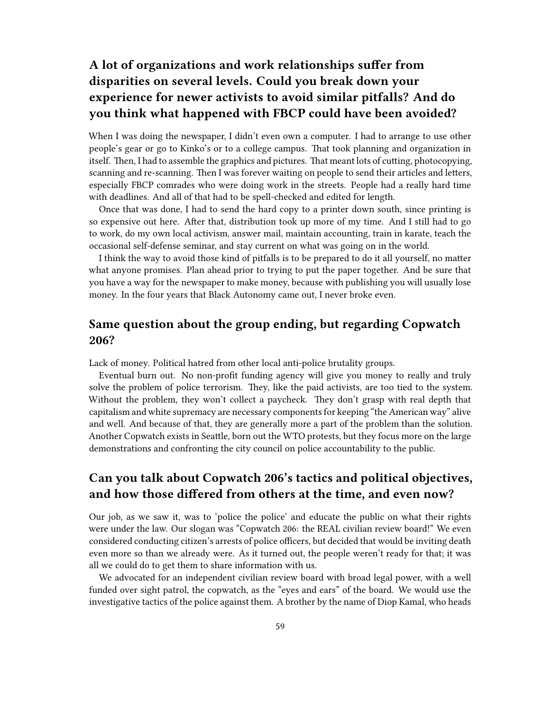## **A lot of organizations and work relationships suffer from disparities on several levels. Could you break down your experience for newer activists to avoid similar pitfalls? And do you think what happened with FBCP could have been avoided?**

When I was doing the newspaper, I didn't even own a computer. I had to arrange to use other people's gear or go to Kinko's or to a college campus. That took planning and organization in itself. Then, I had to assemble the graphics and pictures. That meant lots of cutting, photocopying, scanning and re-scanning. Then I was forever waiting on people to send their articles and letters, especially FBCP comrades who were doing work in the streets. People had a really hard time with deadlines. And all of that had to be spell-checked and edited for length.

Once that was done, I had to send the hard copy to a printer down south, since printing is so expensive out here. After that, distribution took up more of my time. And I still had to go to work, do my own local activism, answer mail, maintain accounting, train in karate, teach the occasional self-defense seminar, and stay current on what was going on in the world.

I think the way to avoid those kind of pitfalls is to be prepared to do it all yourself, no matter what anyone promises. Plan ahead prior to trying to put the paper together. And be sure that you have a way for the newspaper to make money, because with publishing you will usually lose money. In the four years that Black Autonomy came out, I never broke even.

#### **Same question about the group ending, but regarding Copwatch 206?**

Lack of money. Political hatred from other local anti-police brutality groups.

Eventual burn out. No non-profit funding agency will give you money to really and truly solve the problem of police terrorism. They, like the paid activists, are too tied to the system. Without the problem, they won't collect a paycheck. They don't grasp with real depth that capitalism and white supremacy are necessary components for keeping "the American way" alive and well. And because of that, they are generally more a part of the problem than the solution. Another Copwatch exists in Seattle, born out the WTO protests, but they focus more on the large demonstrations and confronting the city council on police accountability to the public.

#### **Can you talk about Copwatch 206's tactics and political objectives, and how those differed from others at the time, and even now?**

Our job, as we saw it, was to 'police the police' and educate the public on what their rights were under the law. Our slogan was "Copwatch 206: the REAL civilian review board!" We even considered conducting citizen's arrests of police officers, but decided that would be inviting death even more so than we already were. As it turned out, the people weren't ready for that; it was all we could do to get them to share information with us.

We advocated for an independent civilian review board with broad legal power, with a well funded over sight patrol, the copwatch, as the "eyes and ears" of the board. We would use the investigative tactics of the police against them. A brother by the name of Diop Kamal, who heads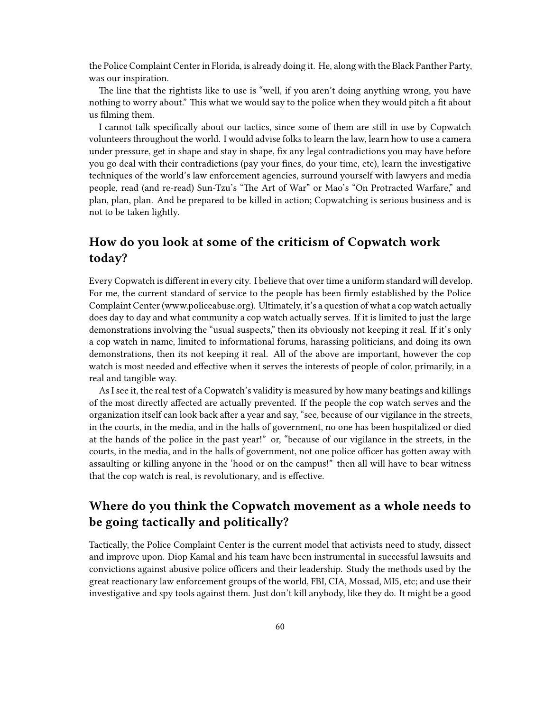the Police Complaint Center in Florida, is already doing it. He, along with the Black Panther Party, was our inspiration.

The line that the rightists like to use is "well, if you aren't doing anything wrong, you have nothing to worry about." This what we would say to the police when they would pitch a fit about us filming them.

I cannot talk specifically about our tactics, since some of them are still in use by Copwatch volunteers throughout the world. I would advise folks to learn the law, learn how to use a camera under pressure, get in shape and stay in shape, fix any legal contradictions you may have before you go deal with their contradictions (pay your fines, do your time, etc), learn the investigative techniques of the world's law enforcement agencies, surround yourself with lawyers and media people, read (and re-read) Sun-Tzu's "The Art of War" or Mao's "On Protracted Warfare," and plan, plan, plan. And be prepared to be killed in action; Copwatching is serious business and is not to be taken lightly.

#### **How do you look at some of the criticism of Copwatch work today?**

Every Copwatch is different in every city. I believe that over time a uniform standard will develop. For me, the current standard of service to the people has been firmly established by the Police Complaint Center [\(www.policeabuse.org](http://www.policeabuse.org/)). Ultimately, it's a question of what a cop watch actually does day to day and what community a cop watch actually serves. If it is limited to just the large demonstrations involving the "usual suspects," then its obviously not keeping it real. If it's only a cop watch in name, limited to informational forums, harassing politicians, and doing its own demonstrations, then its not keeping it real. All of the above are important, however the cop watch is most needed and effective when it serves the interests of people of color, primarily, in a real and tangible way.

As I see it, the real test of a Copwatch's validity is measured by how many beatings and killings of the most directly affected are actually prevented. If the people the cop watch serves and the organization itself can look back after a year and say, "see, because of our vigilance in the streets, in the courts, in the media, and in the halls of government, no one has been hospitalized or died at the hands of the police in the past year!" or, "because of our vigilance in the streets, in the courts, in the media, and in the halls of government, not one police officer has gotten away with assaulting or killing anyone in the 'hood or on the campus!" then all will have to bear witness that the cop watch is real, is revolutionary, and is effective.

#### **Where do you think the Copwatch movement as a whole needs to be going tactically and politically?**

Tactically, the Police Complaint Center is the current model that activists need to study, dissect and improve upon. Diop Kamal and his team have been instrumental in successful lawsuits and convictions against abusive police officers and their leadership. Study the methods used by the great reactionary law enforcement groups of the world, FBI, CIA, Mossad, MI5, etc; and use their investigative and spy tools against them. Just don't kill anybody, like they do. It might be a good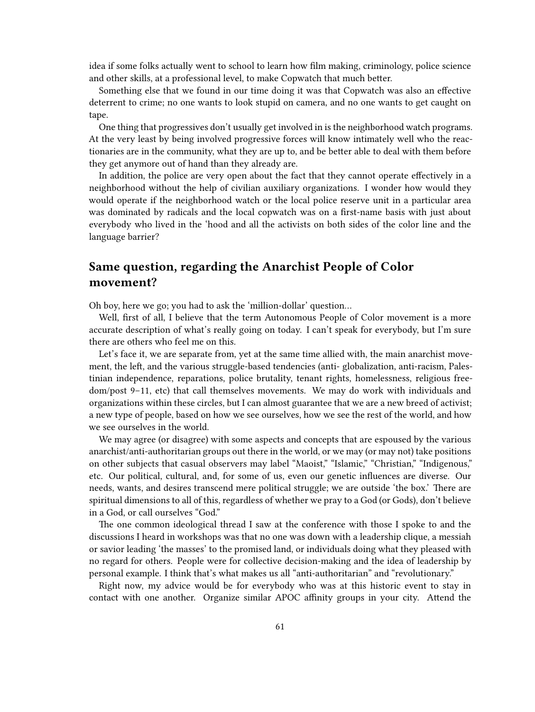idea if some folks actually went to school to learn how film making, criminology, police science and other skills, at a professional level, to make Copwatch that much better.

Something else that we found in our time doing it was that Copwatch was also an effective deterrent to crime; no one wants to look stupid on camera, and no one wants to get caught on tape.

One thing that progressives don't usually get involved in is the neighborhood watch programs. At the very least by being involved progressive forces will know intimately well who the reactionaries are in the community, what they are up to, and be better able to deal with them before they get anymore out of hand than they already are.

In addition, the police are very open about the fact that they cannot operate effectively in a neighborhood without the help of civilian auxiliary organizations. I wonder how would they would operate if the neighborhood watch or the local police reserve unit in a particular area was dominated by radicals and the local copwatch was on a first-name basis with just about everybody who lived in the 'hood and all the activists on both sides of the color line and the language barrier?

#### **Same question, regarding the Anarchist People of Color movement?**

Oh boy, here we go; you had to ask the 'million-dollar' question…

Well, first of all, I believe that the term Autonomous People of Color movement is a more accurate description of what's really going on today. I can't speak for everybody, but I'm sure there are others who feel me on this.

Let's face it, we are separate from, yet at the same time allied with, the main anarchist movement, the left, and the various struggle-based tendencies (anti- globalization, anti-racism, Palestinian independence, reparations, police brutality, tenant rights, homelessness, religious freedom/post 9–11, etc) that call themselves movements. We may do work with individuals and organizations within these circles, but I can almost guarantee that we are a new breed of activist; a new type of people, based on how we see ourselves, how we see the rest of the world, and how we see ourselves in the world.

We may agree (or disagree) with some aspects and concepts that are espoused by the various anarchist/anti-authoritarian groups out there in the world, or we may (or may not) take positions on other subjects that casual observers may label "Maoist," "Islamic," "Christian," "Indigenous," etc. Our political, cultural, and, for some of us, even our genetic influences are diverse. Our needs, wants, and desires transcend mere political struggle; we are outside 'the box.' There are spiritual dimensions to all of this, regardless of whether we pray to a God (or Gods), don't believe in a God, or call ourselves "God."

The one common ideological thread I saw at the conference with those I spoke to and the discussions I heard in workshops was that no one was down with a leadership clique, a messiah or savior leading 'the masses' to the promised land, or individuals doing what they pleased with no regard for others. People were for collective decision-making and the idea of leadership by personal example. I think that's what makes us all "anti-authoritarian" and "revolutionary."

Right now, my advice would be for everybody who was at this historic event to stay in contact with one another. Organize similar APOC affinity groups in your city. Attend the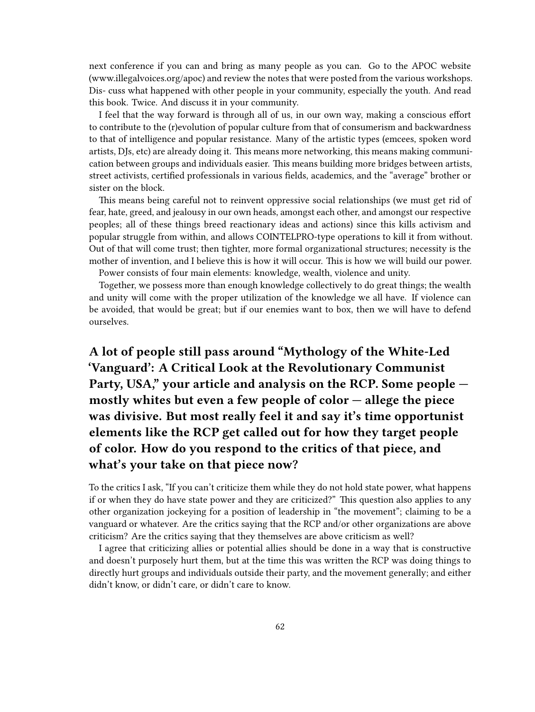next conference if you can and bring as many people as you can. Go to the APOC website [\(www.illegalvoices.org/apoc](http://www.illegalvoices.org/apoc/)) and review the notes that were posted from the various workshops. Dis- cuss what happened with other people in your community, especially the youth. And read this book. Twice. And discuss it in your community.

I feel that the way forward is through all of us, in our own way, making a conscious effort to contribute to the (r)evolution of popular culture from that of consumerism and backwardness to that of intelligence and popular resistance. Many of the artistic types (emcees, spoken word artists, DJs, etc) are already doing it. This means more networking, this means making communication between groups and individuals easier. This means building more bridges between artists, street activists, certified professionals in various fields, academics, and the "average" brother or sister on the block.

This means being careful not to reinvent oppressive social relationships (we must get rid of fear, hate, greed, and jealousy in our own heads, amongst each other, and amongst our respective peoples; all of these things breed reactionary ideas and actions) since this kills activism and popular struggle from within, and allows COINTELPRO-type operations to kill it from without. Out of that will come trust; then tighter, more formal organizational structures; necessity is the mother of invention, and I believe this is how it will occur. This is how we will build our power.

Power consists of four main elements: knowledge, wealth, violence and unity.

Together, we possess more than enough knowledge collectively to do great things; the wealth and unity will come with the proper utilization of the knowledge we all have. If violence can be avoided, that would be great; but if our enemies want to box, then we will have to defend ourselves.

## **A lot of people still pass around "Mythology of the White-Led 'Vanguard': A Critical Look at the Revolutionary Communist Party, USA," your article and analysis on the RCP. Some people mostly whites but even a few people of color — allege the piece was divisive. But most really feel it and say it's time opportunist elements like the RCP get called out for how they target people of color. How do you respond to the critics of that piece, and what's your take on that piece now?**

To the critics I ask, "If you can't criticize them while they do not hold state power, what happens if or when they do have state power and they are criticized?" This question also applies to any other organization jockeying for a position of leadership in "the movement"; claiming to be a vanguard or whatever. Are the critics saying that the RCP and/or other organizations are above criticism? Are the critics saying that they themselves are above criticism as well?

I agree that criticizing allies or potential allies should be done in a way that is constructive and doesn't purposely hurt them, but at the time this was written the RCP was doing things to directly hurt groups and individuals outside their party, and the movement generally; and either didn't know, or didn't care, or didn't care to know.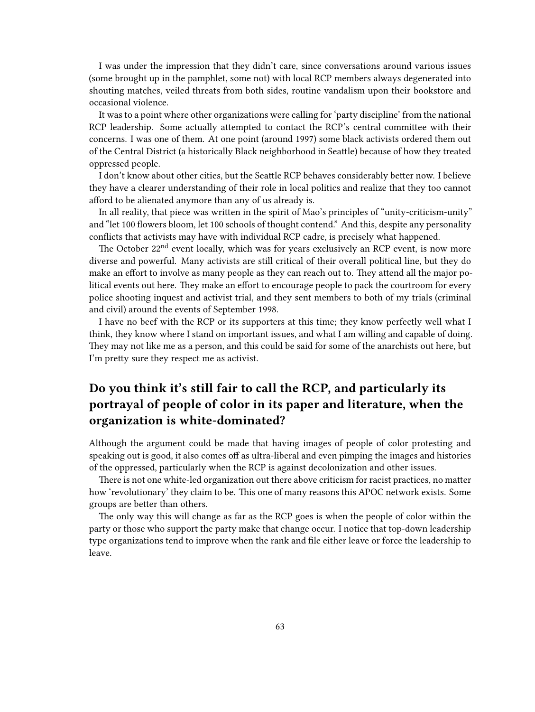I was under the impression that they didn't care, since conversations around various issues (some brought up in the pamphlet, some not) with local RCP members always degenerated into shouting matches, veiled threats from both sides, routine vandalism upon their bookstore and occasional violence.

It was to a point where other organizations were calling for 'party discipline' from the national RCP leadership. Some actually attempted to contact the RCP's central committee with their concerns. I was one of them. At one point (around 1997) some black activists ordered them out of the Central District (a historically Black neighborhood in Seattle) because of how they treated oppressed people.

I don't know about other cities, but the Seattle RCP behaves considerably better now. I believe they have a clearer understanding of their role in local politics and realize that they too cannot afford to be alienated anymore than any of us already is.

In all reality, that piece was written in the spirit of Mao's principles of "unity-criticism-unity" and "let 100 flowers bloom, let 100 schools of thought contend." And this, despite any personality conflicts that activists may have with individual RCP cadre, is precisely what happened.

The October 22<sup>nd</sup> event locally, which was for years exclusively an RCP event, is now more diverse and powerful. Many activists are still critical of their overall political line, but they do make an effort to involve as many people as they can reach out to. They attend all the major political events out here. They make an effort to encourage people to pack the courtroom for every police shooting inquest and activist trial, and they sent members to both of my trials (criminal and civil) around the events of September 1998.

I have no beef with the RCP or its supporters at this time; they know perfectly well what I think, they know where I stand on important issues, and what I am willing and capable of doing. They may not like me as a person, and this could be said for some of the anarchists out here, but I'm pretty sure they respect me as activist.

### **Do you think it's still fair to call the RCP, and particularly its portrayal of people of color in its paper and literature, when the organization is white-dominated?**

Although the argument could be made that having images of people of color protesting and speaking out is good, it also comes off as ultra-liberal and even pimping the images and histories of the oppressed, particularly when the RCP is against decolonization and other issues.

There is not one white-led organization out there above criticism for racist practices, no matter how 'revolutionary' they claim to be. This one of many reasons this APOC network exists. Some groups are better than others.

The only way this will change as far as the RCP goes is when the people of color within the party or those who support the party make that change occur. I notice that top-down leadership type organizations tend to improve when the rank and file either leave or force the leadership to leave.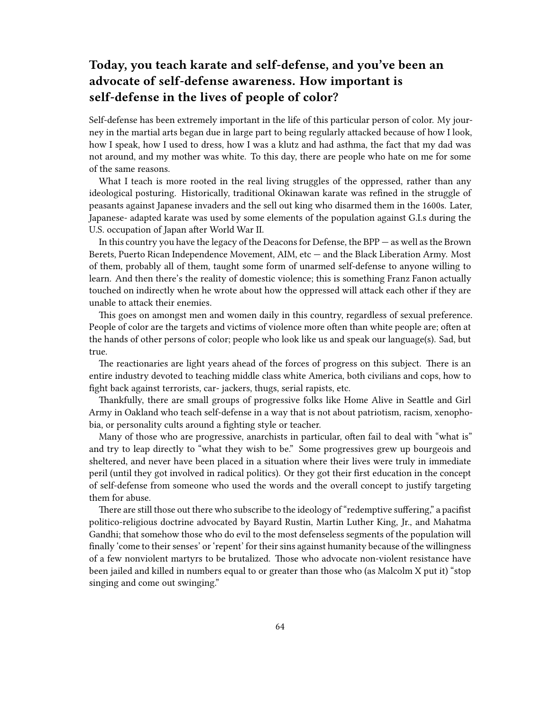### **Today, you teach karate and self-defense, and you've been an advocate of self-defense awareness. How important is self-defense in the lives of people of color?**

Self-defense has been extremely important in the life of this particular person of color. My journey in the martial arts began due in large part to being regularly attacked because of how I look, how I speak, how I used to dress, how I was a klutz and had asthma, the fact that my dad was not around, and my mother was white. To this day, there are people who hate on me for some of the same reasons.

What I teach is more rooted in the real living struggles of the oppressed, rather than any ideological posturing. Historically, traditional Okinawan karate was refined in the struggle of peasants against Japanese invaders and the sell out king who disarmed them in the 1600s. Later, Japanese- adapted karate was used by some elements of the population against G.I.s during the U.S. occupation of Japan after World War II.

In this country you have the legacy of the Deacons for Defense, the BPP — as well as the Brown Berets, Puerto Rican Independence Movement, AIM, etc — and the Black Liberation Army. Most of them, probably all of them, taught some form of unarmed self-defense to anyone willing to learn. And then there's the reality of domestic violence; this is something Franz Fanon actually touched on indirectly when he wrote about how the oppressed will attack each other if they are unable to attack their enemies.

This goes on amongst men and women daily in this country, regardless of sexual preference. People of color are the targets and victims of violence more often than white people are; often at the hands of other persons of color; people who look like us and speak our language(s). Sad, but true.

The reactionaries are light years ahead of the forces of progress on this subject. There is an entire industry devoted to teaching middle class white America, both civilians and cops, how to fight back against terrorists, car- jackers, thugs, serial rapists, etc.

Thankfully, there are small groups of progressive folks like Home Alive in Seattle and Girl Army in Oakland who teach self-defense in a way that is not about patriotism, racism, xenophobia, or personality cults around a fighting style or teacher.

Many of those who are progressive, anarchists in particular, often fail to deal with "what is" and try to leap directly to "what they wish to be." Some progressives grew up bourgeois and sheltered, and never have been placed in a situation where their lives were truly in immediate peril (until they got involved in radical politics). Or they got their first education in the concept of self-defense from someone who used the words and the overall concept to justify targeting them for abuse.

There are still those out there who subscribe to the ideology of "redemptive suffering," a pacifist politico-religious doctrine advocated by Bayard Rustin, Martin Luther King, Jr., and Mahatma Gandhi; that somehow those who do evil to the most defenseless segments of the population will finally 'come to their senses' or 'repent' for their sins against humanity because of the willingness of a few nonviolent martyrs to be brutalized. Those who advocate non-violent resistance have been jailed and killed in numbers equal to or greater than those who (as Malcolm X put it) "stop singing and come out swinging."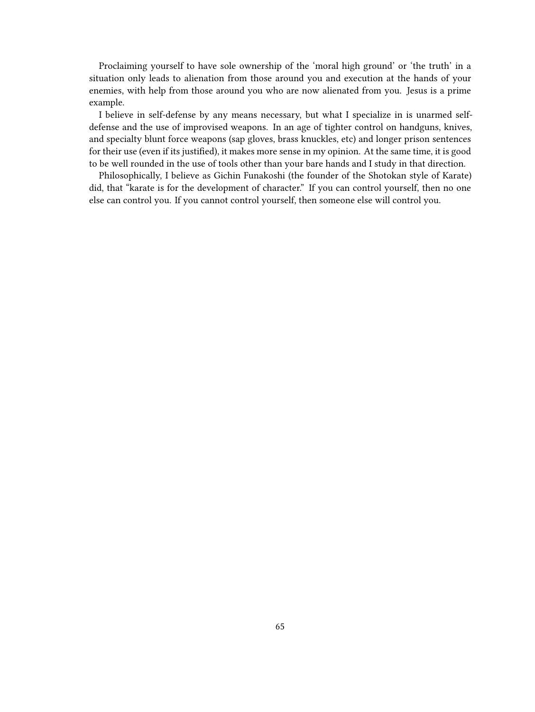Proclaiming yourself to have sole ownership of the 'moral high ground' or 'the truth' in a situation only leads to alienation from those around you and execution at the hands of your enemies, with help from those around you who are now alienated from you. Jesus is a prime example.

I believe in self-defense by any means necessary, but what I specialize in is unarmed selfdefense and the use of improvised weapons. In an age of tighter control on handguns, knives, and specialty blunt force weapons (sap gloves, brass knuckles, etc) and longer prison sentences for their use (even if its justified), it makes more sense in my opinion. At the same time, it is good to be well rounded in the use of tools other than your bare hands and I study in that direction.

Philosophically, I believe as Gichin Funakoshi (the founder of the Shotokan style of Karate) did, that "karate is for the development of character." If you can control yourself, then no one else can control you. If you cannot control yourself, then someone else will control you.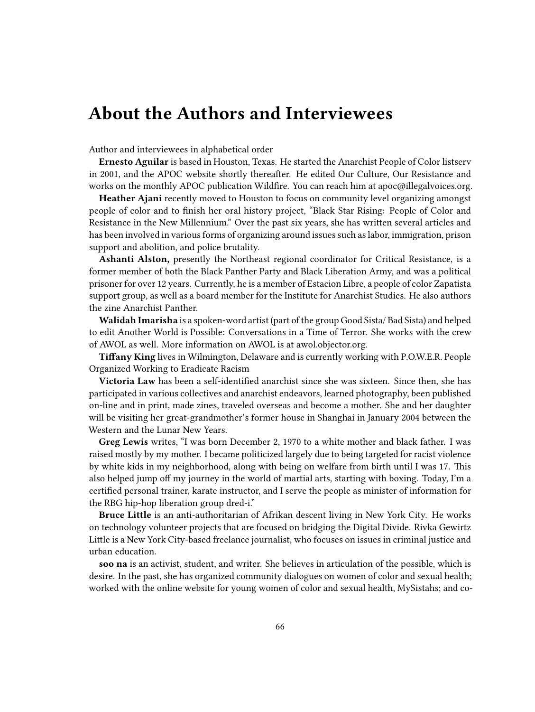## **About the Authors and Interviewees**

Author and interviewees in alphabetical order

**Ernesto Aguilar** is based in Houston, Texas. He started the Anarchist People of Color listserv in 2001, and the APOC website shortly thereafter. He edited Our Culture, Our Resistance and works on the monthly APOC publication Wildfire. You can reach him at apoc@illegalvoices.org.

**Heather Ajani** recently moved to Houston to focus on community level organizing amongst people of color and to finish her oral history project, "Black Star Rising: People of Color and Resistance in the New Millennium." Over the past six years, she has written several articles and has been involved in various forms of organizing around issues such as labor, immigration, prison support and abolition, and police brutality.

**Ashanti Alston,** presently the Northeast regional coordinator for Critical Resistance, is a former member of both the Black Panther Party and Black Liberation Army, and was a political prisoner for over 12 years. Currently, he is a member of Estacion Libre, a people of color Zapatista support group, as well as a board member for the Institute for Anarchist Studies. He also authors the zine Anarchist Panther.

**Walidah Imarisha** is a spoken-word artist (part of the group Good Sista/ Bad Sista) and helped to edit Another World is Possible: Conversations in a Time of Terror. She works with the crew of AWOL as well. More information on AWOL is at awol.objector.org.

**Tiffany King** lives in Wilmington, Delaware and is currently working with P.O.W.E.R. People Organized Working to Eradicate Racism

**Victoria Law** has been a self-identified anarchist since she was sixteen. Since then, she has participated in various collectives and anarchist endeavors, learned photography, been published on-line and in print, made zines, traveled overseas and become a mother. She and her daughter will be visiting her great-grandmother's former house in Shanghai in January 2004 between the Western and the Lunar New Years.

**Greg Lewis** writes, "I was born December 2, 1970 to a white mother and black father. I was raised mostly by my mother. I became politicized largely due to being targeted for racist violence by white kids in my neighborhood, along with being on welfare from birth until I was 17. This also helped jump off my journey in the world of martial arts, starting with boxing. Today, I'm a certified personal trainer, karate instructor, and I serve the people as minister of information for the RBG hip-hop liberation group dred-i."

**Bruce Little** is an anti-authoritarian of Afrikan descent living in New York City. He works on technology volunteer projects that are focused on bridging the Digital Divide. Rivka Gewirtz Little is a New York City-based freelance journalist, who focuses on issues in criminal justice and urban education.

**soo na** is an activist, student, and writer. She believes in articulation of the possible, which is desire. In the past, she has organized community dialogues on women of color and sexual health; worked with the online website for young women of color and sexual health, MySistahs; and co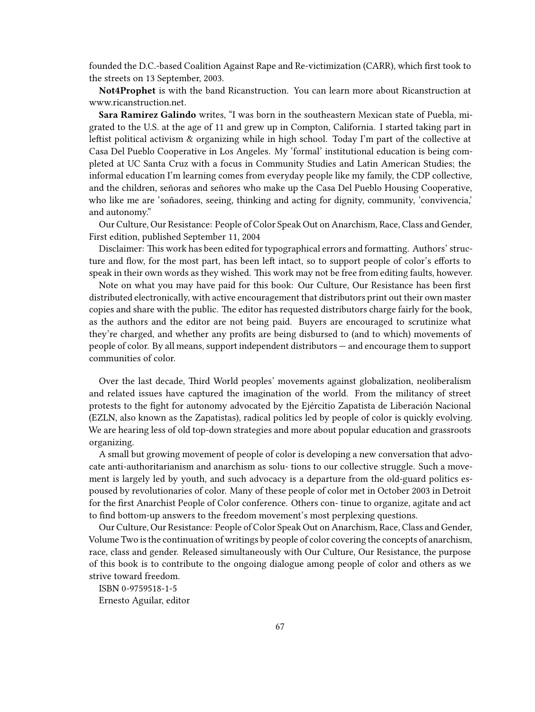founded the D.C.-based Coalition Against Rape and Re-victimization (CARR), which first took to the streets on 13 September, 2003.

**Not4Prophet** is with the band Ricanstruction. You can learn more about Ricanstruction at [www.ricanstruction.net.](http://www.ricanstruction.net./)

**Sara Ramirez Galindo** writes, "I was born in the southeastern Mexican state of Puebla, migrated to the U.S. at the age of 11 and grew up in Compton, California. I started taking part in leftist political activism & organizing while in high school. Today I'm part of the collective at Casa Del Pueblo Cooperative in Los Angeles. My 'formal' institutional education is being completed at UC Santa Cruz with a focus in Community Studies and Latin American Studies; the informal education I'm learning comes from everyday people like my family, the CDP collective, and the children, señoras and señores who make up the Casa Del Pueblo Housing Cooperative, who like me are 'soñadores, seeing, thinking and acting for dignity, community, 'convivencia,' and autonomy."

Our Culture, Our Resistance: People of Color Speak Out on Anarchism, Race, Class and Gender, First edition, published September 11, 2004

Disclaimer: This work has been edited for typographical errors and formatting. Authors' structure and flow, for the most part, has been left intact, so to support people of color's efforts to speak in their own words as they wished. This work may not be free from editing faults, however.

Note on what you may have paid for this book: Our Culture, Our Resistance has been first distributed electronically, with active encouragement that distributors print out their own master copies and share with the public. The editor has requested distributors charge fairly for the book, as the authors and the editor are not being paid. Buyers are encouraged to scrutinize what they're charged, and whether any profits are being disbursed to (and to which) movements of people of color. By all means, support independent distributors — and encourage them to support communities of color.

Over the last decade, Third World peoples' movements against globalization, neoliberalism and related issues have captured the imagination of the world. From the militancy of street protests to the fight for autonomy advocated by the Ejércitio Zapatista de Liberación Nacional (EZLN, also known as the Zapatistas), radical politics led by people of color is quickly evolving. We are hearing less of old top-down strategies and more about popular education and grassroots organizing.

A small but growing movement of people of color is developing a new conversation that advocate anti-authoritarianism and anarchism as solu- tions to our collective struggle. Such a movement is largely led by youth, and such advocacy is a departure from the old-guard politics espoused by revolutionaries of color. Many of these people of color met in October 2003 in Detroit for the first Anarchist People of Color conference. Others con- tinue to organize, agitate and act to find bottom-up answers to the freedom movement's most perplexing questions.

Our Culture, Our Resistance: People of Color Speak Out on Anarchism, Race, Class and Gender, Volume Two is the continuation of writings by people of color covering the concepts of anarchism, race, class and gender. Released simultaneously with Our Culture, Our Resistance, the purpose of this book is to contribute to the ongoing dialogue among people of color and others as we strive toward freedom.

ISBN 0-9759518-1-5

Ernesto Aguilar, editor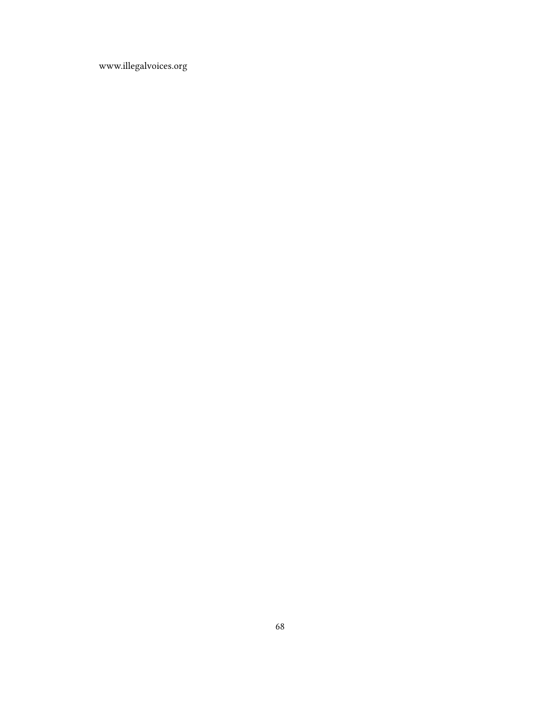[www.illegalvoices.org](http://www.illegalvoices.org/)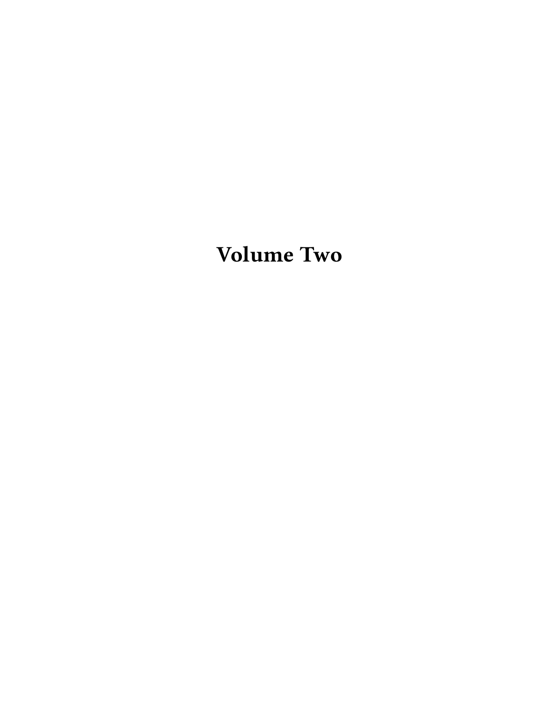**Volume Two**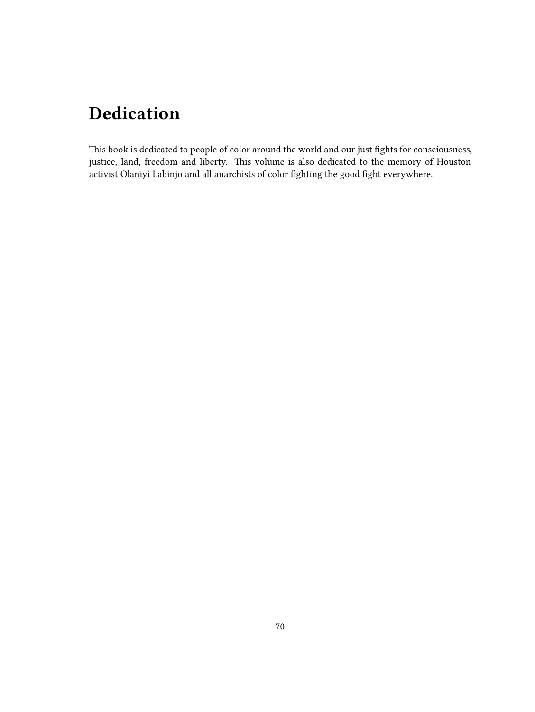# **Dedication**

This book is dedicated to people of color around the world and our just fights for consciousness, justice, land, freedom and liberty. This volume is also dedicated to the memory of Houston activist Olaniyi Labinjo and all anarchists of color fighting the good fight everywhere.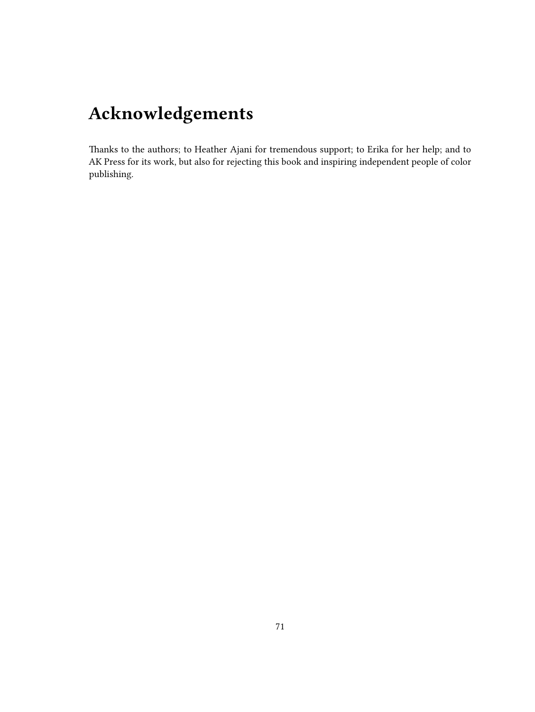# **Acknowledgements**

Thanks to the authors; to Heather Ajani for tremendous support; to Erika for her help; and to AK Press for its work, but also for rejecting this book and inspiring independent people of color publishing.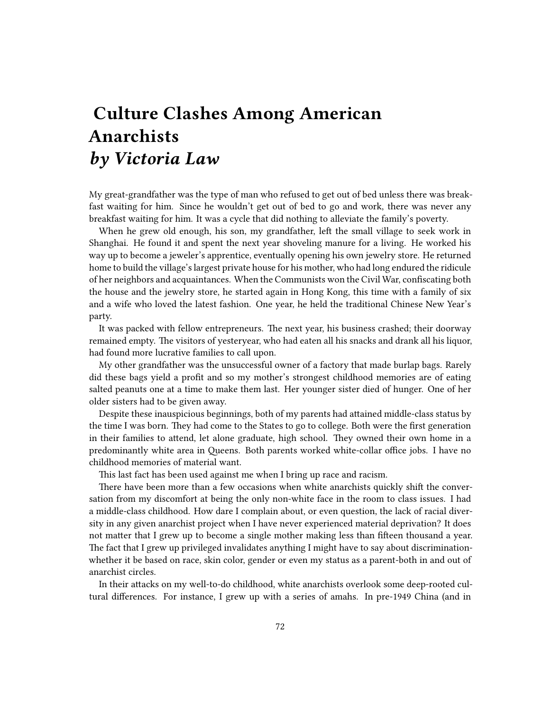## **Culture Clashes Among American Anarchists** *by Victoria Law*

My great-grandfather was the type of man who refused to get out of bed unless there was breakfast waiting for him. Since he wouldn't get out of bed to go and work, there was never any breakfast waiting for him. It was a cycle that did nothing to alleviate the family's poverty.

When he grew old enough, his son, my grandfather, left the small village to seek work in Shanghai. He found it and spent the next year shoveling manure for a living. He worked his way up to become a jeweler's apprentice, eventually opening his own jewelry store. He returned home to build the village's largest private house for his mother, who had long endured the ridicule of her neighbors and acquaintances. When the Communists won the Civil War, confiscating both the house and the jewelry store, he started again in Hong Kong, this time with a family of six and a wife who loved the latest fashion. One year, he held the traditional Chinese New Year's party.

It was packed with fellow entrepreneurs. The next year, his business crashed; their doorway remained empty. The visitors of yesteryear, who had eaten all his snacks and drank all his liquor, had found more lucrative families to call upon.

My other grandfather was the unsuccessful owner of a factory that made burlap bags. Rarely did these bags yield a profit and so my mother's strongest childhood memories are of eating salted peanuts one at a time to make them last. Her younger sister died of hunger. One of her older sisters had to be given away.

Despite these inauspicious beginnings, both of my parents had attained middle-class status by the time I was born. They had come to the States to go to college. Both were the first generation in their families to attend, let alone graduate, high school. They owned their own home in a predominantly white area in Queens. Both parents worked white-collar office jobs. I have no childhood memories of material want.

This last fact has been used against me when I bring up race and racism.

There have been more than a few occasions when white anarchists quickly shift the conversation from my discomfort at being the only non-white face in the room to class issues. I had a middle-class childhood. How dare I complain about, or even question, the lack of racial diversity in any given anarchist project when I have never experienced material deprivation? It does not matter that I grew up to become a single mother making less than fifteen thousand a year. The fact that I grew up privileged invalidates anything I might have to say about discriminationwhether it be based on race, skin color, gender or even my status as a parent-both in and out of anarchist circles.

In their attacks on my well-to-do childhood, white anarchists overlook some deep-rooted cultural differences. For instance, I grew up with a series of amahs. In pre-1949 China (and in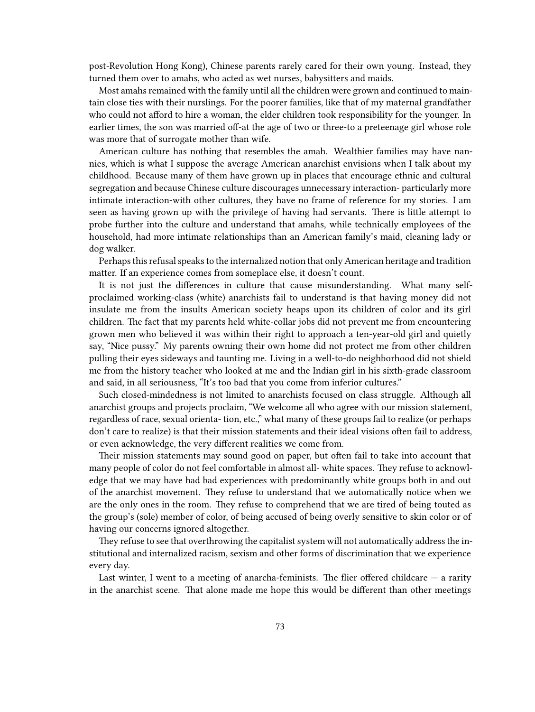post-Revolution Hong Kong), Chinese parents rarely cared for their own young. Instead, they turned them over to amahs, who acted as wet nurses, babysitters and maids.

Most amahs remained with the family until all the children were grown and continued to maintain close ties with their nurslings. For the poorer families, like that of my maternal grandfather who could not afford to hire a woman, the elder children took responsibility for the younger. In earlier times, the son was married off-at the age of two or three-to a preteenage girl whose role was more that of surrogate mother than wife.

American culture has nothing that resembles the amah. Wealthier families may have nannies, which is what I suppose the average American anarchist envisions when I talk about my childhood. Because many of them have grown up in places that encourage ethnic and cultural segregation and because Chinese culture discourages unnecessary interaction- particularly more intimate interaction-with other cultures, they have no frame of reference for my stories. I am seen as having grown up with the privilege of having had servants. There is little attempt to probe further into the culture and understand that amahs, while technically employees of the household, had more intimate relationships than an American family's maid, cleaning lady or dog walker.

Perhaps this refusal speaks to the internalized notion that only American heritage and tradition matter. If an experience comes from someplace else, it doesn't count.

It is not just the differences in culture that cause misunderstanding. What many selfproclaimed working-class (white) anarchists fail to understand is that having money did not insulate me from the insults American society heaps upon its children of color and its girl children. The fact that my parents held white-collar jobs did not prevent me from encountering grown men who believed it was within their right to approach a ten-year-old girl and quietly say, "Nice pussy." My parents owning their own home did not protect me from other children pulling their eyes sideways and taunting me. Living in a well-to-do neighborhood did not shield me from the history teacher who looked at me and the Indian girl in his sixth-grade classroom and said, in all seriousness, "It's too bad that you come from inferior cultures."

Such closed-mindedness is not limited to anarchists focused on class struggle. Although all anarchist groups and projects proclaim, "We welcome all who agree with our mission statement, regardless of race, sexual orienta- tion, etc.," what many of these groups fail to realize (or perhaps don't care to realize) is that their mission statements and their ideal visions often fail to address, or even acknowledge, the very different realities we come from.

Their mission statements may sound good on paper, but often fail to take into account that many people of color do not feel comfortable in almost all- white spaces. They refuse to acknowledge that we may have had bad experiences with predominantly white groups both in and out of the anarchist movement. They refuse to understand that we automatically notice when we are the only ones in the room. They refuse to comprehend that we are tired of being touted as the group's (sole) member of color, of being accused of being overly sensitive to skin color or of having our concerns ignored altogether.

They refuse to see that overthrowing the capitalist system will not automatically address the institutional and internalized racism, sexism and other forms of discrimination that we experience every day.

Last winter, I went to a meeting of anarcha-feminists. The flier offered childcare  $-$  a rarity in the anarchist scene. That alone made me hope this would be different than other meetings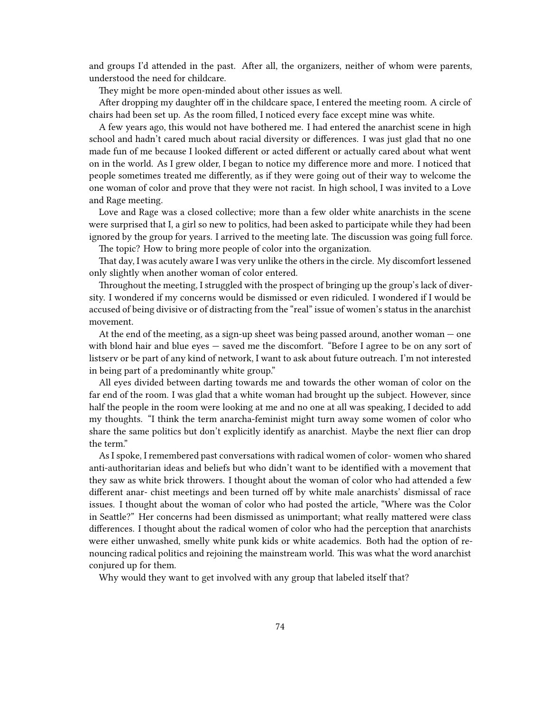and groups I'd attended in the past. After all, the organizers, neither of whom were parents, understood the need for childcare.

They might be more open-minded about other issues as well.

After dropping my daughter off in the childcare space, I entered the meeting room. A circle of chairs had been set up. As the room filled, I noticed every face except mine was white.

A few years ago, this would not have bothered me. I had entered the anarchist scene in high school and hadn't cared much about racial diversity or differences. I was just glad that no one made fun of me because I looked different or acted different or actually cared about what went on in the world. As I grew older, I began to notice my difference more and more. I noticed that people sometimes treated me differently, as if they were going out of their way to welcome the one woman of color and prove that they were not racist. In high school, I was invited to a Love and Rage meeting.

Love and Rage was a closed collective; more than a few older white anarchists in the scene were surprised that I, a girl so new to politics, had been asked to participate while they had been ignored by the group for years. I arrived to the meeting late. The discussion was going full force. The topic? How to bring more people of color into the organization.

That day, I was acutely aware I was very unlike the others in the circle. My discomfort lessened only slightly when another woman of color entered.

Throughout the meeting, I struggled with the prospect of bringing up the group's lack of diversity. I wondered if my concerns would be dismissed or even ridiculed. I wondered if I would be accused of being divisive or of distracting from the "real" issue of women's status in the anarchist movement.

At the end of the meeting, as a sign-up sheet was being passed around, another woman — one with blond hair and blue eyes — saved me the discomfort. "Before I agree to be on any sort of listserv or be part of any kind of network, I want to ask about future outreach. I'm not interested in being part of a predominantly white group."

All eyes divided between darting towards me and towards the other woman of color on the far end of the room. I was glad that a white woman had brought up the subject. However, since half the people in the room were looking at me and no one at all was speaking, I decided to add my thoughts. "I think the term anarcha-feminist might turn away some women of color who share the same politics but don't explicitly identify as anarchist. Maybe the next flier can drop the term."

As I spoke, I remembered past conversations with radical women of color- women who shared anti-authoritarian ideas and beliefs but who didn't want to be identified with a movement that they saw as white brick throwers. I thought about the woman of color who had attended a few different anar- chist meetings and been turned off by white male anarchists' dismissal of race issues. I thought about the woman of color who had posted the article, "Where was the Color in Seattle?" Her concerns had been dismissed as unimportant; what really mattered were class differences. I thought about the radical women of color who had the perception that anarchists were either unwashed, smelly white punk kids or white academics. Both had the option of renouncing radical politics and rejoining the mainstream world. This was what the word anarchist conjured up for them.

Why would they want to get involved with any group that labeled itself that?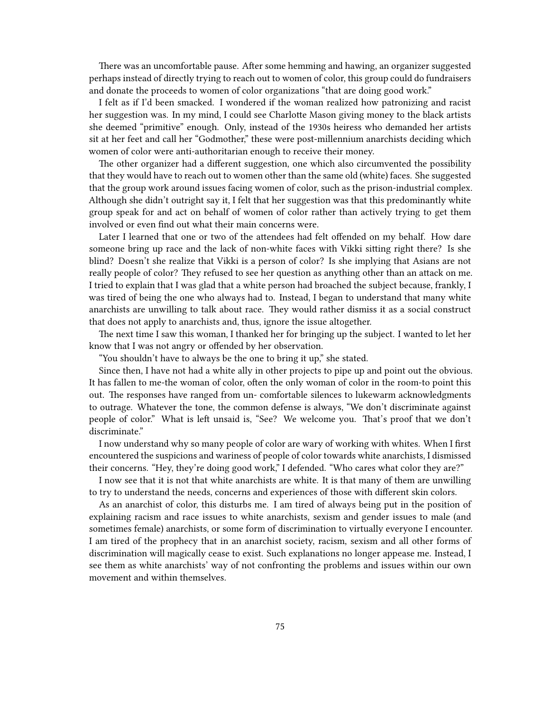There was an uncomfortable pause. After some hemming and hawing, an organizer suggested perhaps instead of directly trying to reach out to women of color, this group could do fundraisers and donate the proceeds to women of color organizations "that are doing good work."

I felt as if I'd been smacked. I wondered if the woman realized how patronizing and racist her suggestion was. In my mind, I could see Charlotte Mason giving money to the black artists she deemed "primitive" enough. Only, instead of the 1930s heiress who demanded her artists sit at her feet and call her "Godmother," these were post-millennium anarchists deciding which women of color were anti-authoritarian enough to receive their money.

The other organizer had a different suggestion, one which also circumvented the possibility that they would have to reach out to women other than the same old (white) faces. She suggested that the group work around issues facing women of color, such as the prison-industrial complex. Although she didn't outright say it, I felt that her suggestion was that this predominantly white group speak for and act on behalf of women of color rather than actively trying to get them involved or even find out what their main concerns were.

Later I learned that one or two of the attendees had felt offended on my behalf. How dare someone bring up race and the lack of non-white faces with Vikki sitting right there? Is she blind? Doesn't she realize that Vikki is a person of color? Is she implying that Asians are not really people of color? They refused to see her question as anything other than an attack on me. I tried to explain that I was glad that a white person had broached the subject because, frankly, I was tired of being the one who always had to. Instead, I began to understand that many white anarchists are unwilling to talk about race. They would rather dismiss it as a social construct that does not apply to anarchists and, thus, ignore the issue altogether.

The next time I saw this woman, I thanked her for bringing up the subject. I wanted to let her know that I was not angry or offended by her observation.

"You shouldn't have to always be the one to bring it up," she stated.

Since then, I have not had a white ally in other projects to pipe up and point out the obvious. It has fallen to me-the woman of color, often the only woman of color in the room-to point this out. The responses have ranged from un- comfortable silences to lukewarm acknowledgments to outrage. Whatever the tone, the common defense is always, "We don't discriminate against people of color." What is left unsaid is, "See? We welcome you. That's proof that we don't discriminate."

I now understand why so many people of color are wary of working with whites. When I first encountered the suspicions and wariness of people of color towards white anarchists, I dismissed their concerns. "Hey, they're doing good work," I defended. "Who cares what color they are?"

I now see that it is not that white anarchists are white. It is that many of them are unwilling to try to understand the needs, concerns and experiences of those with different skin colors.

As an anarchist of color, this disturbs me. I am tired of always being put in the position of explaining racism and race issues to white anarchists, sexism and gender issues to male (and sometimes female) anarchists, or some form of discrimination to virtually everyone I encounter. I am tired of the prophecy that in an anarchist society, racism, sexism and all other forms of discrimination will magically cease to exist. Such explanations no longer appease me. Instead, I see them as white anarchists' way of not confronting the problems and issues within our own movement and within themselves.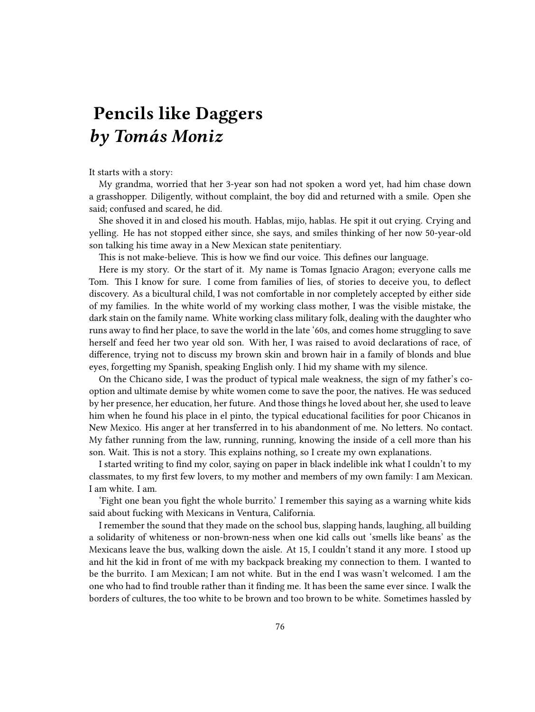# **Pencils like Daggers** *by Tomás Moniz*

#### It starts with a story:

My grandma, worried that her 3-year son had not spoken a word yet, had him chase down a grasshopper. Diligently, without complaint, the boy did and returned with a smile. Open she said; confused and scared, he did.

She shoved it in and closed his mouth. Hablas, mijo, hablas. He spit it out crying. Crying and yelling. He has not stopped either since, she says, and smiles thinking of her now 50-year-old son talking his time away in a New Mexican state penitentiary.

This is not make-believe. This is how we find our voice. This defines our language.

Here is my story. Or the start of it. My name is Tomas Ignacio Aragon; everyone calls me Tom. This I know for sure. I come from families of lies, of stories to deceive you, to deflect discovery. As a bicultural child, I was not comfortable in nor completely accepted by either side of my families. In the white world of my working class mother, I was the visible mistake, the dark stain on the family name. White working class military folk, dealing with the daughter who runs away to find her place, to save the world in the late '60s, and comes home struggling to save herself and feed her two year old son. With her, I was raised to avoid declarations of race, of difference, trying not to discuss my brown skin and brown hair in a family of blonds and blue eyes, forgetting my Spanish, speaking English only. I hid my shame with my silence.

On the Chicano side, I was the product of typical male weakness, the sign of my father's cooption and ultimate demise by white women come to save the poor, the natives. He was seduced by her presence, her education, her future. And those things he loved about her, she used to leave him when he found his place in el pinto, the typical educational facilities for poor Chicanos in New Mexico. His anger at her transferred in to his abandonment of me. No letters. No contact. My father running from the law, running, running, knowing the inside of a cell more than his son. Wait. This is not a story. This explains nothing, so I create my own explanations.

I started writing to find my color, saying on paper in black indelible ink what I couldn't to my classmates, to my first few lovers, to my mother and members of my own family: I am Mexican. I am white. I am.

'Fight one bean you fight the whole burrito.' I remember this saying as a warning white kids said about fucking with Mexicans in Ventura, California.

I remember the sound that they made on the school bus, slapping hands, laughing, all building a solidarity of whiteness or non-brown-ness when one kid calls out 'smells like beans' as the Mexicans leave the bus, walking down the aisle. At 15, I couldn't stand it any more. I stood up and hit the kid in front of me with my backpack breaking my connection to them. I wanted to be the burrito. I am Mexican; I am not white. But in the end I was wasn't welcomed. I am the one who had to find trouble rather than it finding me. It has been the same ever since. I walk the borders of cultures, the too white to be brown and too brown to be white. Sometimes hassled by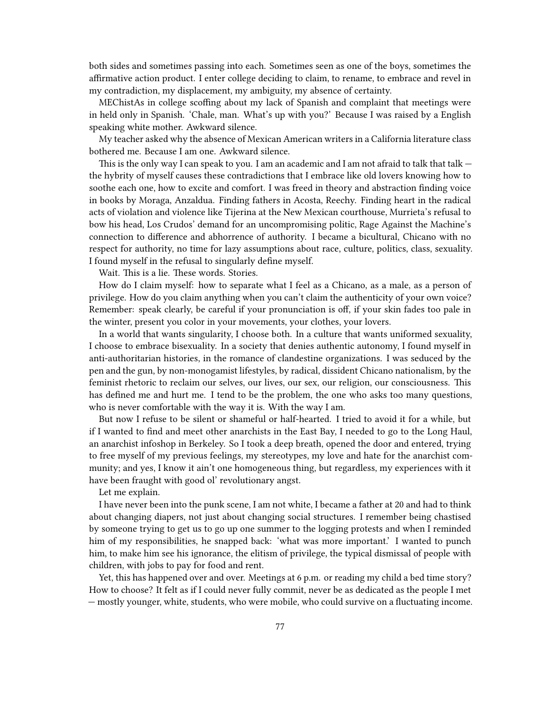both sides and sometimes passing into each. Sometimes seen as one of the boys, sometimes the affirmative action product. I enter college deciding to claim, to rename, to embrace and revel in my contradiction, my displacement, my ambiguity, my absence of certainty.

MEChistAs in college scoffing about my lack of Spanish and complaint that meetings were in held only in Spanish. 'Chale, man. What's up with you?' Because I was raised by a English speaking white mother. Awkward silence.

My teacher asked why the absence of Mexican American writers in a California literature class bothered me. Because I am one. Awkward silence.

This is the only way I can speak to you. I am an academic and I am not afraid to talk that talk  $$ the hybrity of myself causes these contradictions that I embrace like old lovers knowing how to soothe each one, how to excite and comfort. I was freed in theory and abstraction finding voice in books by Moraga, Anzaldua. Finding fathers in Acosta, Reechy. Finding heart in the radical acts of violation and violence like Tijerina at the New Mexican courthouse, Murrieta's refusal to bow his head, Los Crudos' demand for an uncompromising politic, Rage Against the Machine's connection to difference and abhorrence of authority. I became a bicultural, Chicano with no respect for authority, no time for lazy assumptions about race, culture, politics, class, sexuality. I found myself in the refusal to singularly define myself.

Wait. This is a lie. These words. Stories.

How do I claim myself: how to separate what I feel as a Chicano, as a male, as a person of privilege. How do you claim anything when you can't claim the authenticity of your own voice? Remember: speak clearly, be careful if your pronunciation is off, if your skin fades too pale in the winter, present you color in your movements, your clothes, your lovers.

In a world that wants singularity, I choose both. In a culture that wants uniformed sexuality, I choose to embrace bisexuality. In a society that denies authentic autonomy, I found myself in anti-authoritarian histories, in the romance of clandestine organizations. I was seduced by the pen and the gun, by non-monogamist lifestyles, by radical, dissident Chicano nationalism, by the feminist rhetoric to reclaim our selves, our lives, our sex, our religion, our consciousness. This has defined me and hurt me. I tend to be the problem, the one who asks too many questions, who is never comfortable with the way it is. With the way I am.

But now I refuse to be silent or shameful or half-hearted. I tried to avoid it for a while, but if I wanted to find and meet other anarchists in the East Bay, I needed to go to the Long Haul, an anarchist infoshop in Berkeley. So I took a deep breath, opened the door and entered, trying to free myself of my previous feelings, my stereotypes, my love and hate for the anarchist community; and yes, I know it ain't one homogeneous thing, but regardless, my experiences with it have been fraught with good ol' revolutionary angst.

Let me explain.

I have never been into the punk scene, I am not white, I became a father at 20 and had to think about changing diapers, not just about changing social structures. I remember being chastised by someone trying to get us to go up one summer to the logging protests and when I reminded him of my responsibilities, he snapped back: 'what was more important.' I wanted to punch him, to make him see his ignorance, the elitism of privilege, the typical dismissal of people with children, with jobs to pay for food and rent.

Yet, this has happened over and over. Meetings at 6 p.m. or reading my child a bed time story? How to choose? It felt as if I could never fully commit, never be as dedicated as the people I met — mostly younger, white, students, who were mobile, who could survive on a fluctuating income.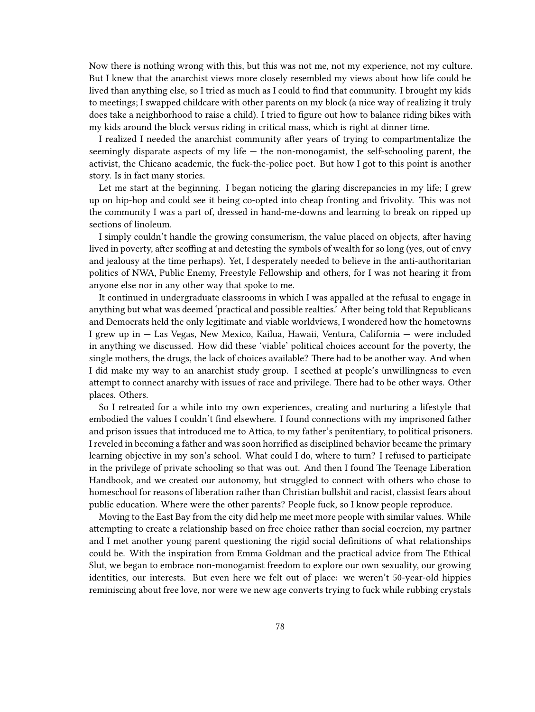Now there is nothing wrong with this, but this was not me, not my experience, not my culture. But I knew that the anarchist views more closely resembled my views about how life could be lived than anything else, so I tried as much as I could to find that community. I brought my kids to meetings; I swapped childcare with other parents on my block (a nice way of realizing it truly does take a neighborhood to raise a child). I tried to figure out how to balance riding bikes with my kids around the block versus riding in critical mass, which is right at dinner time.

I realized I needed the anarchist community after years of trying to compartmentalize the seemingly disparate aspects of my life — the non-monogamist, the self-schooling parent, the activist, the Chicano academic, the fuck-the-police poet. But how I got to this point is another story. Is in fact many stories.

Let me start at the beginning. I began noticing the glaring discrepancies in my life; I grew up on hip-hop and could see it being co-opted into cheap fronting and frivolity. This was not the community I was a part of, dressed in hand-me-downs and learning to break on ripped up sections of linoleum.

I simply couldn't handle the growing consumerism, the value placed on objects, after having lived in poverty, after scoffing at and detesting the symbols of wealth for so long (yes, out of envy and jealousy at the time perhaps). Yet, I desperately needed to believe in the anti-authoritarian politics of NWA, Public Enemy, Freestyle Fellowship and others, for I was not hearing it from anyone else nor in any other way that spoke to me.

It continued in undergraduate classrooms in which I was appalled at the refusal to engage in anything but what was deemed 'practical and possible realties.' After being told that Republicans and Democrats held the only legitimate and viable worldviews, I wondered how the hometowns I grew up in — Las Vegas, New Mexico, Kailua, Hawaii, Ventura, California — were included in anything we discussed. How did these 'viable' political choices account for the poverty, the single mothers, the drugs, the lack of choices available? There had to be another way. And when I did make my way to an anarchist study group. I seethed at people's unwillingness to even attempt to connect anarchy with issues of race and privilege. There had to be other ways. Other places. Others.

So I retreated for a while into my own experiences, creating and nurturing a lifestyle that embodied the values I couldn't find elsewhere. I found connections with my imprisoned father and prison issues that introduced me to Attica, to my father's penitentiary, to political prisoners. I reveled in becoming a father and was soon horrified as disciplined behavior became the primary learning objective in my son's school. What could I do, where to turn? I refused to participate in the privilege of private schooling so that was out. And then I found The Teenage Liberation Handbook, and we created our autonomy, but struggled to connect with others who chose to homeschool for reasons of liberation rather than Christian bullshit and racist, classist fears about public education. Where were the other parents? People fuck, so I know people reproduce.

Moving to the East Bay from the city did help me meet more people with similar values. While attempting to create a relationship based on free choice rather than social coercion, my partner and I met another young parent questioning the rigid social definitions of what relationships could be. With the inspiration from Emma Goldman and the practical advice from The Ethical Slut, we began to embrace non-monogamist freedom to explore our own sexuality, our growing identities, our interests. But even here we felt out of place: we weren't 50-year-old hippies reminiscing about free love, nor were we new age converts trying to fuck while rubbing crystals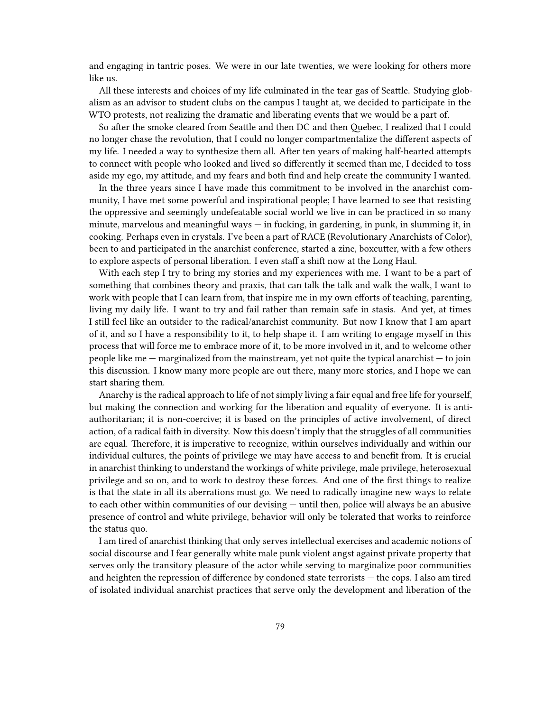and engaging in tantric poses. We were in our late twenties, we were looking for others more like us.

All these interests and choices of my life culminated in the tear gas of Seattle. Studying globalism as an advisor to student clubs on the campus I taught at, we decided to participate in the WTO protests, not realizing the dramatic and liberating events that we would be a part of.

So after the smoke cleared from Seattle and then DC and then Quebec, I realized that I could no longer chase the revolution, that I could no longer compartmentalize the different aspects of my life. I needed a way to synthesize them all. After ten years of making half-hearted attempts to connect with people who looked and lived so differently it seemed than me, I decided to toss aside my ego, my attitude, and my fears and both find and help create the community I wanted.

In the three years since I have made this commitment to be involved in the anarchist community, I have met some powerful and inspirational people; I have learned to see that resisting the oppressive and seemingly undefeatable social world we live in can be practiced in so many minute, marvelous and meaningful ways — in fucking, in gardening, in punk, in slumming it, in cooking. Perhaps even in crystals. I've been a part of RACE (Revolutionary Anarchists of Color), been to and participated in the anarchist conference, started a zine, boxcutter, with a few others to explore aspects of personal liberation. I even staff a shift now at the Long Haul.

With each step I try to bring my stories and my experiences with me. I want to be a part of something that combines theory and praxis, that can talk the talk and walk the walk, I want to work with people that I can learn from, that inspire me in my own efforts of teaching, parenting, living my daily life. I want to try and fail rather than remain safe in stasis. And yet, at times I still feel like an outsider to the radical/anarchist community. But now I know that I am apart of it, and so I have a responsibility to it, to help shape it. I am writing to engage myself in this process that will force me to embrace more of it, to be more involved in it, and to welcome other people like me  $-$  marginalized from the mainstream, yet not quite the typical anarchist  $-$  to join this discussion. I know many more people are out there, many more stories, and I hope we can start sharing them.

Anarchy is the radical approach to life of not simply living a fair equal and free life for yourself, but making the connection and working for the liberation and equality of everyone. It is antiauthoritarian; it is non-coercive; it is based on the principles of active involvement, of direct action, of a radical faith in diversity. Now this doesn't imply that the struggles of all communities are equal. Therefore, it is imperative to recognize, within ourselves individually and within our individual cultures, the points of privilege we may have access to and benefit from. It is crucial in anarchist thinking to understand the workings of white privilege, male privilege, heterosexual privilege and so on, and to work to destroy these forces. And one of the first things to realize is that the state in all its aberrations must go. We need to radically imagine new ways to relate to each other within communities of our devising — until then, police will always be an abusive presence of control and white privilege, behavior will only be tolerated that works to reinforce the status quo.

I am tired of anarchist thinking that only serves intellectual exercises and academic notions of social discourse and I fear generally white male punk violent angst against private property that serves only the transitory pleasure of the actor while serving to marginalize poor communities and heighten the repression of difference by condoned state terrorists — the cops. I also am tired of isolated individual anarchist practices that serve only the development and liberation of the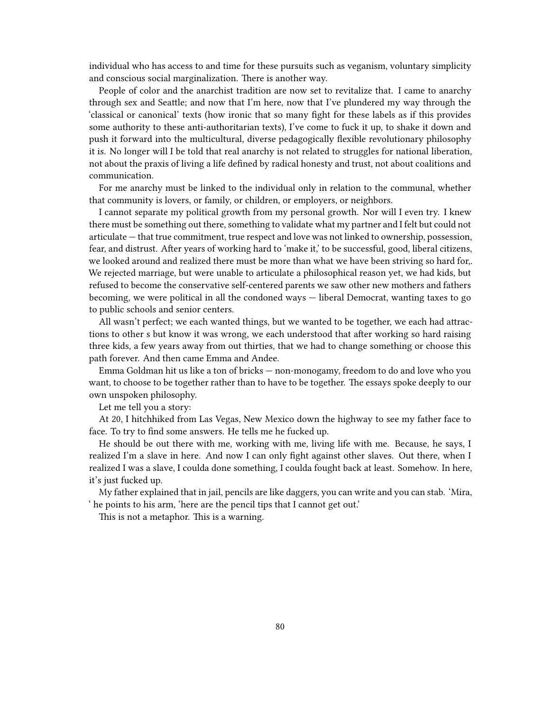individual who has access to and time for these pursuits such as veganism, voluntary simplicity and conscious social marginalization. There is another way.

People of color and the anarchist tradition are now set to revitalize that. I came to anarchy through sex and Seattle; and now that I'm here, now that I've plundered my way through the 'classical or canonical' texts (how ironic that so many fight for these labels as if this provides some authority to these anti-authoritarian texts), I've come to fuck it up, to shake it down and push it forward into the multicultural, diverse pedagogically flexible revolutionary philosophy it is. No longer will I be told that real anarchy is not related to struggles for national liberation, not about the praxis of living a life defined by radical honesty and trust, not about coalitions and communication.

For me anarchy must be linked to the individual only in relation to the communal, whether that community is lovers, or family, or children, or employers, or neighbors.

I cannot separate my political growth from my personal growth. Nor will I even try. I knew there must be something out there, something to validate what my partner and I felt but could not articulate — that true commitment, true respect and love was not linked to ownership, possession, fear, and distrust. After years of working hard to 'make it,' to be successful, good, liberal citizens, we looked around and realized there must be more than what we have been striving so hard for,. We rejected marriage, but were unable to articulate a philosophical reason yet, we had kids, but refused to become the conservative self-centered parents we saw other new mothers and fathers becoming, we were political in all the condoned ways — liberal Democrat, wanting taxes to go to public schools and senior centers.

All wasn't perfect; we each wanted things, but we wanted to be together, we each had attractions to other s but know it was wrong, we each understood that after working so hard raising three kids, a few years away from out thirties, that we had to change something or choose this path forever. And then came Emma and Andee.

Emma Goldman hit us like a ton of bricks — non-monogamy, freedom to do and love who you want, to choose to be together rather than to have to be together. The essays spoke deeply to our own unspoken philosophy.

Let me tell you a story:

At 20, I hitchhiked from Las Vegas, New Mexico down the highway to see my father face to face. To try to find some answers. He tells me he fucked up.

He should be out there with me, working with me, living life with me. Because, he says, I realized I'm a slave in here. And now I can only fight against other slaves. Out there, when I realized I was a slave, I coulda done something, I coulda fought back at least. Somehow. In here, it's just fucked up.

My father explained that in jail, pencils are like daggers, you can write and you can stab. 'Mira, ' he points to his arm, 'here are the pencil tips that I cannot get out.'

This is not a metaphor. This is a warning.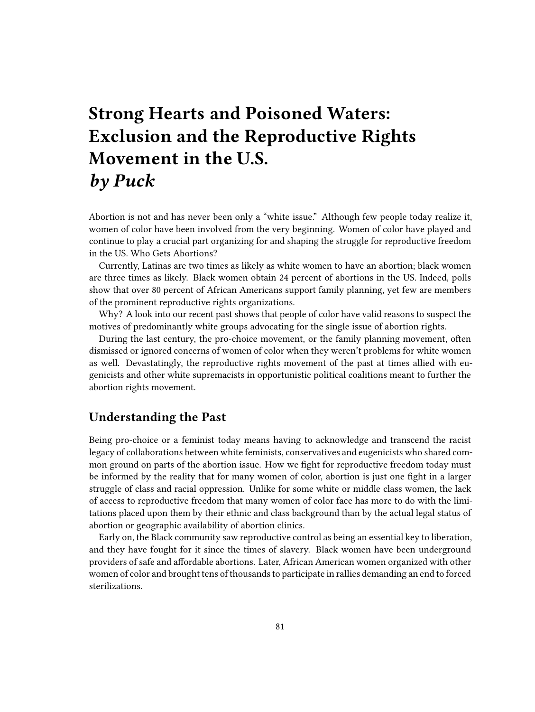# **Strong Hearts and Poisoned Waters: Exclusion and the Reproductive Rights Movement in the U.S.** *by Puck*

Abortion is not and has never been only a "white issue." Although few people today realize it, women of color have been involved from the very beginning. Women of color have played and continue to play a crucial part organizing for and shaping the struggle for reproductive freedom in the US. Who Gets Abortions?

Currently, Latinas are two times as likely as white women to have an abortion; black women are three times as likely. Black women obtain 24 percent of abortions in the US. Indeed, polls show that over 80 percent of African Americans support family planning, yet few are members of the prominent reproductive rights organizations.

Why? A look into our recent past shows that people of color have valid reasons to suspect the motives of predominantly white groups advocating for the single issue of abortion rights.

During the last century, the pro-choice movement, or the family planning movement, often dismissed or ignored concerns of women of color when they weren't problems for white women as well. Devastatingly, the reproductive rights movement of the past at times allied with eugenicists and other white supremacists in opportunistic political coalitions meant to further the abortion rights movement.

## **Understanding the Past**

Being pro-choice or a feminist today means having to acknowledge and transcend the racist legacy of collaborations between white feminists, conservatives and eugenicists who shared common ground on parts of the abortion issue. How we fight for reproductive freedom today must be informed by the reality that for many women of color, abortion is just one fight in a larger struggle of class and racial oppression. Unlike for some white or middle class women, the lack of access to reproductive freedom that many women of color face has more to do with the limitations placed upon them by their ethnic and class background than by the actual legal status of abortion or geographic availability of abortion clinics.

Early on, the Black community saw reproductive control as being an essential key to liberation, and they have fought for it since the times of slavery. Black women have been underground providers of safe and affordable abortions. Later, African American women organized with other women of color and brought tens of thousands to participate in rallies demanding an end to forced sterilizations.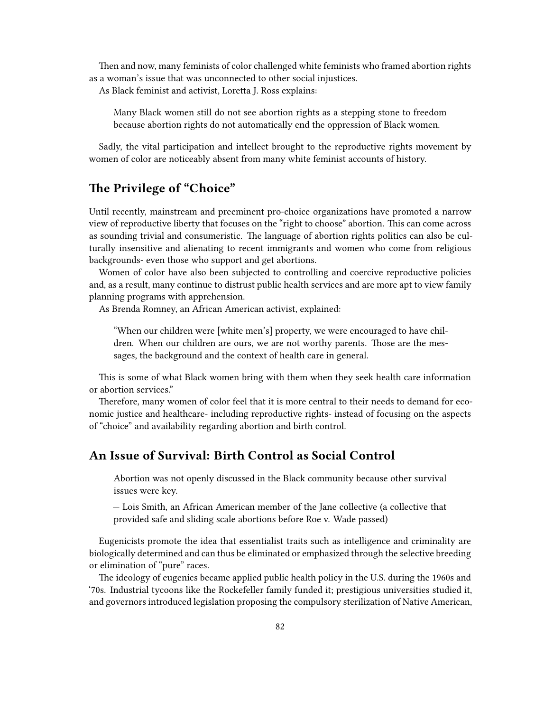Then and now, many feminists of color challenged white feminists who framed abortion rights as a woman's issue that was unconnected to other social injustices.

As Black feminist and activist, Loretta J. Ross explains:

Many Black women still do not see abortion rights as a stepping stone to freedom because abortion rights do not automatically end the oppression of Black women.

Sadly, the vital participation and intellect brought to the reproductive rights movement by women of color are noticeably absent from many white feminist accounts of history.

# **The Privilege of "Choice"**

Until recently, mainstream and preeminent pro-choice organizations have promoted a narrow view of reproductive liberty that focuses on the "right to choose" abortion. This can come across as sounding trivial and consumeristic. The language of abortion rights politics can also be culturally insensitive and alienating to recent immigrants and women who come from religious backgrounds- even those who support and get abortions.

Women of color have also been subjected to controlling and coercive reproductive policies and, as a result, many continue to distrust public health services and are more apt to view family planning programs with apprehension.

As Brenda Romney, an African American activist, explained:

"When our children were [white men's] property, we were encouraged to have children. When our children are ours, we are not worthy parents. Those are the messages, the background and the context of health care in general.

This is some of what Black women bring with them when they seek health care information or abortion services."

Therefore, many women of color feel that it is more central to their needs to demand for economic justice and healthcare- including reproductive rights- instead of focusing on the aspects of "choice" and availability regarding abortion and birth control.

## **An Issue of Survival: Birth Control as Social Control**

Abortion was not openly discussed in the Black community because other survival issues were key.

— Lois Smith, an African American member of the Jane collective (a collective that provided safe and sliding scale abortions before Roe v. Wade passed)

Eugenicists promote the idea that essentialist traits such as intelligence and criminality are biologically determined and can thus be eliminated or emphasized through the selective breeding or elimination of "pure" races.

The ideology of eugenics became applied public health policy in the U.S. during the 1960s and '70s. Industrial tycoons like the Rockefeller family funded it; prestigious universities studied it, and governors introduced legislation proposing the compulsory sterilization of Native American,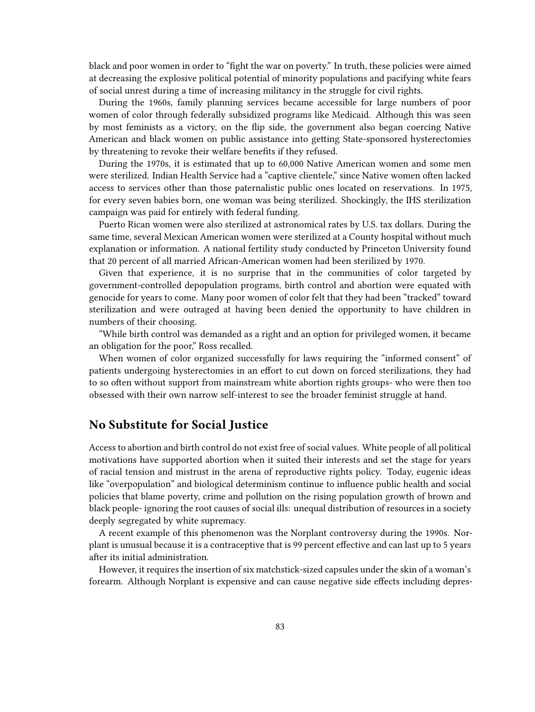black and poor women in order to "fight the war on poverty." In truth, these policies were aimed at decreasing the explosive political potential of minority populations and pacifying white fears of social unrest during a time of increasing militancy in the struggle for civil rights.

During the 1960s, family planning services became accessible for large numbers of poor women of color through federally subsidized programs like Medicaid. Although this was seen by most feminists as a victory, on the flip side, the government also began coercing Native American and black women on public assistance into getting State-sponsored hysterectomies by threatening to revoke their welfare benefits if they refused.

During the 1970s, it is estimated that up to 60,000 Native American women and some men were sterilized. Indian Health Service had a "captive clientele," since Native women often lacked access to services other than those paternalistic public ones located on reservations. In 1975, for every seven babies born, one woman was being sterilized. Shockingly, the IHS sterilization campaign was paid for entirely with federal funding.

Puerto Rican women were also sterilized at astronomical rates by U.S. tax dollars. During the same time, several Mexican American women were sterilized at a County hospital without much explanation or information. A national fertility study conducted by Princeton University found that 20 percent of all married African-American women had been sterilized by 1970.

Given that experience, it is no surprise that in the communities of color targeted by government-controlled depopulation programs, birth control and abortion were equated with genocide for years to come. Many poor women of color felt that they had been "tracked" toward sterilization and were outraged at having been denied the opportunity to have children in numbers of their choosing.

"While birth control was demanded as a right and an option for privileged women, it became an obligation for the poor," Ross recalled.

When women of color organized successfully for laws requiring the "informed consent" of patients undergoing hysterectomies in an effort to cut down on forced sterilizations, they had to so often without support from mainstream white abortion rights groups- who were then too obsessed with their own narrow self-interest to see the broader feminist struggle at hand.

## **No Substitute for Social Justice**

Access to abortion and birth control do not exist free of social values. White people of all political motivations have supported abortion when it suited their interests and set the stage for years of racial tension and mistrust in the arena of reproductive rights policy. Today, eugenic ideas like "overpopulation" and biological determinism continue to influence public health and social policies that blame poverty, crime and pollution on the rising population growth of brown and black people- ignoring the root causes of social ills: unequal distribution of resources in a society deeply segregated by white supremacy.

A recent example of this phenomenon was the Norplant controversy during the 1990s. Norplant is unusual because it is a contraceptive that is 99 percent effective and can last up to 5 years after its initial administration.

However, it requires the insertion of six matchstick-sized capsules under the skin of a woman's forearm. Although Norplant is expensive and can cause negative side effects including depres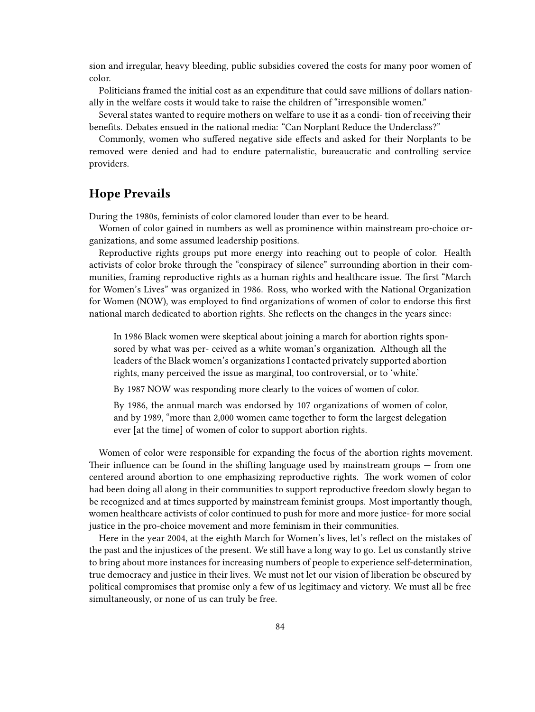sion and irregular, heavy bleeding, public subsidies covered the costs for many poor women of color.

Politicians framed the initial cost as an expenditure that could save millions of dollars nationally in the welfare costs it would take to raise the children of "irresponsible women."

Several states wanted to require mothers on welfare to use it as a condi- tion of receiving their benefits. Debates ensued in the national media: "Can Norplant Reduce the Underclass?"

Commonly, women who suffered negative side effects and asked for their Norplants to be removed were denied and had to endure paternalistic, bureaucratic and controlling service providers.

## **Hope Prevails**

During the 1980s, feminists of color clamored louder than ever to be heard.

Women of color gained in numbers as well as prominence within mainstream pro-choice organizations, and some assumed leadership positions.

Reproductive rights groups put more energy into reaching out to people of color. Health activists of color broke through the "conspiracy of silence" surrounding abortion in their communities, framing reproductive rights as a human rights and healthcare issue. The first "March for Women's Lives" was organized in 1986. Ross, who worked with the National Organization for Women (NOW), was employed to find organizations of women of color to endorse this first national march dedicated to abortion rights. She reflects on the changes in the years since:

In 1986 Black women were skeptical about joining a march for abortion rights sponsored by what was per- ceived as a white woman's organization. Although all the leaders of the Black women's organizations I contacted privately supported abortion rights, many perceived the issue as marginal, too controversial, or to 'white.'

By 1987 NOW was responding more clearly to the voices of women of color.

By 1986, the annual march was endorsed by 107 organizations of women of color, and by 1989, "more than 2,000 women came together to form the largest delegation ever [at the time] of women of color to support abortion rights.

Women of color were responsible for expanding the focus of the abortion rights movement. Their influence can be found in the shifting language used by mainstream groups — from one centered around abortion to one emphasizing reproductive rights. The work women of color had been doing all along in their communities to support reproductive freedom slowly began to be recognized and at times supported by mainstream feminist groups. Most importantly though, women healthcare activists of color continued to push for more and more justice- for more social justice in the pro-choice movement and more feminism in their communities.

Here in the year 2004, at the eighth March for Women's lives, let's reflect on the mistakes of the past and the injustices of the present. We still have a long way to go. Let us constantly strive to bring about more instances for increasing numbers of people to experience self-determination, true democracy and justice in their lives. We must not let our vision of liberation be obscured by political compromises that promise only a few of us legitimacy and victory. We must all be free simultaneously, or none of us can truly be free.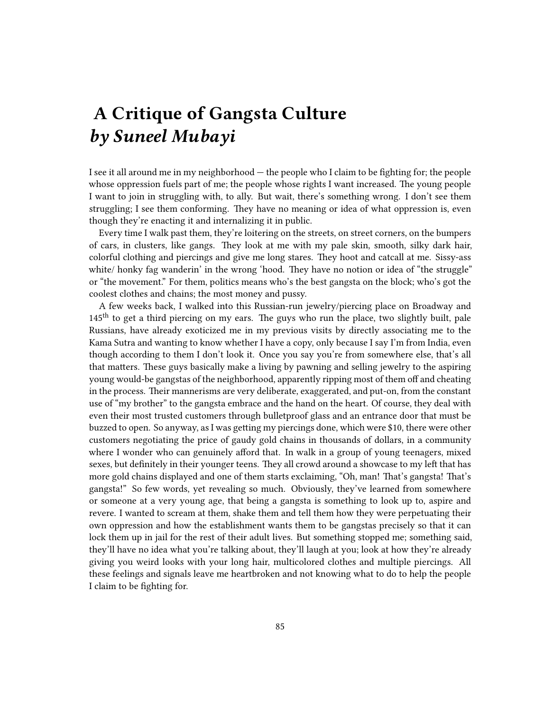# **A Critique of Gangsta Culture** *by Suneel Mubayi*

I see it all around me in my neighborhood — the people who I claim to be fighting for; the people whose oppression fuels part of me; the people whose rights I want increased. The young people I want to join in struggling with, to ally. But wait, there's something wrong. I don't see them struggling; I see them conforming. They have no meaning or idea of what oppression is, even though they're enacting it and internalizing it in public.

Every time I walk past them, they're loitering on the streets, on street corners, on the bumpers of cars, in clusters, like gangs. They look at me with my pale skin, smooth, silky dark hair, colorful clothing and piercings and give me long stares. They hoot and catcall at me. Sissy-ass white/ honky fag wanderin' in the wrong 'hood. They have no notion or idea of "the struggle" or "the movement." For them, politics means who's the best gangsta on the block; who's got the coolest clothes and chains; the most money and pussy.

A few weeks back, I walked into this Russian-run jewelry/piercing place on Broadway and 145<sup>th</sup> to get a third piercing on my ears. The guys who run the place, two slightly built, pale Russians, have already exoticized me in my previous visits by directly associating me to the Kama Sutra and wanting to know whether I have a copy, only because I say I'm from India, even though according to them I don't look it. Once you say you're from somewhere else, that's all that matters. These guys basically make a living by pawning and selling jewelry to the aspiring young would-be gangstas of the neighborhood, apparently ripping most of them off and cheating in the process. Their mannerisms are very deliberate, exaggerated, and put-on, from the constant use of "my brother" to the gangsta embrace and the hand on the heart. Of course, they deal with even their most trusted customers through bulletproof glass and an entrance door that must be buzzed to open. So anyway, as I was getting my piercings done, which were \$10, there were other customers negotiating the price of gaudy gold chains in thousands of dollars, in a community where I wonder who can genuinely afford that. In walk in a group of young teenagers, mixed sexes, but definitely in their younger teens. They all crowd around a showcase to my left that has more gold chains displayed and one of them starts exclaiming, "Oh, man! That's gangsta! That's gangsta!" So few words, yet revealing so much. Obviously, they've learned from somewhere or someone at a very young age, that being a gangsta is something to look up to, aspire and revere. I wanted to scream at them, shake them and tell them how they were perpetuating their own oppression and how the establishment wants them to be gangstas precisely so that it can lock them up in jail for the rest of their adult lives. But something stopped me; something said, they'll have no idea what you're talking about, they'll laugh at you; look at how they're already giving you weird looks with your long hair, multicolored clothes and multiple piercings. All these feelings and signals leave me heartbroken and not knowing what to do to help the people I claim to be fighting for.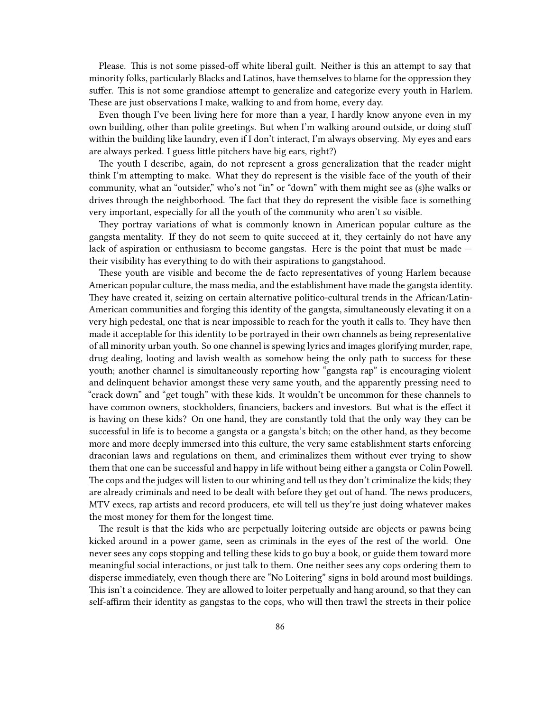Please. This is not some pissed-off white liberal guilt. Neither is this an attempt to say that minority folks, particularly Blacks and Latinos, have themselves to blame for the oppression they suffer. This is not some grandiose attempt to generalize and categorize every youth in Harlem. These are just observations I make, walking to and from home, every day.

Even though I've been living here for more than a year, I hardly know anyone even in my own building, other than polite greetings. But when I'm walking around outside, or doing stuff within the building like laundry, even if I don't interact, I'm always observing. My eyes and ears are always perked. I guess little pitchers have big ears, right?)

The youth I describe, again, do not represent a gross generalization that the reader might think I'm attempting to make. What they do represent is the visible face of the youth of their community, what an "outsider," who's not "in" or "down" with them might see as (s)he walks or drives through the neighborhood. The fact that they do represent the visible face is something very important, especially for all the youth of the community who aren't so visible.

They portray variations of what is commonly known in American popular culture as the gangsta mentality. If they do not seem to quite succeed at it, they certainly do not have any lack of aspiration or enthusiasm to become gangstas. Here is the point that must be made their visibility has everything to do with their aspirations to gangstahood.

These youth are visible and become the de facto representatives of young Harlem because American popular culture, the mass media, and the establishment have made the gangsta identity. They have created it, seizing on certain alternative politico-cultural trends in the African/Latin-American communities and forging this identity of the gangsta, simultaneously elevating it on a very high pedestal, one that is near impossible to reach for the youth it calls to. They have then made it acceptable for this identity to be portrayed in their own channels as being representative of all minority urban youth. So one channel is spewing lyrics and images glorifying murder, rape, drug dealing, looting and lavish wealth as somehow being the only path to success for these youth; another channel is simultaneously reporting how "gangsta rap" is encouraging violent and delinquent behavior amongst these very same youth, and the apparently pressing need to "crack down" and "get tough" with these kids. It wouldn't be uncommon for these channels to have common owners, stockholders, financiers, backers and investors. But what is the effect it is having on these kids? On one hand, they are constantly told that the only way they can be successful in life is to become a gangsta or a gangsta's bitch; on the other hand, as they become more and more deeply immersed into this culture, the very same establishment starts enforcing draconian laws and regulations on them, and criminalizes them without ever trying to show them that one can be successful and happy in life without being either a gangsta or Colin Powell. The cops and the judges will listen to our whining and tell us they don't criminalize the kids; they are already criminals and need to be dealt with before they get out of hand. The news producers, MTV execs, rap artists and record producers, etc will tell us they're just doing whatever makes the most money for them for the longest time.

The result is that the kids who are perpetually loitering outside are objects or pawns being kicked around in a power game, seen as criminals in the eyes of the rest of the world. One never sees any cops stopping and telling these kids to go buy a book, or guide them toward more meaningful social interactions, or just talk to them. One neither sees any cops ordering them to disperse immediately, even though there are "No Loitering" signs in bold around most buildings. This isn't a coincidence. They are allowed to loiter perpetually and hang around, so that they can self-affirm their identity as gangstas to the cops, who will then trawl the streets in their police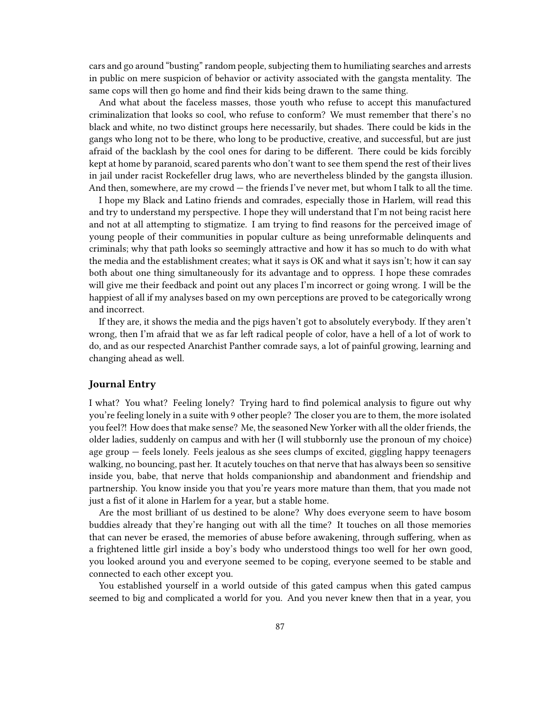cars and go around "busting" random people, subjecting them to humiliating searches and arrests in public on mere suspicion of behavior or activity associated with the gangsta mentality. The same cops will then go home and find their kids being drawn to the same thing.

And what about the faceless masses, those youth who refuse to accept this manufactured criminalization that looks so cool, who refuse to conform? We must remember that there's no black and white, no two distinct groups here necessarily, but shades. There could be kids in the gangs who long not to be there, who long to be productive, creative, and successful, but are just afraid of the backlash by the cool ones for daring to be different. There could be kids forcibly kept at home by paranoid, scared parents who don't want to see them spend the rest of their lives in jail under racist Rockefeller drug laws, who are nevertheless blinded by the gangsta illusion. And then, somewhere, are my crowd — the friends I've never met, but whom I talk to all the time.

I hope my Black and Latino friends and comrades, especially those in Harlem, will read this and try to understand my perspective. I hope they will understand that I'm not being racist here and not at all attempting to stigmatize. I am trying to find reasons for the perceived image of young people of their communities in popular culture as being unreformable delinquents and criminals; why that path looks so seemingly attractive and how it has so much to do with what the media and the establishment creates; what it says is OK and what it says isn't; how it can say both about one thing simultaneously for its advantage and to oppress. I hope these comrades will give me their feedback and point out any places I'm incorrect or going wrong. I will be the happiest of all if my analyses based on my own perceptions are proved to be categorically wrong and incorrect.

If they are, it shows the media and the pigs haven't got to absolutely everybody. If they aren't wrong, then I'm afraid that we as far left radical people of color, have a hell of a lot of work to do, and as our respected Anarchist Panther comrade says, a lot of painful growing, learning and changing ahead as well.

## **Journal Entry**

I what? You what? Feeling lonely? Trying hard to find polemical analysis to figure out why you're feeling lonely in a suite with 9 other people? The closer you are to them, the more isolated you feel?! How does that make sense? Me, the seasoned New Yorker with all the older friends, the older ladies, suddenly on campus and with her (I will stubbornly use the pronoun of my choice) age group — feels lonely. Feels jealous as she sees clumps of excited, giggling happy teenagers walking, no bouncing, past her. It acutely touches on that nerve that has always been so sensitive inside you, babe, that nerve that holds companionship and abandonment and friendship and partnership. You know inside you that you're years more mature than them, that you made not just a fist of it alone in Harlem for a year, but a stable home.

Are the most brilliant of us destined to be alone? Why does everyone seem to have bosom buddies already that they're hanging out with all the time? It touches on all those memories that can never be erased, the memories of abuse before awakening, through suffering, when as a frightened little girl inside a boy's body who understood things too well for her own good, you looked around you and everyone seemed to be coping, everyone seemed to be stable and connected to each other except you.

You established yourself in a world outside of this gated campus when this gated campus seemed to big and complicated a world for you. And you never knew then that in a year, you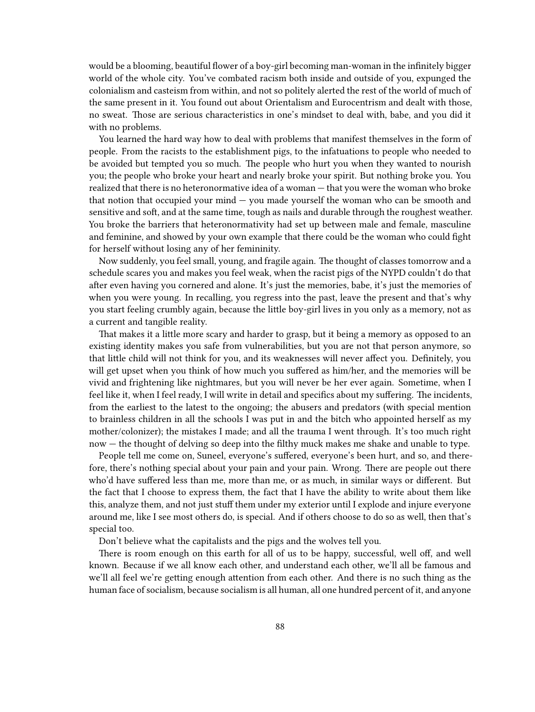would be a blooming, beautiful flower of a boy-girl becoming man-woman in the infinitely bigger world of the whole city. You've combated racism both inside and outside of you, expunged the colonialism and casteism from within, and not so politely alerted the rest of the world of much of the same present in it. You found out about Orientalism and Eurocentrism and dealt with those, no sweat. Those are serious characteristics in one's mindset to deal with, babe, and you did it with no problems.

You learned the hard way how to deal with problems that manifest themselves in the form of people. From the racists to the establishment pigs, to the infatuations to people who needed to be avoided but tempted you so much. The people who hurt you when they wanted to nourish you; the people who broke your heart and nearly broke your spirit. But nothing broke you. You realized that there is no heteronormative idea of a woman — that you were the woman who broke that notion that occupied your mind  $-$  you made yourself the woman who can be smooth and sensitive and soft, and at the same time, tough as nails and durable through the roughest weather. You broke the barriers that heteronormativity had set up between male and female, masculine and feminine, and showed by your own example that there could be the woman who could fight for herself without losing any of her femininity.

Now suddenly, you feel small, young, and fragile again. The thought of classes tomorrow and a schedule scares you and makes you feel weak, when the racist pigs of the NYPD couldn't do that after even having you cornered and alone. It's just the memories, babe, it's just the memories of when you were young. In recalling, you regress into the past, leave the present and that's why you start feeling crumbly again, because the little boy-girl lives in you only as a memory, not as a current and tangible reality.

That makes it a little more scary and harder to grasp, but it being a memory as opposed to an existing identity makes you safe from vulnerabilities, but you are not that person anymore, so that little child will not think for you, and its weaknesses will never affect you. Definitely, you will get upset when you think of how much you suffered as him/her, and the memories will be vivid and frightening like nightmares, but you will never be her ever again. Sometime, when I feel like it, when I feel ready, I will write in detail and specifics about my suffering. The incidents, from the earliest to the latest to the ongoing; the abusers and predators (with special mention to brainless children in all the schools I was put in and the bitch who appointed herself as my mother/colonizer); the mistakes I made; and all the trauma I went through. It's too much right now — the thought of delving so deep into the filthy muck makes me shake and unable to type.

People tell me come on, Suneel, everyone's suffered, everyone's been hurt, and so, and therefore, there's nothing special about your pain and your pain. Wrong. There are people out there who'd have suffered less than me, more than me, or as much, in similar ways or different. But the fact that I choose to express them, the fact that I have the ability to write about them like this, analyze them, and not just stuff them under my exterior until I explode and injure everyone around me, like I see most others do, is special. And if others choose to do so as well, then that's special too.

Don't believe what the capitalists and the pigs and the wolves tell you.

There is room enough on this earth for all of us to be happy, successful, well off, and well known. Because if we all know each other, and understand each other, we'll all be famous and we'll all feel we're getting enough attention from each other. And there is no such thing as the human face of socialism, because socialism is all human, all one hundred percent of it, and anyone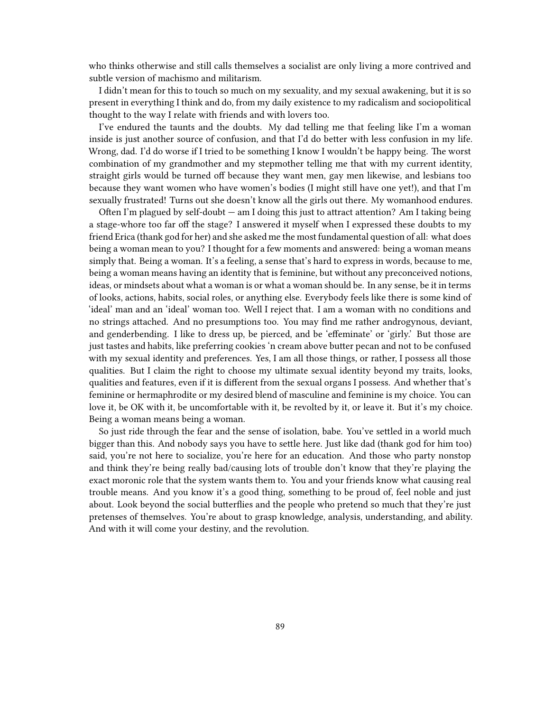who thinks otherwise and still calls themselves a socialist are only living a more contrived and subtle version of machismo and militarism.

I didn't mean for this to touch so much on my sexuality, and my sexual awakening, but it is so present in everything I think and do, from my daily existence to my radicalism and sociopolitical thought to the way I relate with friends and with lovers too.

I've endured the taunts and the doubts. My dad telling me that feeling like I'm a woman inside is just another source of confusion, and that I'd do better with less confusion in my life. Wrong, dad. I'd do worse if I tried to be something I know I wouldn't be happy being. The worst combination of my grandmother and my stepmother telling me that with my current identity, straight girls would be turned off because they want men, gay men likewise, and lesbians too because they want women who have women's bodies (I might still have one yet!), and that I'm sexually frustrated! Turns out she doesn't know all the girls out there. My womanhood endures.

Often I'm plagued by self-doubt  $-$  am I doing this just to attract attention? Am I taking being a stage-whore too far off the stage? I answered it myself when I expressed these doubts to my friend Erica (thank god for her) and she asked me the most fundamental question of all: what does being a woman mean to you? I thought for a few moments and answered: being a woman means simply that. Being a woman. It's a feeling, a sense that's hard to express in words, because to me, being a woman means having an identity that is feminine, but without any preconceived notions, ideas, or mindsets about what a woman is or what a woman should be. In any sense, be it in terms of looks, actions, habits, social roles, or anything else. Everybody feels like there is some kind of 'ideal' man and an 'ideal' woman too. Well I reject that. I am a woman with no conditions and no strings attached. And no presumptions too. You may find me rather androgynous, deviant, and genderbending. I like to dress up, be pierced, and be 'effeminate' or 'girly.' But those are just tastes and habits, like preferring cookies 'n cream above butter pecan and not to be confused with my sexual identity and preferences. Yes, I am all those things, or rather, I possess all those qualities. But I claim the right to choose my ultimate sexual identity beyond my traits, looks, qualities and features, even if it is different from the sexual organs I possess. And whether that's feminine or hermaphrodite or my desired blend of masculine and feminine is my choice. You can love it, be OK with it, be uncomfortable with it, be revolted by it, or leave it. But it's my choice. Being a woman means being a woman.

So just ride through the fear and the sense of isolation, babe. You've settled in a world much bigger than this. And nobody says you have to settle here. Just like dad (thank god for him too) said, you're not here to socialize, you're here for an education. And those who party nonstop and think they're being really bad/causing lots of trouble don't know that they're playing the exact moronic role that the system wants them to. You and your friends know what causing real trouble means. And you know it's a good thing, something to be proud of, feel noble and just about. Look beyond the social butterflies and the people who pretend so much that they're just pretenses of themselves. You're about to grasp knowledge, analysis, understanding, and ability. And with it will come your destiny, and the revolution.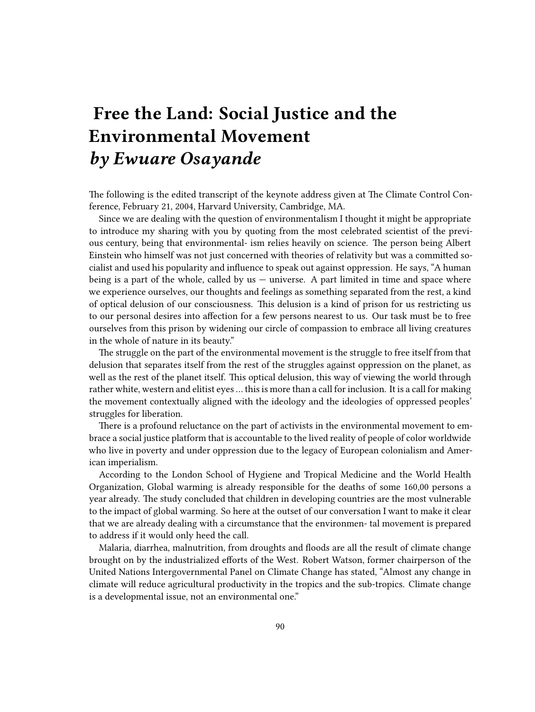# **Free the Land: Social Justice and the Environmental Movement** *by Ewuare Osayande*

The following is the edited transcript of the keynote address given at The Climate Control Conference, February 21, 2004, Harvard University, Cambridge, MA.

Since we are dealing with the question of environmentalism I thought it might be appropriate to introduce my sharing with you by quoting from the most celebrated scientist of the previous century, being that environmental- ism relies heavily on science. The person being Albert Einstein who himself was not just concerned with theories of relativity but was a committed socialist and used his popularity and influence to speak out against oppression. He says, "A human being is a part of the whole, called by us  $-$  universe. A part limited in time and space where we experience ourselves, our thoughts and feelings as something separated from the rest, a kind of optical delusion of our consciousness. This delusion is a kind of prison for us restricting us to our personal desires into affection for a few persons nearest to us. Our task must be to free ourselves from this prison by widening our circle of compassion to embrace all living creatures in the whole of nature in its beauty."

The struggle on the part of the environmental movement is the struggle to free itself from that delusion that separates itself from the rest of the struggles against oppression on the planet, as well as the rest of the planet itself. This optical delusion, this way of viewing the world through rather white, western and elitist eyes … this is more than a call for inclusion. It is a call for making the movement contextually aligned with the ideology and the ideologies of oppressed peoples' struggles for liberation.

There is a profound reluctance on the part of activists in the environmental movement to embrace a social justice platform that is accountable to the lived reality of people of color worldwide who live in poverty and under oppression due to the legacy of European colonialism and American imperialism.

According to the London School of Hygiene and Tropical Medicine and the World Health Organization, Global warming is already responsible for the deaths of some 160,00 persons a year already. The study concluded that children in developing countries are the most vulnerable to the impact of global warming. So here at the outset of our conversation I want to make it clear that we are already dealing with a circumstance that the environmen- tal movement is prepared to address if it would only heed the call.

Malaria, diarrhea, malnutrition, from droughts and floods are all the result of climate change brought on by the industrialized efforts of the West. Robert Watson, former chairperson of the United Nations Intergovernmental Panel on Climate Change has stated, "Almost any change in climate will reduce agricultural productivity in the tropics and the sub-tropics. Climate change is a developmental issue, not an environmental one."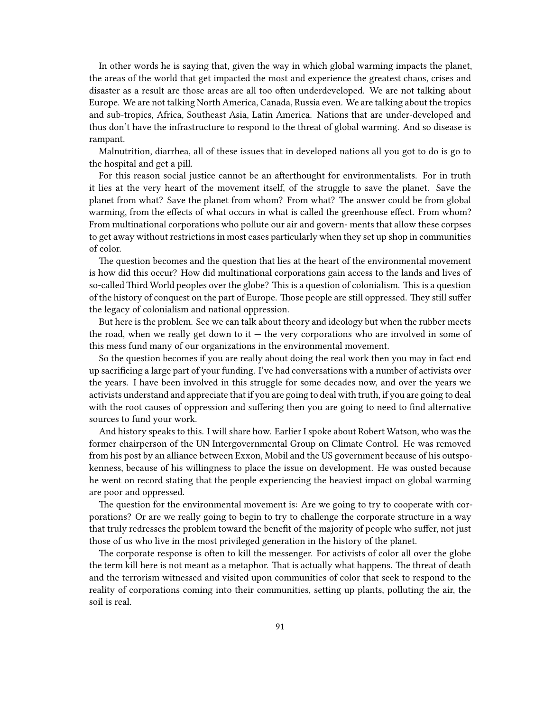In other words he is saying that, given the way in which global warming impacts the planet, the areas of the world that get impacted the most and experience the greatest chaos, crises and disaster as a result are those areas are all too often underdeveloped. We are not talking about Europe. We are not talking North America, Canada, Russia even. We are talking about the tropics and sub-tropics, Africa, Southeast Asia, Latin America. Nations that are under-developed and thus don't have the infrastructure to respond to the threat of global warming. And so disease is rampant.

Malnutrition, diarrhea, all of these issues that in developed nations all you got to do is go to the hospital and get a pill.

For this reason social justice cannot be an afterthought for environmentalists. For in truth it lies at the very heart of the movement itself, of the struggle to save the planet. Save the planet from what? Save the planet from whom? From what? The answer could be from global warming, from the effects of what occurs in what is called the greenhouse effect. From whom? From multinational corporations who pollute our air and govern- ments that allow these corpses to get away without restrictions in most cases particularly when they set up shop in communities of color.

The question becomes and the question that lies at the heart of the environmental movement is how did this occur? How did multinational corporations gain access to the lands and lives of so-called Third World peoples over the globe? This is a question of colonialism. This is a question of the history of conquest on the part of Europe. Those people are still oppressed. They still suffer the legacy of colonialism and national oppression.

But here is the problem. See we can talk about theory and ideology but when the rubber meets the road, when we really get down to it  $-$  the very corporations who are involved in some of this mess fund many of our organizations in the environmental movement.

So the question becomes if you are really about doing the real work then you may in fact end up sacrificing a large part of your funding. I've had conversations with a number of activists over the years. I have been involved in this struggle for some decades now, and over the years we activists understand and appreciate that if you are going to deal with truth, if you are going to deal with the root causes of oppression and suffering then you are going to need to find alternative sources to fund your work.

And history speaks to this. I will share how. Earlier I spoke about Robert Watson, who was the former chairperson of the UN Intergovernmental Group on Climate Control. He was removed from his post by an alliance between Exxon, Mobil and the US government because of his outspokenness, because of his willingness to place the issue on development. He was ousted because he went on record stating that the people experiencing the heaviest impact on global warming are poor and oppressed.

The question for the environmental movement is: Are we going to try to cooperate with corporations? Or are we really going to begin to try to challenge the corporate structure in a way that truly redresses the problem toward the benefit of the majority of people who suffer, not just those of us who live in the most privileged generation in the history of the planet.

The corporate response is often to kill the messenger. For activists of color all over the globe the term kill here is not meant as a metaphor. That is actually what happens. The threat of death and the terrorism witnessed and visited upon communities of color that seek to respond to the reality of corporations coming into their communities, setting up plants, polluting the air, the soil is real.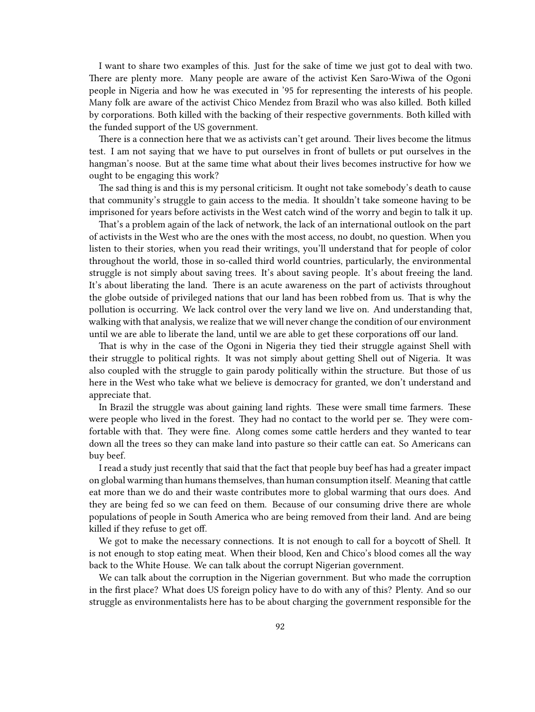I want to share two examples of this. Just for the sake of time we just got to deal with two. There are plenty more. Many people are aware of the activist Ken Saro-Wiwa of the Ogoni people in Nigeria and how he was executed in '95 for representing the interests of his people. Many folk are aware of the activist Chico Mendez from Brazil who was also killed. Both killed by corporations. Both killed with the backing of their respective governments. Both killed with the funded support of the US government.

There is a connection here that we as activists can't get around. Their lives become the litmus test. I am not saying that we have to put ourselves in front of bullets or put ourselves in the hangman's noose. But at the same time what about their lives becomes instructive for how we ought to be engaging this work?

The sad thing is and this is my personal criticism. It ought not take somebody's death to cause that community's struggle to gain access to the media. It shouldn't take someone having to be imprisoned for years before activists in the West catch wind of the worry and begin to talk it up.

That's a problem again of the lack of network, the lack of an international outlook on the part of activists in the West who are the ones with the most access, no doubt, no question. When you listen to their stories, when you read their writings, you'll understand that for people of color throughout the world, those in so-called third world countries, particularly, the environmental struggle is not simply about saving trees. It's about saving people. It's about freeing the land. It's about liberating the land. There is an acute awareness on the part of activists throughout the globe outside of privileged nations that our land has been robbed from us. That is why the pollution is occurring. We lack control over the very land we live on. And understanding that, walking with that analysis, we realize that we will never change the condition of our environment until we are able to liberate the land, until we are able to get these corporations off our land.

That is why in the case of the Ogoni in Nigeria they tied their struggle against Shell with their struggle to political rights. It was not simply about getting Shell out of Nigeria. It was also coupled with the struggle to gain parody politically within the structure. But those of us here in the West who take what we believe is democracy for granted, we don't understand and appreciate that.

In Brazil the struggle was about gaining land rights. These were small time farmers. These were people who lived in the forest. They had no contact to the world per se. They were comfortable with that. They were fine. Along comes some cattle herders and they wanted to tear down all the trees so they can make land into pasture so their cattle can eat. So Americans can buy beef.

I read a study just recently that said that the fact that people buy beef has had a greater impact on global warming than humans themselves, than human consumption itself. Meaning that cattle eat more than we do and their waste contributes more to global warming that ours does. And they are being fed so we can feed on them. Because of our consuming drive there are whole populations of people in South America who are being removed from their land. And are being killed if they refuse to get off.

We got to make the necessary connections. It is not enough to call for a boycott of Shell. It is not enough to stop eating meat. When their blood, Ken and Chico's blood comes all the way back to the White House. We can talk about the corrupt Nigerian government.

We can talk about the corruption in the Nigerian government. But who made the corruption in the first place? What does US foreign policy have to do with any of this? Plenty. And so our struggle as environmentalists here has to be about charging the government responsible for the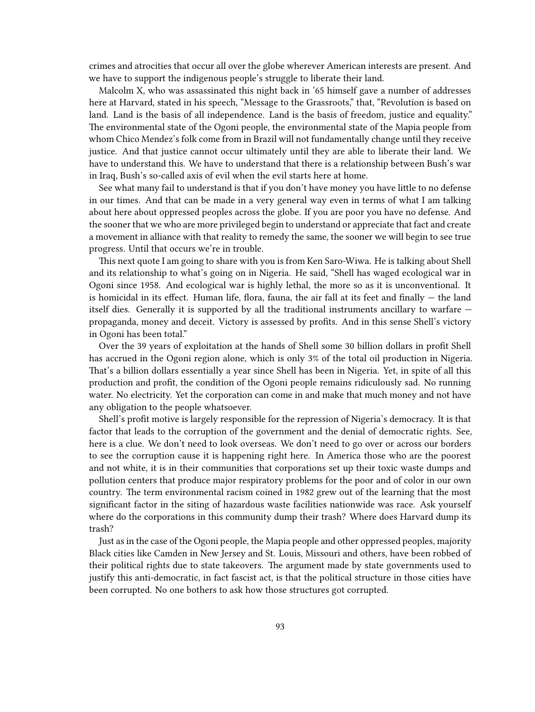crimes and atrocities that occur all over the globe wherever American interests are present. And we have to support the indigenous people's struggle to liberate their land.

Malcolm X, who was assassinated this night back in '65 himself gave a number of addresses here at Harvard, stated in his speech, "Message to the Grassroots," that, "Revolution is based on land. Land is the basis of all independence. Land is the basis of freedom, justice and equality." The environmental state of the Ogoni people, the environmental state of the Mapia people from whom Chico Mendez's folk come from in Brazil will not fundamentally change until they receive justice. And that justice cannot occur ultimately until they are able to liberate their land. We have to understand this. We have to understand that there is a relationship between Bush's war in Iraq, Bush's so-called axis of evil when the evil starts here at home.

See what many fail to understand is that if you don't have money you have little to no defense in our times. And that can be made in a very general way even in terms of what I am talking about here about oppressed peoples across the globe. If you are poor you have no defense. And the sooner that we who are more privileged begin to understand or appreciate that fact and create a movement in alliance with that reality to remedy the same, the sooner we will begin to see true progress. Until that occurs we're in trouble.

This next quote I am going to share with you is from Ken Saro-Wiwa. He is talking about Shell and its relationship to what's going on in Nigeria. He said, "Shell has waged ecological war in Ogoni since 1958. And ecological war is highly lethal, the more so as it is unconventional. It is homicidal in its effect. Human life, flora, fauna, the air fall at its feet and finally — the land itself dies. Generally it is supported by all the traditional instruments ancillary to warfare propaganda, money and deceit. Victory is assessed by profits. And in this sense Shell's victory in Ogoni has been total."

Over the 39 years of exploitation at the hands of Shell some 30 billion dollars in profit Shell has accrued in the Ogoni region alone, which is only 3% of the total oil production in Nigeria. That's a billion dollars essentially a year since Shell has been in Nigeria. Yet, in spite of all this production and profit, the condition of the Ogoni people remains ridiculously sad. No running water. No electricity. Yet the corporation can come in and make that much money and not have any obligation to the people whatsoever.

Shell's profit motive is largely responsible for the repression of Nigeria's democracy. It is that factor that leads to the corruption of the government and the denial of democratic rights. See, here is a clue. We don't need to look overseas. We don't need to go over or across our borders to see the corruption cause it is happening right here. In America those who are the poorest and not white, it is in their communities that corporations set up their toxic waste dumps and pollution centers that produce major respiratory problems for the poor and of color in our own country. The term environmental racism coined in 1982 grew out of the learning that the most significant factor in the siting of hazardous waste facilities nationwide was race. Ask yourself where do the corporations in this community dump their trash? Where does Harvard dump its trash?

Just as in the case of the Ogoni people, the Mapia people and other oppressed peoples, majority Black cities like Camden in New Jersey and St. Louis, Missouri and others, have been robbed of their political rights due to state takeovers. The argument made by state governments used to justify this anti-democratic, in fact fascist act, is that the political structure in those cities have been corrupted. No one bothers to ask how those structures got corrupted.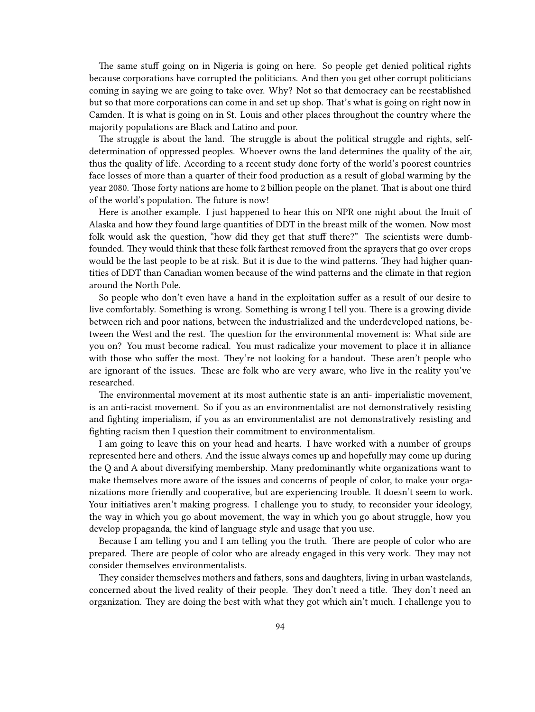The same stuff going on in Nigeria is going on here. So people get denied political rights because corporations have corrupted the politicians. And then you get other corrupt politicians coming in saying we are going to take over. Why? Not so that democracy can be reestablished but so that more corporations can come in and set up shop. That's what is going on right now in Camden. It is what is going on in St. Louis and other places throughout the country where the majority populations are Black and Latino and poor.

The struggle is about the land. The struggle is about the political struggle and rights, selfdetermination of oppressed peoples. Whoever owns the land determines the quality of the air, thus the quality of life. According to a recent study done forty of the world's poorest countries face losses of more than a quarter of their food production as a result of global warming by the year 2080. Those forty nations are home to 2 billion people on the planet. That is about one third of the world's population. The future is now!

Here is another example. I just happened to hear this on NPR one night about the Inuit of Alaska and how they found large quantities of DDT in the breast milk of the women. Now most folk would ask the question, "how did they get that stuff there?" The scientists were dumbfounded. They would think that these folk farthest removed from the sprayers that go over crops would be the last people to be at risk. But it is due to the wind patterns. They had higher quantities of DDT than Canadian women because of the wind patterns and the climate in that region around the North Pole.

So people who don't even have a hand in the exploitation suffer as a result of our desire to live comfortably. Something is wrong. Something is wrong I tell you. There is a growing divide between rich and poor nations, between the industrialized and the underdeveloped nations, between the West and the rest. The question for the environmental movement is: What side are you on? You must become radical. You must radicalize your movement to place it in alliance with those who suffer the most. They're not looking for a handout. These aren't people who are ignorant of the issues. These are folk who are very aware, who live in the reality you've researched.

The environmental movement at its most authentic state is an anti- imperialistic movement, is an anti-racist movement. So if you as an environmentalist are not demonstratively resisting and fighting imperialism, if you as an environmentalist are not demonstratively resisting and fighting racism then I question their commitment to environmentalism.

I am going to leave this on your head and hearts. I have worked with a number of groups represented here and others. And the issue always comes up and hopefully may come up during the Q and A about diversifying membership. Many predominantly white organizations want to make themselves more aware of the issues and concerns of people of color, to make your organizations more friendly and cooperative, but are experiencing trouble. It doesn't seem to work. Your initiatives aren't making progress. I challenge you to study, to reconsider your ideology, the way in which you go about movement, the way in which you go about struggle, how you develop propaganda, the kind of language style and usage that you use.

Because I am telling you and I am telling you the truth. There are people of color who are prepared. There are people of color who are already engaged in this very work. They may not consider themselves environmentalists.

They consider themselves mothers and fathers, sons and daughters, living in urban wastelands, concerned about the lived reality of their people. They don't need a title. They don't need an organization. They are doing the best with what they got which ain't much. I challenge you to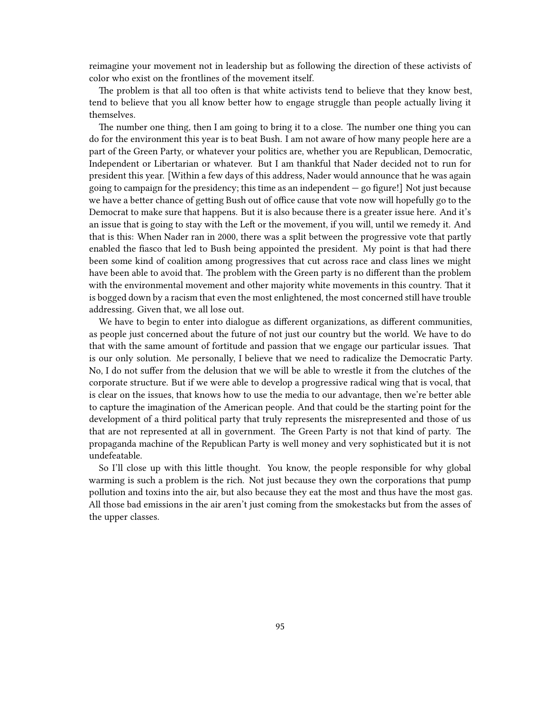reimagine your movement not in leadership but as following the direction of these activists of color who exist on the frontlines of the movement itself.

The problem is that all too often is that white activists tend to believe that they know best, tend to believe that you all know better how to engage struggle than people actually living it themselves.

The number one thing, then I am going to bring it to a close. The number one thing you can do for the environment this year is to beat Bush. I am not aware of how many people here are a part of the Green Party, or whatever your politics are, whether you are Republican, Democratic, Independent or Libertarian or whatever. But I am thankful that Nader decided not to run for president this year. [Within a few days of this address, Nader would announce that he was again going to campaign for the presidency; this time as an independent  $-$  go figure! Not just because we have a better chance of getting Bush out of office cause that vote now will hopefully go to the Democrat to make sure that happens. But it is also because there is a greater issue here. And it's an issue that is going to stay with the Left or the movement, if you will, until we remedy it. And that is this: When Nader ran in 2000, there was a split between the progressive vote that partly enabled the fiasco that led to Bush being appointed the president. My point is that had there been some kind of coalition among progressives that cut across race and class lines we might have been able to avoid that. The problem with the Green party is no different than the problem with the environmental movement and other majority white movements in this country. That it is bogged down by a racism that even the most enlightened, the most concerned still have trouble addressing. Given that, we all lose out.

We have to begin to enter into dialogue as different organizations, as different communities, as people just concerned about the future of not just our country but the world. We have to do that with the same amount of fortitude and passion that we engage our particular issues. That is our only solution. Me personally, I believe that we need to radicalize the Democratic Party. No, I do not suffer from the delusion that we will be able to wrestle it from the clutches of the corporate structure. But if we were able to develop a progressive radical wing that is vocal, that is clear on the issues, that knows how to use the media to our advantage, then we're better able to capture the imagination of the American people. And that could be the starting point for the development of a third political party that truly represents the misrepresented and those of us that are not represented at all in government. The Green Party is not that kind of party. The propaganda machine of the Republican Party is well money and very sophisticated but it is not undefeatable.

So I'll close up with this little thought. You know, the people responsible for why global warming is such a problem is the rich. Not just because they own the corporations that pump pollution and toxins into the air, but also because they eat the most and thus have the most gas. All those bad emissions in the air aren't just coming from the smokestacks but from the asses of the upper classes.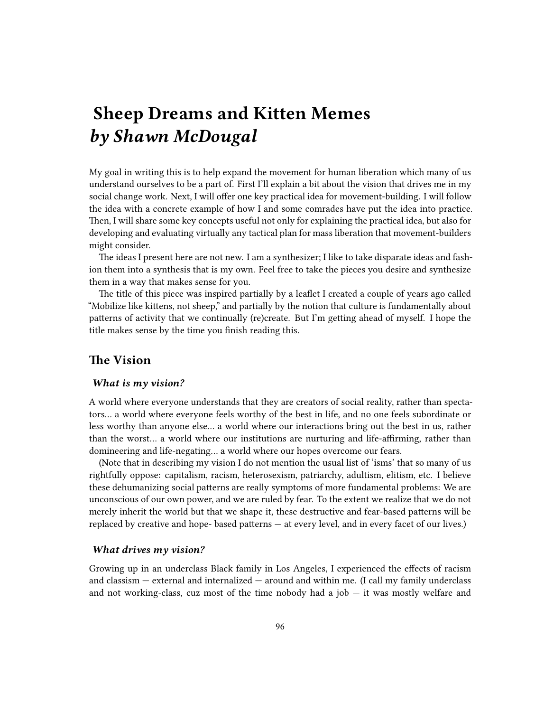# **Sheep Dreams and Kitten Memes** *by Shawn McDougal*

My goal in writing this is to help expand the movement for human liberation which many of us understand ourselves to be a part of. First I'll explain a bit about the vision that drives me in my social change work. Next, I will offer one key practical idea for movement-building. I will follow the idea with a concrete example of how I and some comrades have put the idea into practice. Then, I will share some key concepts useful not only for explaining the practical idea, but also for developing and evaluating virtually any tactical plan for mass liberation that movement-builders might consider.

The ideas I present here are not new. I am a synthesizer; I like to take disparate ideas and fashion them into a synthesis that is my own. Feel free to take the pieces you desire and synthesize them in a way that makes sense for you.

The title of this piece was inspired partially by a leaflet I created a couple of years ago called "Mobilize like kittens, not sheep," and partially by the notion that culture is fundamentally about patterns of activity that we continually (re)create. But I'm getting ahead of myself. I hope the title makes sense by the time you finish reading this.

## **The Vision**

### *What is my vision?*

A world where everyone understands that they are creators of social reality, rather than spectators… a world where everyone feels worthy of the best in life, and no one feels subordinate or less worthy than anyone else… a world where our interactions bring out the best in us, rather than the worst… a world where our institutions are nurturing and life-affirming, rather than domineering and life-negating… a world where our hopes overcome our fears.

(Note that in describing my vision I do not mention the usual list of 'isms' that so many of us rightfully oppose: capitalism, racism, heterosexism, patriarchy, adultism, elitism, etc. I believe these dehumanizing social patterns are really symptoms of more fundamental problems: We are unconscious of our own power, and we are ruled by fear. To the extent we realize that we do not merely inherit the world but that we shape it, these destructive and fear-based patterns will be replaced by creative and hope- based patterns — at every level, and in every facet of our lives.)

### *What drives my vision?*

Growing up in an underclass Black family in Los Angeles, I experienced the effects of racism and classism  $-$  external and internalized  $-$  around and within me. (I call my family underclass and not working-class, cuz most of the time nobody had a job  $-$  it was mostly welfare and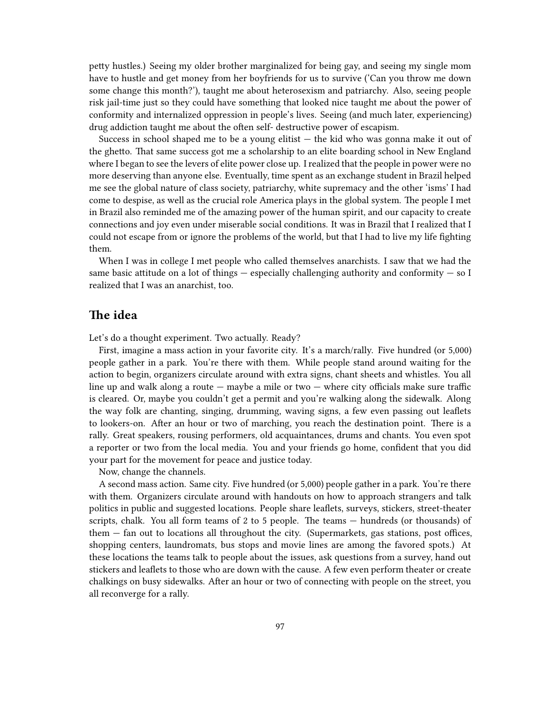petty hustles.) Seeing my older brother marginalized for being gay, and seeing my single mom have to hustle and get money from her boyfriends for us to survive ('Can you throw me down some change this month?'), taught me about heterosexism and patriarchy. Also, seeing people risk jail-time just so they could have something that looked nice taught me about the power of conformity and internalized oppression in people's lives. Seeing (and much later, experiencing) drug addiction taught me about the often self- destructive power of escapism.

Success in school shaped me to be a young elitist  $-$  the kid who was gonna make it out of the ghetto. That same success got me a scholarship to an elite boarding school in New England where I began to see the levers of elite power close up. I realized that the people in power were no more deserving than anyone else. Eventually, time spent as an exchange student in Brazil helped me see the global nature of class society, patriarchy, white supremacy and the other 'isms' I had come to despise, as well as the crucial role America plays in the global system. The people I met in Brazil also reminded me of the amazing power of the human spirit, and our capacity to create connections and joy even under miserable social conditions. It was in Brazil that I realized that I could not escape from or ignore the problems of the world, but that I had to live my life fighting them.

When I was in college I met people who called themselves anarchists. I saw that we had the same basic attitude on a lot of things  $-$  especially challenging authority and conformity  $-$  so I realized that I was an anarchist, too.

## **The idea**

Let's do a thought experiment. Two actually. Ready?

First, imagine a mass action in your favorite city. It's a march/rally. Five hundred (or 5,000) people gather in a park. You're there with them. While people stand around waiting for the action to begin, organizers circulate around with extra signs, chant sheets and whistles. You all line up and walk along a route  $-$  maybe a mile or two  $-$  where city officials make sure traffic is cleared. Or, maybe you couldn't get a permit and you're walking along the sidewalk. Along the way folk are chanting, singing, drumming, waving signs, a few even passing out leaflets to lookers-on. After an hour or two of marching, you reach the destination point. There is a rally. Great speakers, rousing performers, old acquaintances, drums and chants. You even spot a reporter or two from the local media. You and your friends go home, confident that you did your part for the movement for peace and justice today.

Now, change the channels.

A second mass action. Same city. Five hundred (or 5,000) people gather in a park. You're there with them. Organizers circulate around with handouts on how to approach strangers and talk politics in public and suggested locations. People share leaflets, surveys, stickers, street-theater scripts, chalk. You all form teams of 2 to 5 people. The teams — hundreds (or thousands) of them — fan out to locations all throughout the city. (Supermarkets, gas stations, post offices, shopping centers, laundromats, bus stops and movie lines are among the favored spots.) At these locations the teams talk to people about the issues, ask questions from a survey, hand out stickers and leaflets to those who are down with the cause. A few even perform theater or create chalkings on busy sidewalks. After an hour or two of connecting with people on the street, you all reconverge for a rally.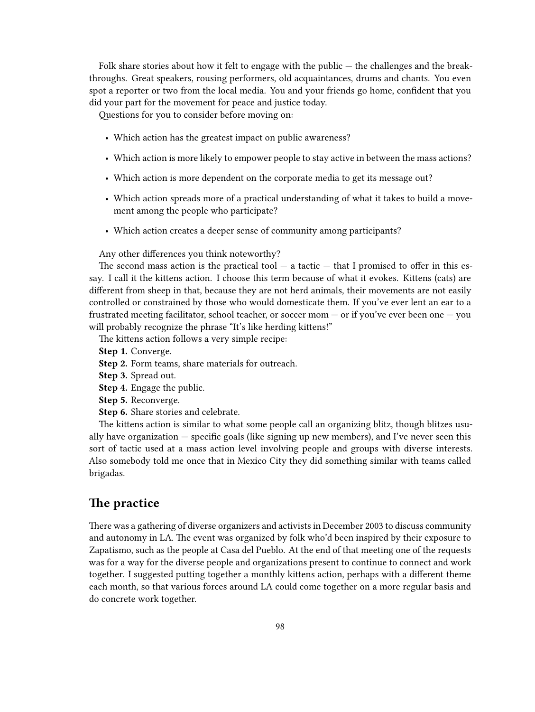Folk share stories about how it felt to engage with the public  $-$  the challenges and the breakthroughs. Great speakers, rousing performers, old acquaintances, drums and chants. You even spot a reporter or two from the local media. You and your friends go home, confident that you did your part for the movement for peace and justice today.

Questions for you to consider before moving on:

- Which action has the greatest impact on public awareness?
- Which action is more likely to empower people to stay active in between the mass actions?
- Which action is more dependent on the corporate media to get its message out?
- Which action spreads more of a practical understanding of what it takes to build a movement among the people who participate?
- Which action creates a deeper sense of community among participants?

Any other differences you think noteworthy?

The second mass action is the practical tool  $-$  a tactic  $-$  that I promised to offer in this essay. I call it the kittens action. I choose this term because of what it evokes. Kittens (cats) are different from sheep in that, because they are not herd animals, their movements are not easily controlled or constrained by those who would domesticate them. If you've ever lent an ear to a frustrated meeting facilitator, school teacher, or soccer mom — or if you've ever been one — you will probably recognize the phrase "It's like herding kittens!"

The kittens action follows a very simple recipe:

**Step 1.** Converge.

**Step 2.** Form teams, share materials for outreach.

**Step 3.** Spread out.

**Step 4.** Engage the public.

**Step 5.** Reconverge.

**Step 6.** Share stories and celebrate.

The kittens action is similar to what some people call an organizing blitz, though blitzes usually have organization — specific goals (like signing up new members), and I've never seen this sort of tactic used at a mass action level involving people and groups with diverse interests. Also somebody told me once that in Mexico City they did something similar with teams called brigadas.

## **The practice**

There was a gathering of diverse organizers and activists in December 2003 to discuss community and autonomy in LA. The event was organized by folk who'd been inspired by their exposure to Zapatismo, such as the people at Casa del Pueblo. At the end of that meeting one of the requests was for a way for the diverse people and organizations present to continue to connect and work together. I suggested putting together a monthly kittens action, perhaps with a different theme each month, so that various forces around LA could come together on a more regular basis and do concrete work together.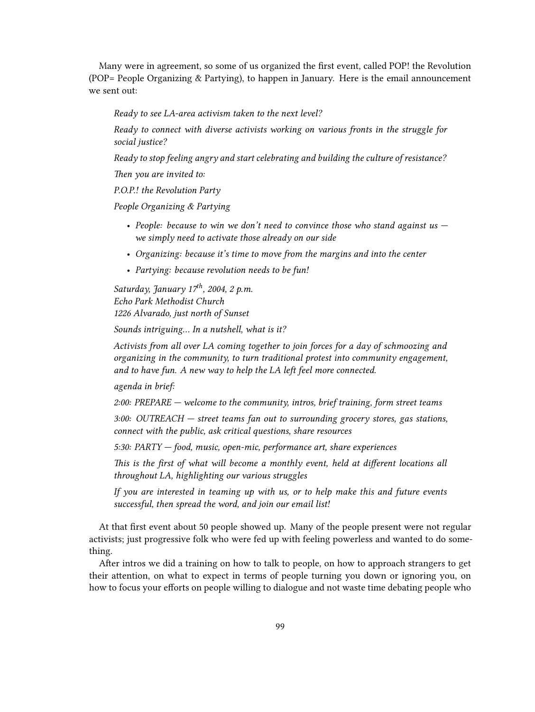Many were in agreement, so some of us organized the first event, called POP! the Revolution (POP= People Organizing & Partying), to happen in January. Here is the email announcement we sent out:

*Ready to see LA-area activism taken to the next level?*

*Ready to connect with diverse activists working on various fronts in the struggle for social justice?*

*Ready to stop feeling angry and start celebrating and building the culture of resistance?*

*Then you are invited to:*

*P.O.P.! the Revolution Party*

*People Organizing & Partying*

- *People: because to win we don't need to convince those who stand against us we simply need to activate those already on our side*
- *Organizing: because it's time to move from the margins and into the center*
- *Partying: because revolution needs to be fun!*

*Saturday, January 17th, 2004, 2 p.m. Echo Park Methodist Church 1226 Alvarado, just north of Sunset*

*Sounds intriguing… In a nutshell, what is it?*

*Activists from all over LA coming together to join forces for a day of schmoozing and organizing in the community, to turn traditional protest into community engagement, and to have fun. A new way to help the LA left feel more connected.*

*agenda in brief:*

*2:00: PREPARE — welcome to the community, intros, brief training, form street teams*

*3:00: OUTREACH — street teams fan out to surrounding grocery stores, gas stations, connect with the public, ask critical questions, share resources*

*5:30: PARTY — food, music, open-mic, performance art, share experiences*

*This is the first of what will become a monthly event, held at different locations all throughout LA, highlighting our various struggles*

*If you are interested in teaming up with us, or to help make this and future events successful, then spread the word, and join our email list!*

At that first event about 50 people showed up. Many of the people present were not regular activists; just progressive folk who were fed up with feeling powerless and wanted to do something.

After intros we did a training on how to talk to people, on how to approach strangers to get their attention, on what to expect in terms of people turning you down or ignoring you, on how to focus your efforts on people willing to dialogue and not waste time debating people who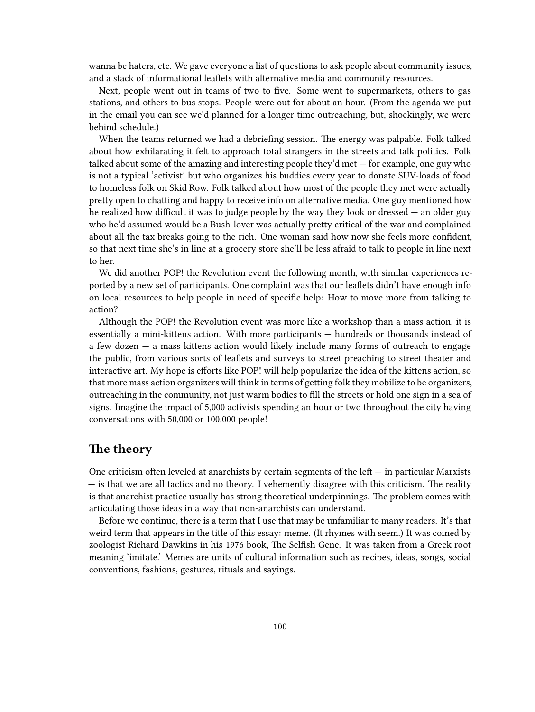wanna be haters, etc. We gave everyone a list of questions to ask people about community issues, and a stack of informational leaflets with alternative media and community resources.

Next, people went out in teams of two to five. Some went to supermarkets, others to gas stations, and others to bus stops. People were out for about an hour. (From the agenda we put in the email you can see we'd planned for a longer time outreaching, but, shockingly, we were behind schedule.)

When the teams returned we had a debriefing session. The energy was palpable. Folk talked about how exhilarating it felt to approach total strangers in the streets and talk politics. Folk talked about some of the amazing and interesting people they'd met — for example, one guy who is not a typical 'activist' but who organizes his buddies every year to donate SUV-loads of food to homeless folk on Skid Row. Folk talked about how most of the people they met were actually pretty open to chatting and happy to receive info on alternative media. One guy mentioned how he realized how difficult it was to judge people by the way they look or dressed — an older guy who he'd assumed would be a Bush-lover was actually pretty critical of the war and complained about all the tax breaks going to the rich. One woman said how now she feels more confident, so that next time she's in line at a grocery store she'll be less afraid to talk to people in line next to her.

We did another POP! the Revolution event the following month, with similar experiences reported by a new set of participants. One complaint was that our leaflets didn't have enough info on local resources to help people in need of specific help: How to move more from talking to action?

Although the POP! the Revolution event was more like a workshop than a mass action, it is essentially a mini-kittens action. With more participants — hundreds or thousands instead of a few dozen — a mass kittens action would likely include many forms of outreach to engage the public, from various sorts of leaflets and surveys to street preaching to street theater and interactive art. My hope is efforts like POP! will help popularize the idea of the kittens action, so that more mass action organizers will think in terms of getting folk they mobilize to be organizers, outreaching in the community, not just warm bodies to fill the streets or hold one sign in a sea of signs. Imagine the impact of 5,000 activists spending an hour or two throughout the city having conversations with 50,000 or 100,000 people!

## **The theory**

One criticism often leveled at anarchists by certain segments of the left  $-$  in particular Marxists — is that we are all tactics and no theory. I vehemently disagree with this criticism. The reality is that anarchist practice usually has strong theoretical underpinnings. The problem comes with articulating those ideas in a way that non-anarchists can understand.

Before we continue, there is a term that I use that may be unfamiliar to many readers. It's that weird term that appears in the title of this essay: meme. (It rhymes with seem.) It was coined by zoologist Richard Dawkins in his 1976 book, The Selfish Gene. It was taken from a Greek root meaning 'imitate.' Memes are units of cultural information such as recipes, ideas, songs, social conventions, fashions, gestures, rituals and sayings.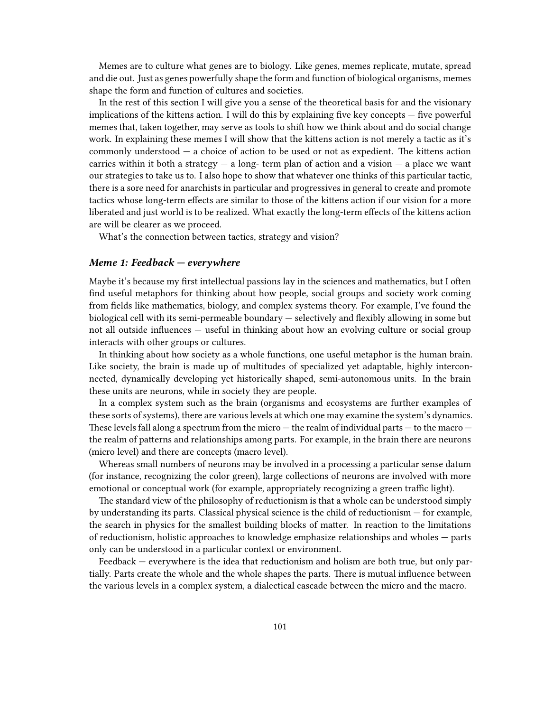Memes are to culture what genes are to biology. Like genes, memes replicate, mutate, spread and die out. Just as genes powerfully shape the form and function of biological organisms, memes shape the form and function of cultures and societies.

In the rest of this section I will give you a sense of the theoretical basis for and the visionary implications of the kittens action. I will do this by explaining five key concepts — five powerful memes that, taken together, may serve as tools to shift how we think about and do social change work. In explaining these memes I will show that the kittens action is not merely a tactic as it's commonly understood — a choice of action to be used or not as expedient. The kittens action carries within it both a strategy  $-$  a long- term plan of action and a vision  $-$  a place we want our strategies to take us to. I also hope to show that whatever one thinks of this particular tactic, there is a sore need for anarchists in particular and progressives in general to create and promote tactics whose long-term effects are similar to those of the kittens action if our vision for a more liberated and just world is to be realized. What exactly the long-term effects of the kittens action are will be clearer as we proceed.

What's the connection between tactics, strategy and vision?

### *Meme 1: Feedback — everywhere*

Maybe it's because my first intellectual passions lay in the sciences and mathematics, but I often find useful metaphors for thinking about how people, social groups and society work coming from fields like mathematics, biology, and complex systems theory. For example, I've found the biological cell with its semi-permeable boundary — selectively and flexibly allowing in some but not all outside influences — useful in thinking about how an evolving culture or social group interacts with other groups or cultures.

In thinking about how society as a whole functions, one useful metaphor is the human brain. Like society, the brain is made up of multitudes of specialized yet adaptable, highly interconnected, dynamically developing yet historically shaped, semi-autonomous units. In the brain these units are neurons, while in society they are people.

In a complex system such as the brain (organisms and ecosystems are further examples of these sorts of systems), there are various levels at which one may examine the system's dynamics. These levels fall along a spectrum from the micro — the realm of individual parts — to the macro the realm of patterns and relationships among parts. For example, in the brain there are neurons (micro level) and there are concepts (macro level).

Whereas small numbers of neurons may be involved in a processing a particular sense datum (for instance, recognizing the color green), large collections of neurons are involved with more emotional or conceptual work (for example, appropriately recognizing a green traffic light).

The standard view of the philosophy of reductionism is that a whole can be understood simply by understanding its parts. Classical physical science is the child of reductionism — for example, the search in physics for the smallest building blocks of matter. In reaction to the limitations of reductionism, holistic approaches to knowledge emphasize relationships and wholes — parts only can be understood in a particular context or environment.

Feedback — everywhere is the idea that reductionism and holism are both true, but only partially. Parts create the whole and the whole shapes the parts. There is mutual influence between the various levels in a complex system, a dialectical cascade between the micro and the macro.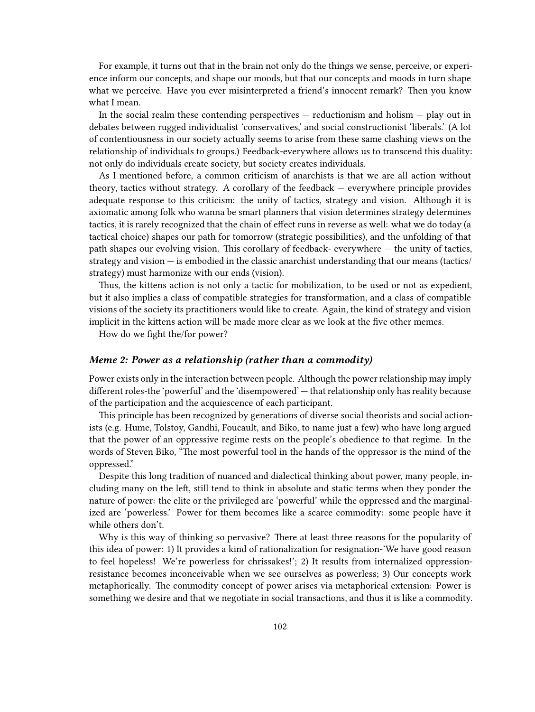For example, it turns out that in the brain not only do the things we sense, perceive, or experience inform our concepts, and shape our moods, but that our concepts and moods in turn shape what we perceive. Have you ever misinterpreted a friend's innocent remark? Then you know what I mean.

In the social realm these contending perspectives  $-$  reductionism and holism  $-$  play out in debates between rugged individualist 'conservatives,' and social constructionist 'liberals.' (A lot of contentiousness in our society actually seems to arise from these same clashing views on the relationship of individuals to groups.) Feedback-everywhere allows us to transcend this duality: not only do individuals create society, but society creates individuals.

As I mentioned before, a common criticism of anarchists is that we are all action without theory, tactics without strategy. A corollary of the feedback — everywhere principle provides adequate response to this criticism: the unity of tactics, strategy and vision. Although it is axiomatic among folk who wanna be smart planners that vision determines strategy determines tactics, it is rarely recognized that the chain of effect runs in reverse as well: what we do today (a tactical choice) shapes our path for tomorrow (strategic possibilities), and the unfolding of that path shapes our evolving vision. This corollary of feedback- everywhere — the unity of tactics, strategy and vision — is embodied in the classic anarchist understanding that our means (tactics/ strategy) must harmonize with our ends (vision).

Thus, the kittens action is not only a tactic for mobilization, to be used or not as expedient, but it also implies a class of compatible strategies for transformation, and a class of compatible visions of the society its practitioners would like to create. Again, the kind of strategy and vision implicit in the kittens action will be made more clear as we look at the five other memes.

How do we fight the/for power?

#### *Meme 2: Power as a relationship (rather than a commodity)*

Power exists only in the interaction between people. Although the power relationship may imply different roles-the 'powerful' and the 'disempowered' — that relationship only has reality because of the participation and the acquiescence of each participant.

This principle has been recognized by generations of diverse social theorists and social actionists (e.g. Hume, Tolstoy, Gandhi, Foucault, and Biko, to name just a few) who have long argued that the power of an oppressive regime rests on the people's obedience to that regime. In the words of Steven Biko, "The most powerful tool in the hands of the oppressor is the mind of the oppressed."

Despite this long tradition of nuanced and dialectical thinking about power, many people, including many on the left, still tend to think in absolute and static terms when they ponder the nature of power: the elite or the privileged are 'powerful' while the oppressed and the marginalized are 'powerless.' Power for them becomes like a scarce commodity: some people have it while others don't.

Why is this way of thinking so pervasive? There at least three reasons for the popularity of this idea of power: 1) It provides a kind of rationalization for resignation-'We have good reason to feel hopeless! We're powerless for chrissakes!'; 2) It results from internalized oppressionresistance becomes inconceivable when we see ourselves as powerless; 3) Our concepts work metaphorically. The commodity concept of power arises via metaphorical extension: Power is something we desire and that we negotiate in social transactions, and thus it is like a commodity.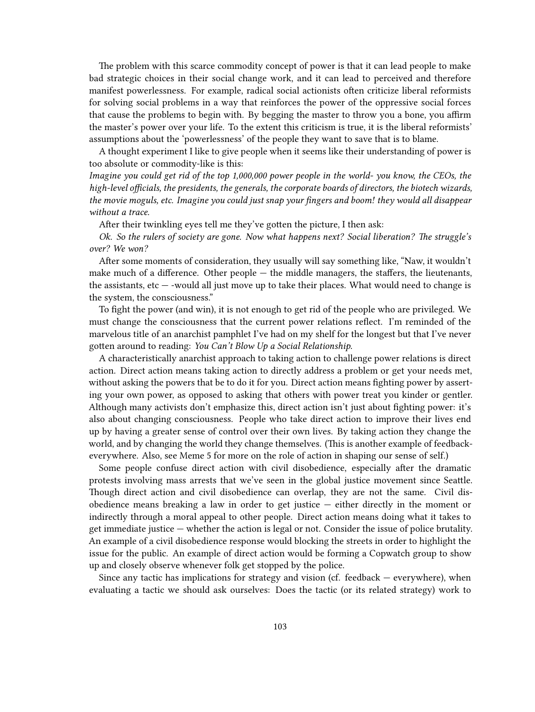The problem with this scarce commodity concept of power is that it can lead people to make bad strategic choices in their social change work, and it can lead to perceived and therefore manifest powerlessness. For example, radical social actionists often criticize liberal reformists for solving social problems in a way that reinforces the power of the oppressive social forces that cause the problems to begin with. By begging the master to throw you a bone, you affirm the master's power over your life. To the extent this criticism is true, it is the liberal reformists' assumptions about the 'powerlessness' of the people they want to save that is to blame.

A thought experiment I like to give people when it seems like their understanding of power is too absolute or commodity-like is this:

*Imagine you could get rid of the top 1,000,000 power people in the world- you know, the CEOs, the high-level officials, the presidents, the generals, the corporate boards of directors, the biotech wizards, the movie moguls, etc. Imagine you could just snap your fingers and boom! they would all disappear without a trace.*

After their twinkling eyes tell me they've gotten the picture, I then ask:

*Ok. So the rulers of society are gone. Now what happens next? Social liberation? The struggle's over? We won?*

After some moments of consideration, they usually will say something like, "Naw, it wouldn't make much of a difference. Other people  $-$  the middle managers, the staffers, the lieutenants, the assistants, etc — -would all just move up to take their places. What would need to change is the system, the consciousness."

To fight the power (and win), it is not enough to get rid of the people who are privileged. We must change the consciousness that the current power relations reflect. I'm reminded of the marvelous title of an anarchist pamphlet I've had on my shelf for the longest but that I've never gotten around to reading: *You Can't Blow Up a Social Relationship.*

A characteristically anarchist approach to taking action to challenge power relations is direct action. Direct action means taking action to directly address a problem or get your needs met, without asking the powers that be to do it for you. Direct action means fighting power by asserting your own power, as opposed to asking that others with power treat you kinder or gentler. Although many activists don't emphasize this, direct action isn't just about fighting power: it's also about changing consciousness. People who take direct action to improve their lives end up by having a greater sense of control over their own lives. By taking action they change the world, and by changing the world they change themselves. (This is another example of feedbackeverywhere. Also, see Meme 5 for more on the role of action in shaping our sense of self.)

Some people confuse direct action with civil disobedience, especially after the dramatic protests involving mass arrests that we've seen in the global justice movement since Seattle. Though direct action and civil disobedience can overlap, they are not the same. Civil disobedience means breaking a law in order to get justice — either directly in the moment or indirectly through a moral appeal to other people. Direct action means doing what it takes to get immediate justice — whether the action is legal or not. Consider the issue of police brutality. An example of a civil disobedience response would blocking the streets in order to highlight the issue for the public. An example of direct action would be forming a Copwatch group to show up and closely observe whenever folk get stopped by the police.

Since any tactic has implications for strategy and vision (cf. feedback — everywhere), when evaluating a tactic we should ask ourselves: Does the tactic (or its related strategy) work to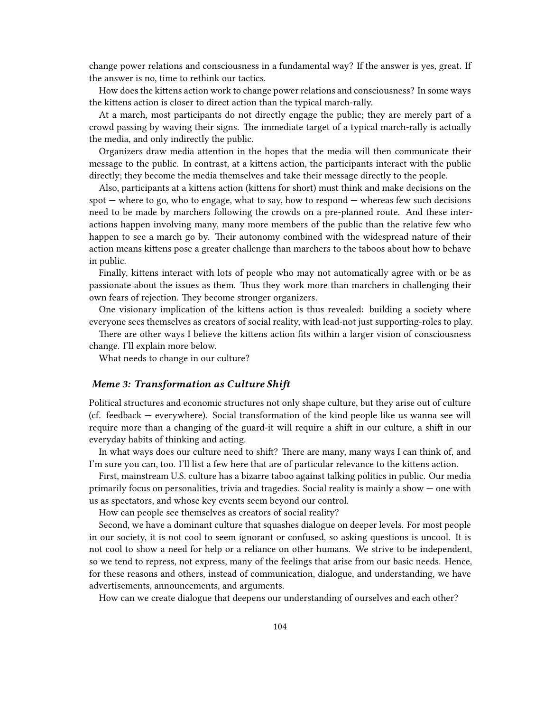change power relations and consciousness in a fundamental way? If the answer is yes, great. If the answer is no, time to rethink our tactics.

How does the kittens action work to change power relations and consciousness? In some ways the kittens action is closer to direct action than the typical march-rally.

At a march, most participants do not directly engage the public; they are merely part of a crowd passing by waving their signs. The immediate target of a typical march-rally is actually the media, and only indirectly the public.

Organizers draw media attention in the hopes that the media will then communicate their message to the public. In contrast, at a kittens action, the participants interact with the public directly; they become the media themselves and take their message directly to the people.

Also, participants at a kittens action (kittens for short) must think and make decisions on the  $spot -$  where to go, who to engage, what to say, how to respond  $-$  whereas few such decisions need to be made by marchers following the crowds on a pre-planned route. And these interactions happen involving many, many more members of the public than the relative few who happen to see a march go by. Their autonomy combined with the widespread nature of their action means kittens pose a greater challenge than marchers to the taboos about how to behave in public.

Finally, kittens interact with lots of people who may not automatically agree with or be as passionate about the issues as them. Thus they work more than marchers in challenging their own fears of rejection. They become stronger organizers.

One visionary implication of the kittens action is thus revealed: building a society where everyone sees themselves as creators of social reality, with lead-not just supporting-roles to play.

There are other ways I believe the kittens action fits within a larger vision of consciousness change. I'll explain more below.

What needs to change in our culture?

#### *Meme 3: Transformation as Culture Shift*

Political structures and economic structures not only shape culture, but they arise out of culture (cf. feedback — everywhere). Social transformation of the kind people like us wanna see will require more than a changing of the guard-it will require a shift in our culture, a shift in our everyday habits of thinking and acting.

In what ways does our culture need to shift? There are many, many ways I can think of, and I'm sure you can, too. I'll list a few here that are of particular relevance to the kittens action.

First, mainstream U.S. culture has a bizarre taboo against talking politics in public. Our media primarily focus on personalities, trivia and tragedies. Social reality is mainly a show — one with us as spectators, and whose key events seem beyond our control.

How can people see themselves as creators of social reality?

Second, we have a dominant culture that squashes dialogue on deeper levels. For most people in our society, it is not cool to seem ignorant or confused, so asking questions is uncool. It is not cool to show a need for help or a reliance on other humans. We strive to be independent, so we tend to repress, not express, many of the feelings that arise from our basic needs. Hence, for these reasons and others, instead of communication, dialogue, and understanding, we have advertisements, announcements, and arguments.

How can we create dialogue that deepens our understanding of ourselves and each other?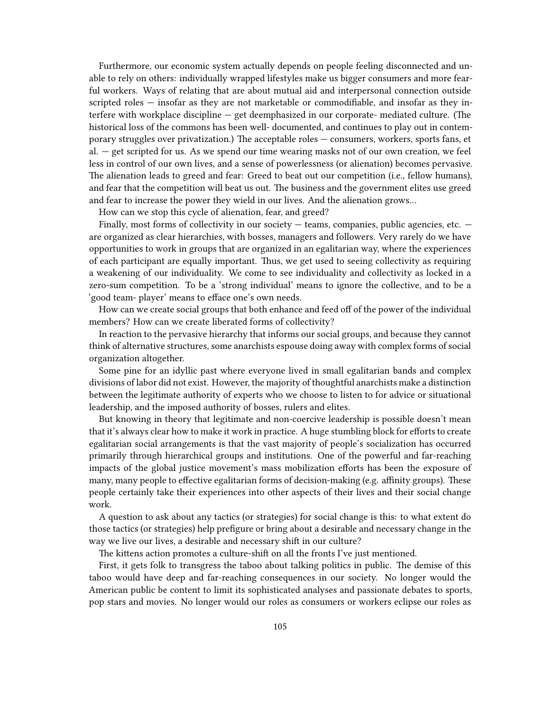Furthermore, our economic system actually depends on people feeling disconnected and unable to rely on others: individually wrapped lifestyles make us bigger consumers and more fearful workers. Ways of relating that are about mutual aid and interpersonal connection outside scripted roles — insofar as they are not marketable or commodifiable, and insofar as they interfere with workplace discipline — get deemphasized in our corporate- mediated culture. (The historical loss of the commons has been well- documented, and continues to play out in contemporary struggles over privatization.) The acceptable roles — consumers, workers, sports fans, et al. — get scripted for us. As we spend our time wearing masks not of our own creation, we feel less in control of our own lives, and a sense of powerlessness (or alienation) becomes pervasive. The alienation leads to greed and fear: Greed to beat out our competition (i.e., fellow humans), and fear that the competition will beat us out. The business and the government elites use greed and fear to increase the power they wield in our lives. And the alienation grows…

How can we stop this cycle of alienation, fear, and greed?

Finally, most forms of collectivity in our society  $-$  teams, companies, public agencies, etc.  $$ are organized as clear hierarchies, with bosses, managers and followers. Very rarely do we have opportunities to work in groups that are organized in an egalitarian way, where the experiences of each participant are equally important. Thus, we get used to seeing collectivity as requiring a weakening of our individuality. We come to see individuality and collectivity as locked in a zero-sum competition. To be a 'strong individual' means to ignore the collective, and to be a 'good team- player' means to efface one's own needs.

How can we create social groups that both enhance and feed off of the power of the individual members? How can we create liberated forms of collectivity?

In reaction to the pervasive hierarchy that informs our social groups, and because they cannot think of alternative structures, some anarchists espouse doing away with complex forms of social organization altogether.

Some pine for an idyllic past where everyone lived in small egalitarian bands and complex divisions of labor did not exist. However, the majority of thoughtful anarchists make a distinction between the legitimate authority of experts who we choose to listen to for advice or situational leadership, and the imposed authority of bosses, rulers and elites.

But knowing in theory that legitimate and non-coercive leadership is possible doesn't mean that it's always clear how to make it work in practice. A huge stumbling block for efforts to create egalitarian social arrangements is that the vast majority of people's socialization has occurred primarily through hierarchical groups and institutions. One of the powerful and far-reaching impacts of the global justice movement's mass mobilization efforts has been the exposure of many, many people to effective egalitarian forms of decision-making (e.g. affinity groups). These people certainly take their experiences into other aspects of their lives and their social change work.

A question to ask about any tactics (or strategies) for social change is this: to what extent do those tactics (or strategies) help prefigure or bring about a desirable and necessary change in the way we live our lives, a desirable and necessary shift in our culture?

The kittens action promotes a culture-shift on all the fronts I've just mentioned.

First, it gets folk to transgress the taboo about talking politics in public. The demise of this taboo would have deep and far-reaching consequences in our society. No longer would the American public be content to limit its sophisticated analyses and passionate debates to sports, pop stars and movies. No longer would our roles as consumers or workers eclipse our roles as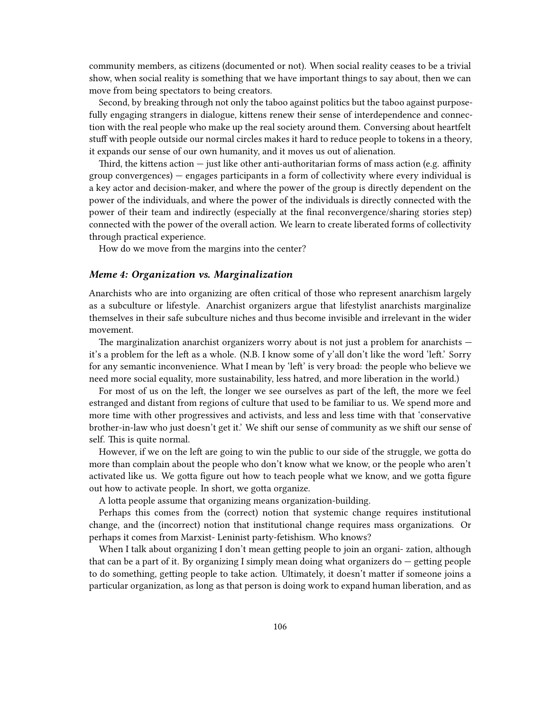community members, as citizens (documented or not). When social reality ceases to be a trivial show, when social reality is something that we have important things to say about, then we can move from being spectators to being creators.

Second, by breaking through not only the taboo against politics but the taboo against purposefully engaging strangers in dialogue, kittens renew their sense of interdependence and connection with the real people who make up the real society around them. Conversing about heartfelt stuff with people outside our normal circles makes it hard to reduce people to tokens in a theory, it expands our sense of our own humanity, and it moves us out of alienation.

Third, the kittens action  $-$  just like other anti-authoritarian forms of mass action (e.g. affinity group convergences) — engages participants in a form of collectivity where every individual is a key actor and decision-maker, and where the power of the group is directly dependent on the power of the individuals, and where the power of the individuals is directly connected with the power of their team and indirectly (especially at the final reconvergence/sharing stories step) connected with the power of the overall action. We learn to create liberated forms of collectivity through practical experience.

How do we move from the margins into the center?

### *Meme 4: Organization vs. Marginalization*

Anarchists who are into organizing are often critical of those who represent anarchism largely as a subculture or lifestyle. Anarchist organizers argue that lifestylist anarchists marginalize themselves in their safe subculture niches and thus become invisible and irrelevant in the wider movement.

The marginalization anarchist organizers worry about is not just a problem for anarchists it's a problem for the left as a whole. (N.B. I know some of y'all don't like the word 'left.' Sorry for any semantic inconvenience. What I mean by 'left' is very broad: the people who believe we need more social equality, more sustainability, less hatred, and more liberation in the world.)

For most of us on the left, the longer we see ourselves as part of the left, the more we feel estranged and distant from regions of culture that used to be familiar to us. We spend more and more time with other progressives and activists, and less and less time with that 'conservative brother-in-law who just doesn't get it.' We shift our sense of community as we shift our sense of self. This is quite normal.

However, if we on the left are going to win the public to our side of the struggle, we gotta do more than complain about the people who don't know what we know, or the people who aren't activated like us. We gotta figure out how to teach people what we know, and we gotta figure out how to activate people. In short, we gotta organize.

A lotta people assume that organizing means organization-building.

Perhaps this comes from the (correct) notion that systemic change requires institutional change, and the (incorrect) notion that institutional change requires mass organizations. Or perhaps it comes from Marxist- Leninist party-fetishism. Who knows?

When I talk about organizing I don't mean getting people to join an organi- zation, although that can be a part of it. By organizing I simply mean doing what organizers do — getting people to do something, getting people to take action. Ultimately, it doesn't matter if someone joins a particular organization, as long as that person is doing work to expand human liberation, and as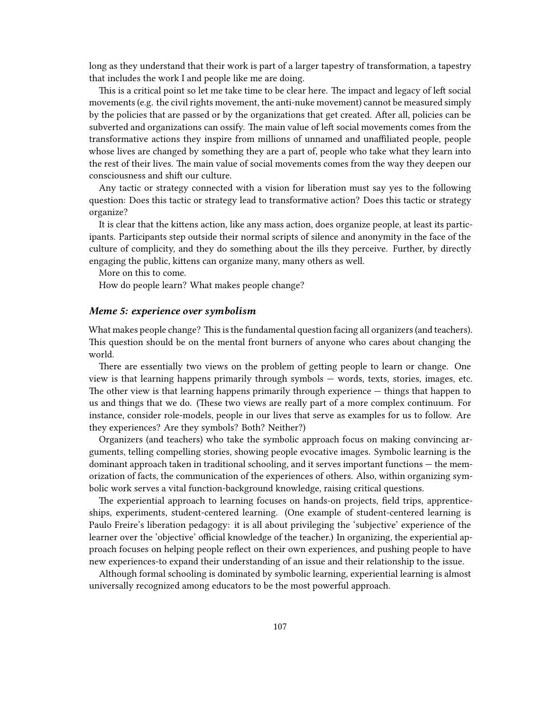long as they understand that their work is part of a larger tapestry of transformation, a tapestry that includes the work I and people like me are doing.

This is a critical point so let me take time to be clear here. The impact and legacy of left social movements (e.g. the civil rights movement, the anti-nuke movement) cannot be measured simply by the policies that are passed or by the organizations that get created. After all, policies can be subverted and organizations can ossify. The main value of left social movements comes from the transformative actions they inspire from millions of unnamed and unaffiliated people, people whose lives are changed by something they are a part of, people who take what they learn into the rest of their lives. The main value of social movements comes from the way they deepen our consciousness and shift our culture.

Any tactic or strategy connected with a vision for liberation must say yes to the following question: Does this tactic or strategy lead to transformative action? Does this tactic or strategy organize?

It is clear that the kittens action, like any mass action, does organize people, at least its participants. Participants step outside their normal scripts of silence and anonymity in the face of the culture of complicity, and they do something about the ills they perceive. Further, by directly engaging the public, kittens can organize many, many others as well.

More on this to come.

How do people learn? What makes people change?

### *Meme 5: experience over symbolism*

What makes people change? This is the fundamental question facing all organizers (and teachers). This question should be on the mental front burners of anyone who cares about changing the world.

There are essentially two views on the problem of getting people to learn or change. One view is that learning happens primarily through symbols — words, texts, stories, images, etc. The other view is that learning happens primarily through experience — things that happen to us and things that we do. (These two views are really part of a more complex continuum. For instance, consider role-models, people in our lives that serve as examples for us to follow. Are they experiences? Are they symbols? Both? Neither?)

Organizers (and teachers) who take the symbolic approach focus on making convincing arguments, telling compelling stories, showing people evocative images. Symbolic learning is the dominant approach taken in traditional schooling, and it serves important functions — the memorization of facts, the communication of the experiences of others. Also, within organizing symbolic work serves a vital function-background knowledge, raising critical questions.

The experiential approach to learning focuses on hands-on projects, field trips, apprenticeships, experiments, student-centered learning. (One example of student-centered learning is Paulo Freire's liberation pedagogy: it is all about privileging the 'subjective' experience of the learner over the 'objective' official knowledge of the teacher.) In organizing, the experiential approach focuses on helping people reflect on their own experiences, and pushing people to have new experiences-to expand their understanding of an issue and their relationship to the issue.

Although formal schooling is dominated by symbolic learning, experiential learning is almost universally recognized among educators to be the most powerful approach.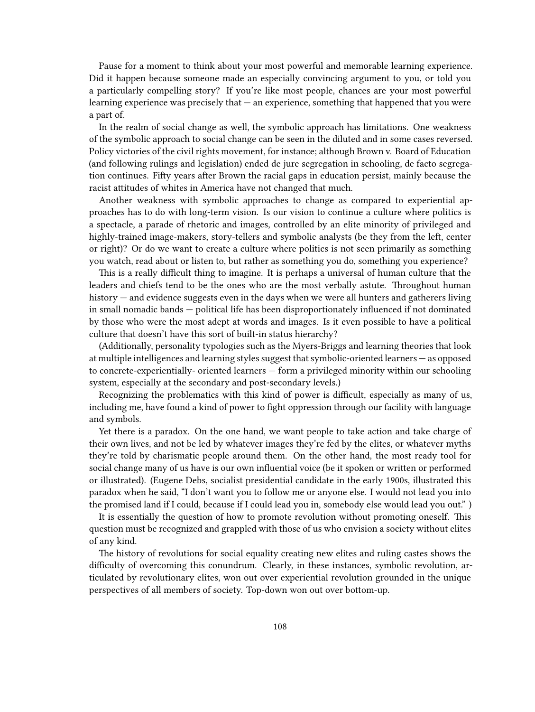Pause for a moment to think about your most powerful and memorable learning experience. Did it happen because someone made an especially convincing argument to you, or told you a particularly compelling story? If you're like most people, chances are your most powerful learning experience was precisely that — an experience, something that happened that you were a part of.

In the realm of social change as well, the symbolic approach has limitations. One weakness of the symbolic approach to social change can be seen in the diluted and in some cases reversed. Policy victories of the civil rights movement, for instance; although Brown v. Board of Education (and following rulings and legislation) ended de jure segregation in schooling, de facto segregation continues. Fifty years after Brown the racial gaps in education persist, mainly because the racist attitudes of whites in America have not changed that much.

Another weakness with symbolic approaches to change as compared to experiential approaches has to do with long-term vision. Is our vision to continue a culture where politics is a spectacle, a parade of rhetoric and images, controlled by an elite minority of privileged and highly-trained image-makers, story-tellers and symbolic analysts (be they from the left, center or right)? Or do we want to create a culture where politics is not seen primarily as something you watch, read about or listen to, but rather as something you do, something you experience?

This is a really difficult thing to imagine. It is perhaps a universal of human culture that the leaders and chiefs tend to be the ones who are the most verbally astute. Throughout human history — and evidence suggests even in the days when we were all hunters and gatherers living in small nomadic bands — political life has been disproportionately influenced if not dominated by those who were the most adept at words and images. Is it even possible to have a political culture that doesn't have this sort of built-in status hierarchy?

(Additionally, personality typologies such as the Myers-Briggs and learning theories that look at multiple intelligences and learning styles suggest that symbolic-oriented learners — as opposed to concrete-experientially- oriented learners — form a privileged minority within our schooling system, especially at the secondary and post-secondary levels.)

Recognizing the problematics with this kind of power is difficult, especially as many of us, including me, have found a kind of power to fight oppression through our facility with language and symbols.

Yet there is a paradox. On the one hand, we want people to take action and take charge of their own lives, and not be led by whatever images they're fed by the elites, or whatever myths they're told by charismatic people around them. On the other hand, the most ready tool for social change many of us have is our own influential voice (be it spoken or written or performed or illustrated). (Eugene Debs, socialist presidential candidate in the early 1900s, illustrated this paradox when he said, "I don't want you to follow me or anyone else. I would not lead you into the promised land if I could, because if I could lead you in, somebody else would lead you out." )

It is essentially the question of how to promote revolution without promoting oneself. This question must be recognized and grappled with those of us who envision a society without elites of any kind.

The history of revolutions for social equality creating new elites and ruling castes shows the difficulty of overcoming this conundrum. Clearly, in these instances, symbolic revolution, articulated by revolutionary elites, won out over experiential revolution grounded in the unique perspectives of all members of society. Top-down won out over bottom-up.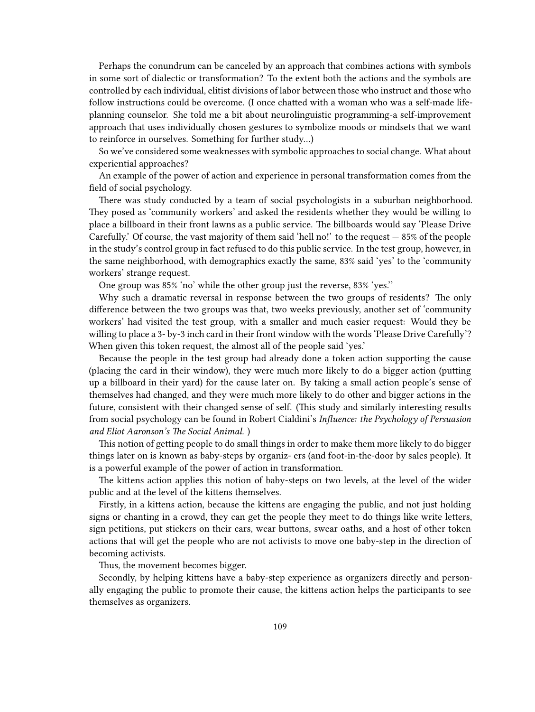Perhaps the conundrum can be canceled by an approach that combines actions with symbols in some sort of dialectic or transformation? To the extent both the actions and the symbols are controlled by each individual, elitist divisions of labor between those who instruct and those who follow instructions could be overcome. (I once chatted with a woman who was a self-made lifeplanning counselor. She told me a bit about neurolinguistic programming-a self-improvement approach that uses individually chosen gestures to symbolize moods or mindsets that we want to reinforce in ourselves. Something for further study…)

So we've considered some weaknesses with symbolic approaches to social change. What about experiential approaches?

An example of the power of action and experience in personal transformation comes from the field of social psychology.

There was study conducted by a team of social psychologists in a suburban neighborhood. They posed as 'community workers' and asked the residents whether they would be willing to place a billboard in their front lawns as a public service. The billboards would say 'Please Drive Carefully.' Of course, the vast majority of them said 'hell no!' to the request  $-85%$  of the people in the study's control group in fact refused to do this public service. In the test group, however, in the same neighborhood, with demographics exactly the same, 83% said 'yes' to the 'community workers' strange request.

One group was 85% 'no' while the other group just the reverse, 83% 'yes.''

Why such a dramatic reversal in response between the two groups of residents? The only difference between the two groups was that, two weeks previously, another set of 'community workers' had visited the test group, with a smaller and much easier request: Would they be willing to place a 3- by-3 inch card in their front window with the words 'Please Drive Carefully'? When given this token request, the almost all of the people said 'yes.'

Because the people in the test group had already done a token action supporting the cause (placing the card in their window), they were much more likely to do a bigger action (putting up a billboard in their yard) for the cause later on. By taking a small action people's sense of themselves had changed, and they were much more likely to do other and bigger actions in the future, consistent with their changed sense of self. (This study and similarly interesting results from social psychology can be found in Robert Cialdini's *Influence: the Psychology of Persuasion and Eliot Aaronson's The Social Animal.* )

This notion of getting people to do small things in order to make them more likely to do bigger things later on is known as baby-steps by organiz- ers (and foot-in-the-door by sales people). It is a powerful example of the power of action in transformation.

The kittens action applies this notion of baby-steps on two levels, at the level of the wider public and at the level of the kittens themselves.

Firstly, in a kittens action, because the kittens are engaging the public, and not just holding signs or chanting in a crowd, they can get the people they meet to do things like write letters, sign petitions, put stickers on their cars, wear buttons, swear oaths, and a host of other token actions that will get the people who are not activists to move one baby-step in the direction of becoming activists.

Thus, the movement becomes bigger.

Secondly, by helping kittens have a baby-step experience as organizers directly and personally engaging the public to promote their cause, the kittens action helps the participants to see themselves as organizers.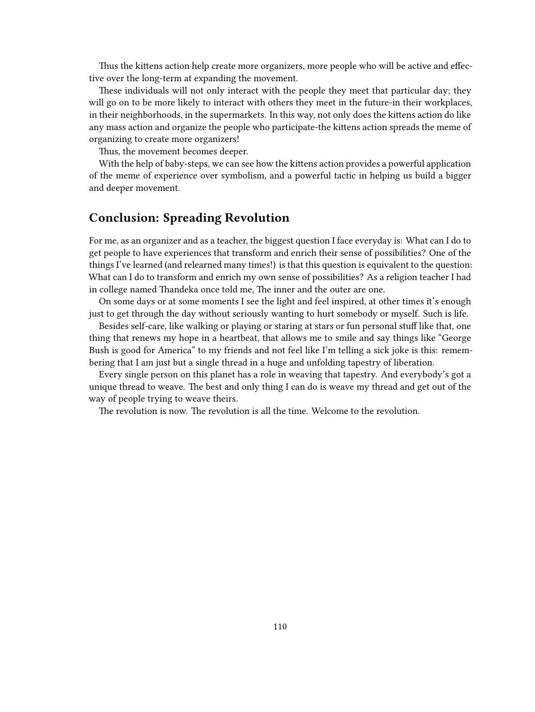Thus the kittens action help create more organizers, more people who will be active and effective over the long-term at expanding the movement.

These individuals will not only interact with the people they meet that particular day; they will go on to be more likely to interact with others they meet in the future-in their workplaces, in their neighborhoods, in the supermarkets. In this way, not only does the kittens action do like any mass action and organize the people who participate-the kittens action spreads the meme of organizing to create more organizers!

Thus, the movement becomes deeper.

With the help of baby-steps, we can see how the kittens action provides a powerful application of the meme of experience over symbolism, and a powerful tactic in helping us build a bigger and deeper movement.

#### **Conclusion: Spreading Revolution**

For me, as an organizer and as a teacher, the biggest question I face everyday is: What can I do to get people to have experiences that transform and enrich their sense of possibilities? One of the things I've learned (and relearned many times!) is that this question is equivalent to the question: What can I do to transform and enrich my own sense of possibilities? As a religion teacher I had in college named Thandeka once told me, The inner and the outer are one.

On some days or at some moments I see the light and feel inspired, at other times it's enough just to get through the day without seriously wanting to hurt somebody or myself. Such is life.

Besides self-care, like walking or playing or staring at stars or fun personal stuff like that, one thing that renews my hope in a heartbeat, that allows me to smile and say things like "George Bush is good for America" to my friends and not feel like I'm telling a sick joke is this: remembering that I am just but a single thread in a huge and unfolding tapestry of liberation.

Every single person on this planet has a role in weaving that tapestry. And everybody's got a unique thread to weave. The best and only thing I can do is weave my thread and get out of the way of people trying to weave theirs.

The revolution is now. The revolution is all the time. Welcome to the revolution.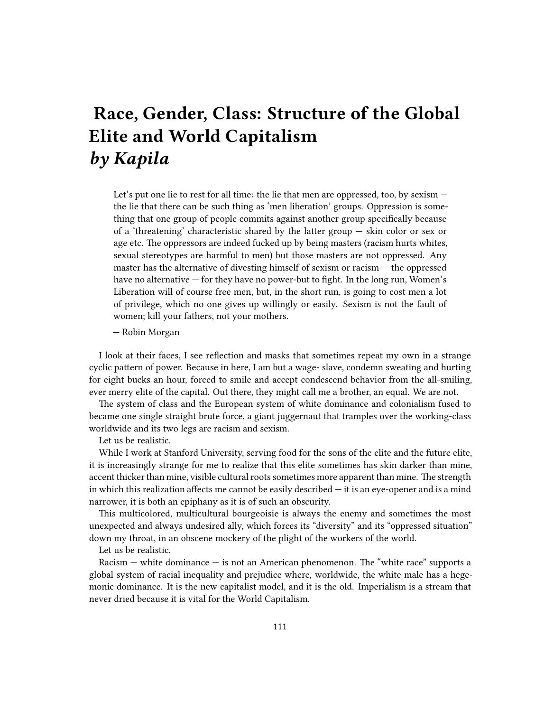# **Race, Gender, Class: Structure of the Global Elite and World Capitalism** *by Kapila*

Let's put one lie to rest for all time: the lie that men are oppressed, too, by sexism the lie that there can be such thing as 'men liberation' groups. Oppression is something that one group of people commits against another group specifically because of a 'threatening' characteristic shared by the latter group — skin color or sex or age etc. The oppressors are indeed fucked up by being masters (racism hurts whites, sexual stereotypes are harmful to men) but those masters are not oppressed. Any master has the alternative of divesting himself of sexism or racism — the oppressed have no alternative — for they have no power-but to fight. In the long run, Women's Liberation will of course free men, but, in the short run, is going to cost men a lot of privilege, which no one gives up willingly or easily. Sexism is not the fault of women; kill your fathers, not your mothers.

#### — Robin Morgan

I look at their faces, I see reflection and masks that sometimes repeat my own in a strange cyclic pattern of power. Because in here, I am but a wage- slave, condemn sweating and hurting for eight bucks an hour, forced to smile and accept condescend behavior from the all-smiling, ever merry elite of the capital. Out there, they might call me a brother, an equal. We are not.

The system of class and the European system of white dominance and colonialism fused to became one single straight brute force, a giant juggernaut that tramples over the working-class worldwide and its two legs are racism and sexism.

Let us be realistic.

While I work at Stanford University, serving food for the sons of the elite and the future elite, it is increasingly strange for me to realize that this elite sometimes has skin darker than mine, accent thicker than mine, visible cultural roots sometimes more apparent than mine. The strength in which this realization affects me cannot be easily described — it is an eye-opener and is a mind narrower, it is both an epiphany as it is of such an obscurity.

This multicolored, multicultural bourgeoisie is always the enemy and sometimes the most unexpected and always undesired ally, which forces its "diversity" and its "oppressed situation" down my throat, in an obscene mockery of the plight of the workers of the world.

Let us be realistic.

Racism — white dominance — is not an American phenomenon. The "white race" supports a global system of racial inequality and prejudice where, worldwide, the white male has a hegemonic dominance. It is the new capitalist model, and it is the old. Imperialism is a stream that never dried because it is vital for the World Capitalism.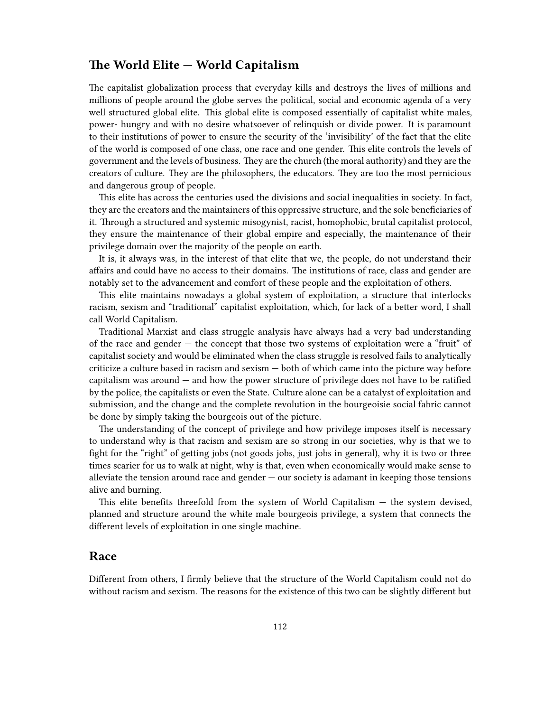#### **The World Elite — World Capitalism**

The capitalist globalization process that everyday kills and destroys the lives of millions and millions of people around the globe serves the political, social and economic agenda of a very well structured global elite. This global elite is composed essentially of capitalist white males, power- hungry and with no desire whatsoever of relinquish or divide power. It is paramount to their institutions of power to ensure the security of the 'invisibility' of the fact that the elite of the world is composed of one class, one race and one gender. This elite controls the levels of government and the levels of business. They are the church (the moral authority) and they are the creators of culture. They are the philosophers, the educators. They are too the most pernicious and dangerous group of people.

This elite has across the centuries used the divisions and social inequalities in society. In fact, they are the creators and the maintainers of this oppressive structure, and the sole beneficiaries of it. Through a structured and systemic misogynist, racist, homophobic, brutal capitalist protocol, they ensure the maintenance of their global empire and especially, the maintenance of their privilege domain over the majority of the people on earth.

It is, it always was, in the interest of that elite that we, the people, do not understand their affairs and could have no access to their domains. The institutions of race, class and gender are notably set to the advancement and comfort of these people and the exploitation of others.

This elite maintains nowadays a global system of exploitation, a structure that interlocks racism, sexism and "traditional" capitalist exploitation, which, for lack of a better word, I shall call World Capitalism.

Traditional Marxist and class struggle analysis have always had a very bad understanding of the race and gender — the concept that those two systems of exploitation were a "fruit" of capitalist society and would be eliminated when the class struggle is resolved fails to analytically criticize a culture based in racism and sexism — both of which came into the picture way before capitalism was around — and how the power structure of privilege does not have to be ratified by the police, the capitalists or even the State. Culture alone can be a catalyst of exploitation and submission, and the change and the complete revolution in the bourgeoisie social fabric cannot be done by simply taking the bourgeois out of the picture.

The understanding of the concept of privilege and how privilege imposes itself is necessary to understand why is that racism and sexism are so strong in our societies, why is that we to fight for the "right" of getting jobs (not goods jobs, just jobs in general), why it is two or three times scarier for us to walk at night, why is that, even when economically would make sense to alleviate the tension around race and gender  $-$  our society is adamant in keeping those tensions alive and burning.

This elite benefits threefold from the system of World Capitalism — the system devised, planned and structure around the white male bourgeois privilege, a system that connects the different levels of exploitation in one single machine.

#### **Race**

Different from others, I firmly believe that the structure of the World Capitalism could not do without racism and sexism. The reasons for the existence of this two can be slightly different but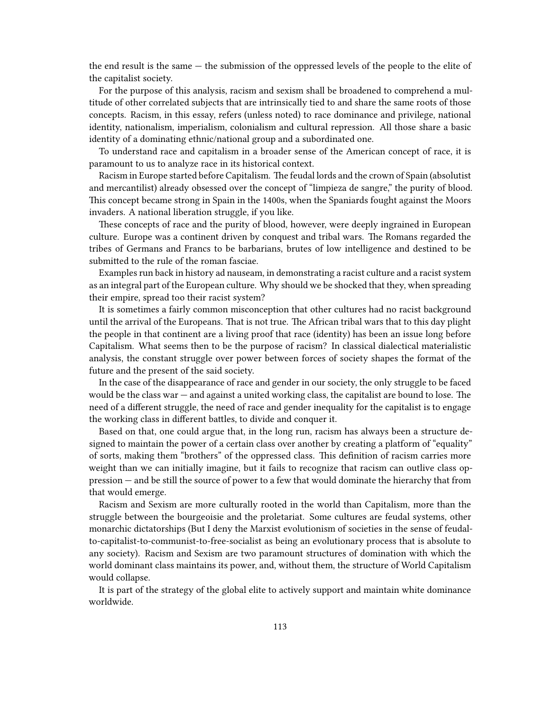the end result is the same — the submission of the oppressed levels of the people to the elite of the capitalist society.

For the purpose of this analysis, racism and sexism shall be broadened to comprehend a multitude of other correlated subjects that are intrinsically tied to and share the same roots of those concepts. Racism, in this essay, refers (unless noted) to race dominance and privilege, national identity, nationalism, imperialism, colonialism and cultural repression. All those share a basic identity of a dominating ethnic/national group and a subordinated one.

To understand race and capitalism in a broader sense of the American concept of race, it is paramount to us to analyze race in its historical context.

Racism in Europe started before Capitalism. The feudal lords and the crown of Spain (absolutist and mercantilist) already obsessed over the concept of "limpieza de sangre," the purity of blood. This concept became strong in Spain in the 1400s, when the Spaniards fought against the Moors invaders. A national liberation struggle, if you like.

These concepts of race and the purity of blood, however, were deeply ingrained in European culture. Europe was a continent driven by conquest and tribal wars. The Romans regarded the tribes of Germans and Francs to be barbarians, brutes of low intelligence and destined to be submitted to the rule of the roman fasciae.

Examples run back in history ad nauseam, in demonstrating a racist culture and a racist system as an integral part of the European culture. Why should we be shocked that they, when spreading their empire, spread too their racist system?

It is sometimes a fairly common misconception that other cultures had no racist background until the arrival of the Europeans. That is not true. The African tribal wars that to this day plight the people in that continent are a living proof that race (identity) has been an issue long before Capitalism. What seems then to be the purpose of racism? In classical dialectical materialistic analysis, the constant struggle over power between forces of society shapes the format of the future and the present of the said society.

In the case of the disappearance of race and gender in our society, the only struggle to be faced would be the class war — and against a united working class, the capitalist are bound to lose. The need of a different struggle, the need of race and gender inequality for the capitalist is to engage the working class in different battles, to divide and conquer it.

Based on that, one could argue that, in the long run, racism has always been a structure designed to maintain the power of a certain class over another by creating a platform of "equality" of sorts, making them "brothers" of the oppressed class. This definition of racism carries more weight than we can initially imagine, but it fails to recognize that racism can outlive class oppression — and be still the source of power to a few that would dominate the hierarchy that from that would emerge.

Racism and Sexism are more culturally rooted in the world than Capitalism, more than the struggle between the bourgeoisie and the proletariat. Some cultures are feudal systems, other monarchic dictatorships (But I deny the Marxist evolutionism of societies in the sense of feudalto-capitalist-to-communist-to-free-socialist as being an evolutionary process that is absolute to any society). Racism and Sexism are two paramount structures of domination with which the world dominant class maintains its power, and, without them, the structure of World Capitalism would collapse.

It is part of the strategy of the global elite to actively support and maintain white dominance worldwide.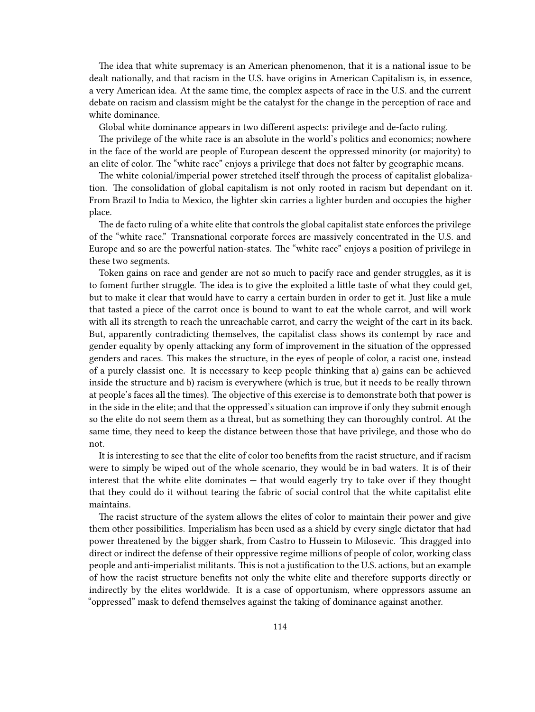The idea that white supremacy is an American phenomenon, that it is a national issue to be dealt nationally, and that racism in the U.S. have origins in American Capitalism is, in essence, a very American idea. At the same time, the complex aspects of race in the U.S. and the current debate on racism and classism might be the catalyst for the change in the perception of race and white dominance.

Global white dominance appears in two different aspects: privilege and de-facto ruling.

The privilege of the white race is an absolute in the world's politics and economics; nowhere in the face of the world are people of European descent the oppressed minority (or majority) to an elite of color. The "white race" enjoys a privilege that does not falter by geographic means.

The white colonial/imperial power stretched itself through the process of capitalist globalization. The consolidation of global capitalism is not only rooted in racism but dependant on it. From Brazil to India to Mexico, the lighter skin carries a lighter burden and occupies the higher place.

The de facto ruling of a white elite that controls the global capitalist state enforces the privilege of the "white race." Transnational corporate forces are massively concentrated in the U.S. and Europe and so are the powerful nation-states. The "white race" enjoys a position of privilege in these two segments.

Token gains on race and gender are not so much to pacify race and gender struggles, as it is to foment further struggle. The idea is to give the exploited a little taste of what they could get, but to make it clear that would have to carry a certain burden in order to get it. Just like a mule that tasted a piece of the carrot once is bound to want to eat the whole carrot, and will work with all its strength to reach the unreachable carrot, and carry the weight of the cart in its back. But, apparently contradicting themselves, the capitalist class shows its contempt by race and gender equality by openly attacking any form of improvement in the situation of the oppressed genders and races. This makes the structure, in the eyes of people of color, a racist one, instead of a purely classist one. It is necessary to keep people thinking that a) gains can be achieved inside the structure and b) racism is everywhere (which is true, but it needs to be really thrown at people's faces all the times). The objective of this exercise is to demonstrate both that power is in the side in the elite; and that the oppressed's situation can improve if only they submit enough so the elite do not seem them as a threat, but as something they can thoroughly control. At the same time, they need to keep the distance between those that have privilege, and those who do not.

It is interesting to see that the elite of color too benefits from the racist structure, and if racism were to simply be wiped out of the whole scenario, they would be in bad waters. It is of their interest that the white elite dominates — that would eagerly try to take over if they thought that they could do it without tearing the fabric of social control that the white capitalist elite maintains.

The racist structure of the system allows the elites of color to maintain their power and give them other possibilities. Imperialism has been used as a shield by every single dictator that had power threatened by the bigger shark, from Castro to Hussein to Milosevic. This dragged into direct or indirect the defense of their oppressive regime millions of people of color, working class people and anti-imperialist militants. This is not a justification to the U.S. actions, but an example of how the racist structure benefits not only the white elite and therefore supports directly or indirectly by the elites worldwide. It is a case of opportunism, where oppressors assume an "oppressed" mask to defend themselves against the taking of dominance against another.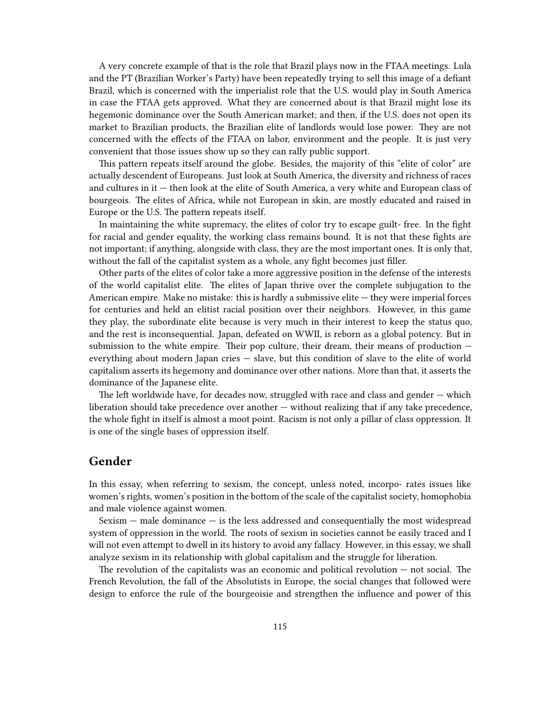A very concrete example of that is the role that Brazil plays now in the FTAA meetings. Lula and the PT (Brazilian Worker's Party) have been repeatedly trying to sell this image of a defiant Brazil, which is concerned with the imperialist role that the U.S. would play in South America in case the FTAA gets approved. What they are concerned about is that Brazil might lose its hegemonic dominance over the South American market; and then, if the U.S. does not open its market to Brazilian products, the Brazilian elite of landlords would lose power. They are not concerned with the effects of the FTAA on labor, environment and the people. It is just very convenient that those issues show up so they can rally public support.

This pattern repeats itself around the globe. Besides, the majority of this "elite of color" are actually descendent of Europeans. Just look at South America, the diversity and richness of races and cultures in it — then look at the elite of South America, a very white and European class of bourgeois. The elites of Africa, while not European in skin, are mostly educated and raised in Europe or the U.S. The pattern repeats itself.

In maintaining the white supremacy, the elites of color try to escape guilt- free. In the fight for racial and gender equality, the working class remains bound. It is not that these fights are not important; if anything, alongside with class, they are the most important ones. It is only that, without the fall of the capitalist system as a whole, any fight becomes just filler.

Other parts of the elites of color take a more aggressive position in the defense of the interests of the world capitalist elite. The elites of Japan thrive over the complete subjugation to the American empire. Make no mistake: this is hardly a submissive elite  $-$  they were imperial forces for centuries and held an elitist racial position over their neighbors. However, in this game they play, the subordinate elite because is very much in their interest to keep the status quo, and the rest is inconsequential. Japan, defeated on WWII, is reborn as a global potency. But in submission to the white empire. Their pop culture, their dream, their means of production everything about modern Japan cries — slave, but this condition of slave to the elite of world capitalism asserts its hegemony and dominance over other nations. More than that, it asserts the dominance of the Japanese elite.

The left worldwide have, for decades now, struggled with race and class and gender — which liberation should take precedence over another  $-$  without realizing that if any take precedence, the whole fight in itself is almost a moot point. Racism is not only a pillar of class oppression. It is one of the single bases of oppression itself.

### **Gender**

In this essay, when referring to sexism, the concept, unless noted, incorpo- rates issues like women's rights, women's position in the bottom of the scale of the capitalist society, homophobia and male violence against women.

Sexism — male dominance — is the less addressed and consequentially the most widespread system of oppression in the world. The roots of sexism in societies cannot be easily traced and I will not even attempt to dwell in its history to avoid any fallacy. However, in this essay, we shall analyze sexism in its relationship with global capitalism and the struggle for liberation.

The revolution of the capitalists was an economic and political revolution  $-$  not social. The French Revolution, the fall of the Absolutists in Europe, the social changes that followed were design to enforce the rule of the bourgeoisie and strengthen the influence and power of this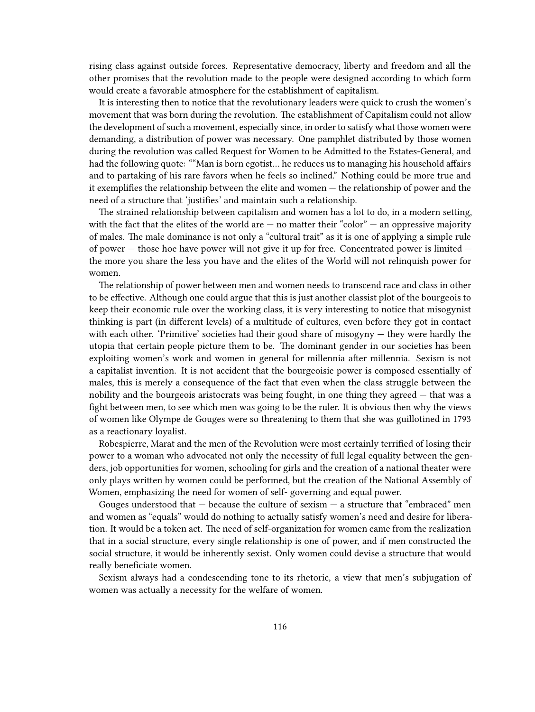rising class against outside forces. Representative democracy, liberty and freedom and all the other promises that the revolution made to the people were designed according to which form would create a favorable atmosphere for the establishment of capitalism.

It is interesting then to notice that the revolutionary leaders were quick to crush the women's movement that was born during the revolution. The establishment of Capitalism could not allow the development of such a movement, especially since, in order to satisfy what those women were demanding, a distribution of power was necessary. One pamphlet distributed by those women during the revolution was called Request for Women to be Admitted to the Estates-General, and had the following quote: ""Man is born egotist... he reduces us to managing his household affairs and to partaking of his rare favors when he feels so inclined." Nothing could be more true and it exemplifies the relationship between the elite and women — the relationship of power and the need of a structure that 'justifies' and maintain such a relationship.

The strained relationship between capitalism and women has a lot to do, in a modern setting, with the fact that the elites of the world are  $-$  no matter their "color"  $-$  an oppressive majority of males. The male dominance is not only a "cultural trait" as it is one of applying a simple rule of power  $-$  those hoe have power will not give it up for free. Concentrated power is limited  $$ the more you share the less you have and the elites of the World will not relinquish power for women.

The relationship of power between men and women needs to transcend race and class in other to be effective. Although one could argue that this is just another classist plot of the bourgeois to keep their economic rule over the working class, it is very interesting to notice that misogynist thinking is part (in different levels) of a multitude of cultures, even before they got in contact with each other. 'Primitive' societies had their good share of misogyny — they were hardly the utopia that certain people picture them to be. The dominant gender in our societies has been exploiting women's work and women in general for millennia after millennia. Sexism is not a capitalist invention. It is not accident that the bourgeoisie power is composed essentially of males, this is merely a consequence of the fact that even when the class struggle between the nobility and the bourgeois aristocrats was being fought, in one thing they agreed — that was a fight between men, to see which men was going to be the ruler. It is obvious then why the views of women like Olympe de Gouges were so threatening to them that she was guillotined in 1793 as a reactionary loyalist.

Robespierre, Marat and the men of the Revolution were most certainly terrified of losing their power to a woman who advocated not only the necessity of full legal equality between the genders, job opportunities for women, schooling for girls and the creation of a national theater were only plays written by women could be performed, but the creation of the National Assembly of Women, emphasizing the need for women of self- governing and equal power.

Gouges understood that  $-$  because the culture of sexism  $-$  a structure that "embraced" men and women as "equals" would do nothing to actually satisfy women's need and desire for liberation. It would be a token act. The need of self-organization for women came from the realization that in a social structure, every single relationship is one of power, and if men constructed the social structure, it would be inherently sexist. Only women could devise a structure that would really beneficiate women.

Sexism always had a condescending tone to its rhetoric, a view that men's subjugation of women was actually a necessity for the welfare of women.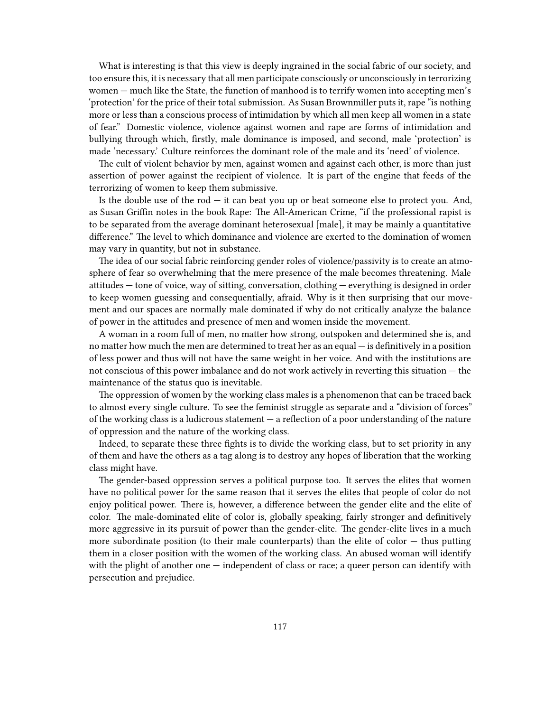What is interesting is that this view is deeply ingrained in the social fabric of our society, and too ensure this, it is necessary that all men participate consciously or unconsciously in terrorizing women — much like the State, the function of manhood is to terrify women into accepting men's 'protection' for the price of their total submission. As Susan Brownmiller puts it, rape "is nothing more or less than a conscious process of intimidation by which all men keep all women in a state of fear." Domestic violence, violence against women and rape are forms of intimidation and bullying through which, firstly, male dominance is imposed, and second, male 'protection' is made 'necessary.' Culture reinforces the dominant role of the male and its 'need' of violence.

The cult of violent behavior by men, against women and against each other, is more than just assertion of power against the recipient of violence. It is part of the engine that feeds of the terrorizing of women to keep them submissive.

Is the double use of the  $rod - it$  can beat you up or beat someone else to protect you. And, as Susan Griffin notes in the book Rape: The All-American Crime, "if the professional rapist is to be separated from the average dominant heterosexual [male], it may be mainly a quantitative difference." The level to which dominance and violence are exerted to the domination of women may vary in quantity, but not in substance.

The idea of our social fabric reinforcing gender roles of violence/passivity is to create an atmosphere of fear so overwhelming that the mere presence of the male becomes threatening. Male attitudes — tone of voice, way of sitting, conversation, clothing — everything is designed in order to keep women guessing and consequentially, afraid. Why is it then surprising that our movement and our spaces are normally male dominated if why do not critically analyze the balance of power in the attitudes and presence of men and women inside the movement.

A woman in a room full of men, no matter how strong, outspoken and determined she is, and no matter how much the men are determined to treat her as an equal — is definitively in a position of less power and thus will not have the same weight in her voice. And with the institutions are not conscious of this power imbalance and do not work actively in reverting this situation — the maintenance of the status quo is inevitable.

The oppression of women by the working class males is a phenomenon that can be traced back to almost every single culture. To see the feminist struggle as separate and a "division of forces" of the working class is a ludicrous statement — a reflection of a poor understanding of the nature of oppression and the nature of the working class.

Indeed, to separate these three fights is to divide the working class, but to set priority in any of them and have the others as a tag along is to destroy any hopes of liberation that the working class might have.

The gender-based oppression serves a political purpose too. It serves the elites that women have no political power for the same reason that it serves the elites that people of color do not enjoy political power. There is, however, a difference between the gender elite and the elite of color. The male-dominated elite of color is, globally speaking, fairly stronger and definitively more aggressive in its pursuit of power than the gender-elite. The gender-elite lives in a much more subordinate position (to their male counterparts) than the elite of color  $-$  thus putting them in a closer position with the women of the working class. An abused woman will identify with the plight of another one  $-$  independent of class or race; a queer person can identify with persecution and prejudice.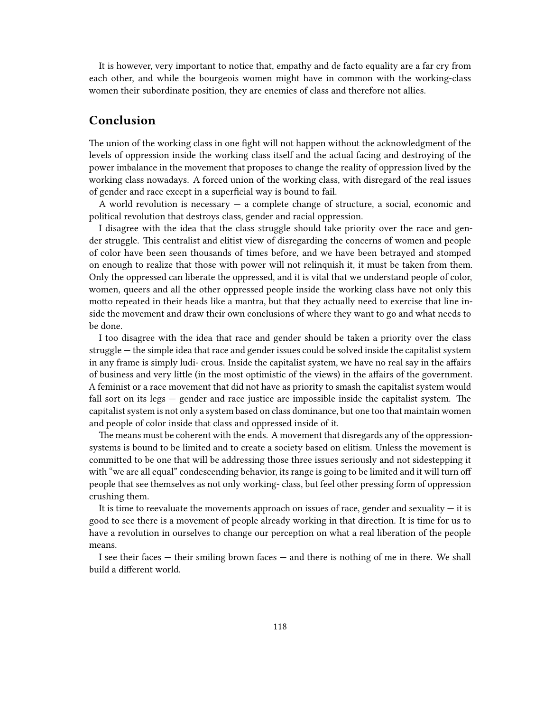It is however, very important to notice that, empathy and de facto equality are a far cry from each other, and while the bourgeois women might have in common with the working-class women their subordinate position, they are enemies of class and therefore not allies.

### **Conclusion**

The union of the working class in one fight will not happen without the acknowledgment of the levels of oppression inside the working class itself and the actual facing and destroying of the power imbalance in the movement that proposes to change the reality of oppression lived by the working class nowadays. A forced union of the working class, with disregard of the real issues of gender and race except in a superficial way is bound to fail.

A world revolution is necessary  $-$  a complete change of structure, a social, economic and political revolution that destroys class, gender and racial oppression.

I disagree with the idea that the class struggle should take priority over the race and gender struggle. This centralist and elitist view of disregarding the concerns of women and people of color have been seen thousands of times before, and we have been betrayed and stomped on enough to realize that those with power will not relinquish it, it must be taken from them. Only the oppressed can liberate the oppressed, and it is vital that we understand people of color, women, queers and all the other oppressed people inside the working class have not only this motto repeated in their heads like a mantra, but that they actually need to exercise that line inside the movement and draw their own conclusions of where they want to go and what needs to be done.

I too disagree with the idea that race and gender should be taken a priority over the class struggle — the simple idea that race and gender issues could be solved inside the capitalist system in any frame is simply ludi- crous. Inside the capitalist system, we have no real say in the affairs of business and very little (in the most optimistic of the views) in the affairs of the government. A feminist or a race movement that did not have as priority to smash the capitalist system would fall sort on its legs — gender and race justice are impossible inside the capitalist system. The capitalist system is not only a system based on class dominance, but one too that maintain women and people of color inside that class and oppressed inside of it.

The means must be coherent with the ends. A movement that disregards any of the oppressionsystems is bound to be limited and to create a society based on elitism. Unless the movement is committed to be one that will be addressing those three issues seriously and not sidestepping it with "we are all equal" condescending behavior, its range is going to be limited and it will turn off people that see themselves as not only working- class, but feel other pressing form of oppression crushing them.

It is time to reevaluate the movements approach on issues of race, gender and sexuality  $-$  it is good to see there is a movement of people already working in that direction. It is time for us to have a revolution in ourselves to change our perception on what a real liberation of the people means.

I see their faces — their smiling brown faces — and there is nothing of me in there. We shall build a different world.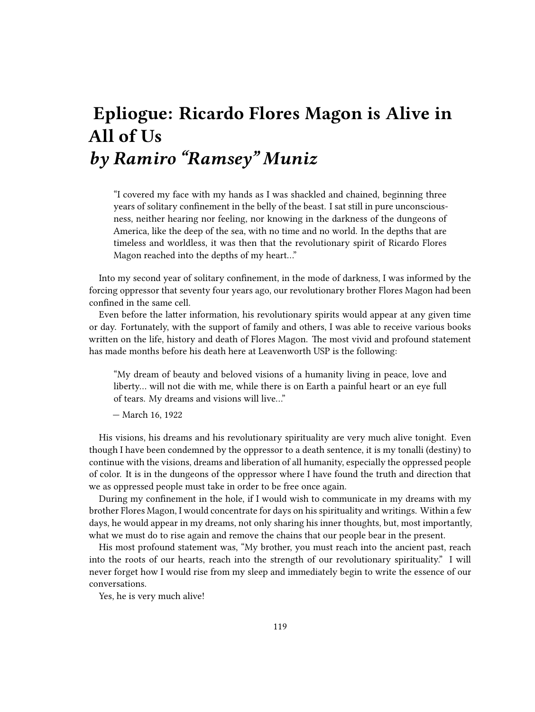# **Epliogue: Ricardo Flores Magon is Alive in All of Us** *by Ramiro "Ramsey" Muniz*

"I covered my face with my hands as I was shackled and chained, beginning three years of solitary confinement in the belly of the beast. I sat still in pure unconsciousness, neither hearing nor feeling, nor knowing in the darkness of the dungeons of America, like the deep of the sea, with no time and no world. In the depths that are timeless and worldless, it was then that the revolutionary spirit of Ricardo Flores Magon reached into the depths of my heart…"

Into my second year of solitary confinement, in the mode of darkness, I was informed by the forcing oppressor that seventy four years ago, our revolutionary brother Flores Magon had been confined in the same cell.

Even before the latter information, his revolutionary spirits would appear at any given time or day. Fortunately, with the support of family and others, I was able to receive various books written on the life, history and death of Flores Magon. The most vivid and profound statement has made months before his death here at Leavenworth USP is the following:

"My dream of beauty and beloved visions of a humanity living in peace, love and liberty… will not die with me, while there is on Earth a painful heart or an eye full of tears. My dreams and visions will live…"

— March 16, 1922

His visions, his dreams and his revolutionary spirituality are very much alive tonight. Even though I have been condemned by the oppressor to a death sentence, it is my tonalli (destiny) to continue with the visions, dreams and liberation of all humanity, especially the oppressed people of color. It is in the dungeons of the oppressor where I have found the truth and direction that we as oppressed people must take in order to be free once again.

During my confinement in the hole, if I would wish to communicate in my dreams with my brother Flores Magon, I would concentrate for days on his spirituality and writings. Within a few days, he would appear in my dreams, not only sharing his inner thoughts, but, most importantly, what we must do to rise again and remove the chains that our people bear in the present.

His most profound statement was, "My brother, you must reach into the ancient past, reach into the roots of our hearts, reach into the strength of our revolutionary spirituality." I will never forget how I would rise from my sleep and immediately begin to write the essence of our conversations.

Yes, he is very much alive!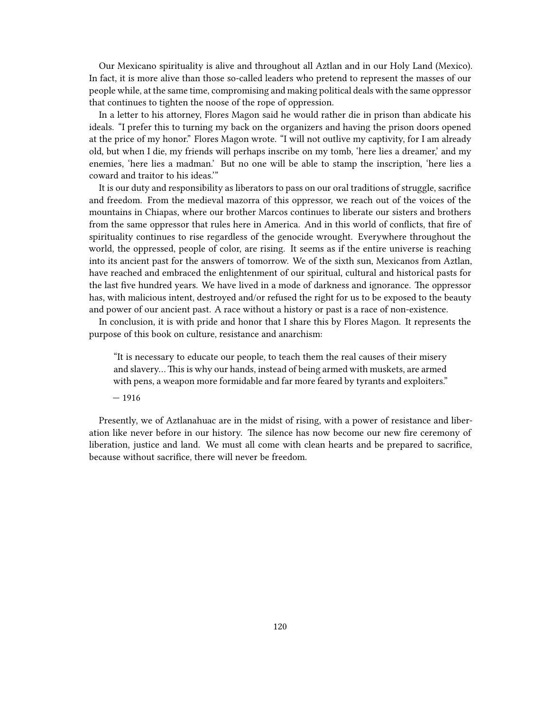Our Mexicano spirituality is alive and throughout all Aztlan and in our Holy Land (Mexico). In fact, it is more alive than those so-called leaders who pretend to represent the masses of our people while, at the same time, compromising and making political deals with the same oppressor that continues to tighten the noose of the rope of oppression.

In a letter to his attorney, Flores Magon said he would rather die in prison than abdicate his ideals. "I prefer this to turning my back on the organizers and having the prison doors opened at the price of my honor." Flores Magon wrote. "I will not outlive my captivity, for I am already old, but when I die, my friends will perhaps inscribe on my tomb, 'here lies a dreamer,' and my enemies, 'here lies a madman.' But no one will be able to stamp the inscription, 'here lies a coward and traitor to his ideas.'"

It is our duty and responsibility as liberators to pass on our oral traditions of struggle, sacrifice and freedom. From the medieval mazorra of this oppressor, we reach out of the voices of the mountains in Chiapas, where our brother Marcos continues to liberate our sisters and brothers from the same oppressor that rules here in America. And in this world of conflicts, that fire of spirituality continues to rise regardless of the genocide wrought. Everywhere throughout the world, the oppressed, people of color, are rising. It seems as if the entire universe is reaching into its ancient past for the answers of tomorrow. We of the sixth sun, Mexicanos from Aztlan, have reached and embraced the enlightenment of our spiritual, cultural and historical pasts for the last five hundred years. We have lived in a mode of darkness and ignorance. The oppressor has, with malicious intent, destroyed and/or refused the right for us to be exposed to the beauty and power of our ancient past. A race without a history or past is a race of non-existence.

In conclusion, it is with pride and honor that I share this by Flores Magon. It represents the purpose of this book on culture, resistance and anarchism:

"It is necessary to educate our people, to teach them the real causes of their misery and slavery… This is why our hands, instead of being armed with muskets, are armed with pens, a weapon more formidable and far more feared by tyrants and exploiters." — 1916

Presently, we of Aztlanahuac are in the midst of rising, with a power of resistance and liberation like never before in our history. The silence has now become our new fire ceremony of liberation, justice and land. We must all come with clean hearts and be prepared to sacrifice, because without sacrifice, there will never be freedom.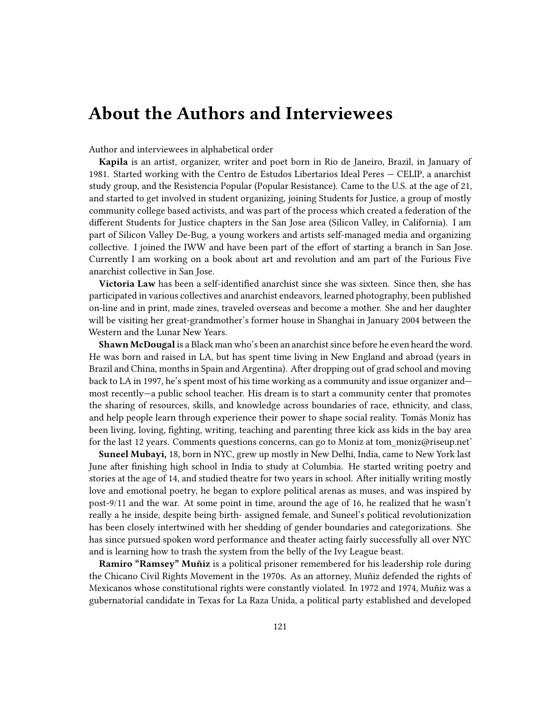## **About the Authors and Interviewees**

Author and interviewees in alphabetical order

**Kapila** is an artist, organizer, writer and poet born in Rio de Janeiro, Brazil, in January of 1981. Started working with the Centro de Estudos Libertarios Ideal Peres — CELIP, a anarchist study group, and the Resistencia Popular (Popular Resistance). Came to the U.S. at the age of 21, and started to get involved in student organizing, joining Students for Justice, a group of mostly community college based activists, and was part of the process which created a federation of the different Students for Justice chapters in the San Jose area (Silicon Valley, in California). I am part of Silicon Valley De-Bug, a young workers and artists self-managed media and organizing collective. I joined the IWW and have been part of the effort of starting a branch in San Jose. Currently I am working on a book about art and revolution and am part of the Furious Five anarchist collective in San Jose.

**Victoria Law** has been a self-identified anarchist since she was sixteen. Since then, she has participated in various collectives and anarchist endeavors, learned photography, been published on-line and in print, made zines, traveled overseas and become a mother. She and her daughter will be visiting her great-grandmother's former house in Shanghai in January 2004 between the Western and the Lunar New Years.

**Shawn McDougal** is a Black man who's been an anarchist since before he even heard the word. He was born and raised in LA, but has spent time living in New England and abroad (years in Brazil and China, months in Spain and Argentina). After dropping out of grad school and moving back to LA in 1997, he's spent most of his time working as a community and issue organizer and most recently—a public school teacher. His dream is to start a community center that promotes the sharing of resources, skills, and knowledge across boundaries of race, ethnicity, and class, and help people learn through experience their power to shape social reality. Tomás Moniz has been living, loving, fighting, writing, teaching and parenting three kick ass kids in the bay area for the last 12 years. Comments questions concerns, can go to Moniz at tom\_moniz@riseup.net'

**Suneel Mubayi,** 18, born in NYC, grew up mostly in New Delhi, India, came to New York last June after finishing high school in India to study at Columbia. He started writing poetry and stories at the age of 14, and studied theatre for two years in school. After initially writing mostly love and emotional poetry, he began to explore political arenas as muses, and was inspired by post-9/11 and the war. At some point in time, around the age of 16, he realized that he wasn't really a he inside, despite being birth- assigned female, and Suneel's political revolutionization has been closely intertwined with her shedding of gender boundaries and categorizations. She has since pursued spoken word performance and theater acting fairly successfully all over NYC and is learning how to trash the system from the belly of the Ivy League beast.

**Ramiro "Ramsey" Muñiz** is a political prisoner remembered for his leadership role during the Chicano Civil Rights Movement in the 1970s. As an attorney, Muñiz defended the rights of Mexicanos whose constitutional rights were constantly violated. In 1972 and 1974, Muñiz was a gubernatorial candidate in Texas for La Raza Unida, a political party established and developed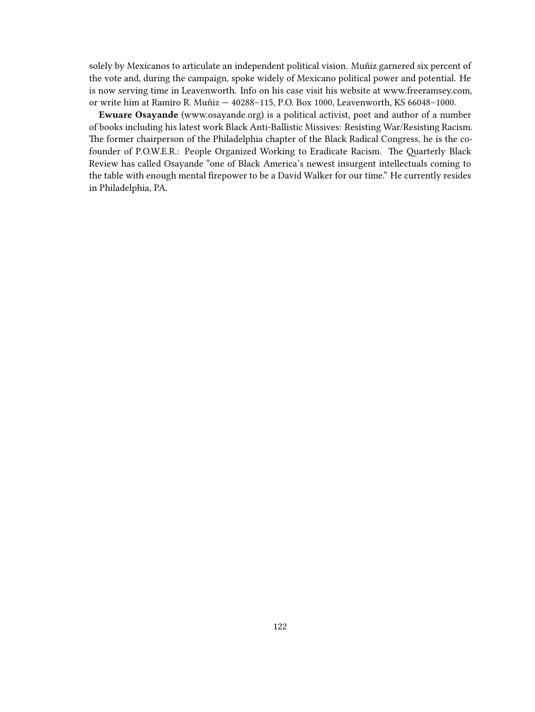solely by Mexicanos to articulate an independent political vision. Muñiz garnered six percent of the vote and, during the campaign, spoke widely of Mexicano political power and potential. He is now serving time in Leavenworth. Info on his case visit his website at [www.freeramsey.com](http://www.freeramsey.com/), or write him at Ramiro R. Muñiz — 40288–115, P.O. Box 1000, Leavenworth, KS 66048–1000.

**Ewuare Osayande** [\(www.osayande.org\)](http://www.osayande.org/) is a political activist, poet and author of a number of books including his latest work Black Anti-Ballistic Missives: Resisting War/Resisting Racism. The former chairperson of the Philadelphia chapter of the Black Radical Congress, he is the cofounder of P.O.W.E.R.: People Organized Working to Eradicate Racism. The Quarterly Black Review has called Osayande "one of Black America's newest insurgent intellectuals coming to the table with enough mental firepower to be a David Walker for our time." He currently resides in Philadelphia, PA.